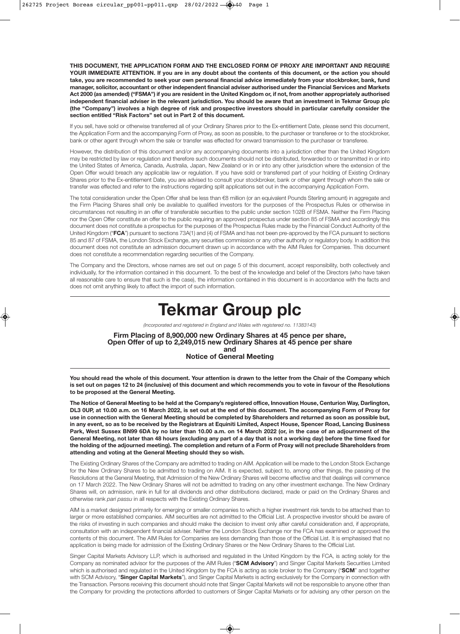**THIS DOCUMENT, THE APPLICATION FORM AND THE ENCLOSED FORM OF PROXY ARE IMPORTANT AND REQUIRE YOUR IMMEDIATE ATTENTION. If you are in any doubt about the contents of this document, or the action you should take, you are recommended to seek your own personal financial advice immediately from your stockbroker, bank, fund manager, solicitor, accountant or other independent financial adviser authorised under the Financial Services and Markets Act 2000 (as amended) ("FSMA") if you are resident in the United Kingdom or, if not, from another appropriately authorised independent financial adviser in the relevant jurisdiction. You should be aware that an investment in Tekmar Group plc (the "Company") involves a high degree of risk and prospective investors should in particular carefully consider the section entitled "Risk Factors" set out in Part 2 of this document.**

If you sell, have sold or otherwise transferred all of your Ordinary Shares prior to the Ex-entitlement Date, please send this document, the Application Form and the accompanying Form of Proxy, as soon as possible, to the purchaser or transferee or to the stockbroker, bank or other agent through whom the sale or transfer was effected for onward transmission to the purchaser or transferee.

However, the distribution of this document and/or any accompanying documents into a jurisdiction other than the United Kingdom may be restricted by law or regulation and therefore such documents should not be distributed, forwarded to or transmitted in or into the United States of America, Canada, Australia, Japan, New Zealand or in or into any other jurisdiction where the extension of the Open Offer would breach any applicable law or regulation. If you have sold or transferred part of your holding of Existing Ordinary Shares prior to the Ex-entitlement Date, you are advised to consult your stockbroker, bank or other agent through whom the sale or transfer was effected and refer to the instructions regarding split applications set out in the accompanying Application Form.

The total consideration under the Open Offer shall be less than €8 million (or an equivalent Pounds Sterling amount) in aggregate and the Firm Placing Shares shall only be available to qualified investors for the purposes of the Prospectus Rules or otherwise in circumstances not resulting in an offer of transferable securities to the public under section 102B of FSMA. Neither the Firm Placing nor the Open Offer constitute an offer to the public requiring an approved prospectus under section 85 of FSMA and accordingly this document does not constitute a prospectus for the purposes of the Prospectus Rules made by the Financial Conduct Authority of the United Kingdom ("**FCA**") pursuant to sections 73A(1) and (4) of FSMA and has not been pre-approved by the FCA pursuant to sections 85 and 87 of FSMA, the London Stock Exchange, any securities commission or any other authority or regulatory body. In addition this document does not constitute an admission document drawn up in accordance with the AIM Rules for Companies. This document does not constitute a recommendation regarding securities of the Company.

The Company and the Directors, whose names are set out on page 5 of this document, accept responsibility, both collectively and individually, for the information contained in this document. To the best of the knowledge and belief of the Directors (who have taken all reasonable care to ensure that such is the case), the information contained in this document is in accordance with the facts and does not omit anything likely to affect the import of such information.

# **Tekmar Group plc**

*(Incorporated and registered in England and Wales with registered no. 11383143)*

#### **Firm Placing of 8,900,000 new Ordinary Shares at 45 pence per share, Open Offer of up to 2,249,015 new Ordinary Shares at 45 pence per share and Notice of General Meeting**

**You should read the whole of this document. Your attention is drawn to the letter from the Chair of the Company which is set out on pages 12 to 24 (inclusive) of this document and which recommends you to vote in favour of the Resolutions to be proposed at the General Meeting.**

**The Notice of General Meeting to be held at the Company's registered office, Innovation House, Centurion Way, Darlington, DL3 0UP, at 10.00 a.m. on 16 March 2022, is set out at the end of this document. The accompanying Form of Proxy for use in connection with the General Meeting should be completed by Shareholders and returned as soon as possible but, in any event, so as to be received by the Registrars at Equiniti Limited, Aspect House, Spencer Road, Lancing Business Park, West Sussex BN99 6DA by no later than 10.00 a.m. on 14 March 2022 (or, in the case of an adjournment of the General Meeting, not later than 48 hours (excluding any part of a day that is not a working day) before the time fixed for the holding of the adjourned meeting). The completion and return of a Form of Proxy will not preclude Shareholders from attending and voting at the General Meeting should they so wish.**

The Existing Ordinary Shares of the Company are admitted to trading on AIM. Application will be made to the London Stock Exchange for the New Ordinary Shares to be admitted to trading on AIM. It is expected, subject to, among other things, the passing of the Resolutions at the General Meeting, that Admission of the New Ordinary Shares will become effective and that dealings will commence on 17 March 2022. The New Ordinary Shares will not be admitted to trading on any other investment exchange. The New Ordinary Shares will, on admission, rank in full for all dividends and other distributions declared, made or paid on the Ordinary Shares and otherwise rank *pari passu* in all respects with the Existing Ordinary Shares.

AIM is a market designed primarily for emerging or smaller companies to which a higher investment risk tends to be attached than to larger or more established companies. AIM securities are not admitted to the Official List. A prospective investor should be aware of the risks of investing in such companies and should make the decision to invest only after careful consideration and, if appropriate, consultation with an independent financial adviser. Neither the London Stock Exchange nor the FCA has examined or approved the contents of this document. The AIM Rules for Companies are less demanding than those of the Official List. It is emphasised that no application is being made for admission of the Existing Ordinary Shares or the New Ordinary Shares to the Official List.

Singer Capital Markets Advisory LLP, which is authorised and regulated in the United Kingdom by the FCA, is acting solely for the Company as nominated advisor for the purposes of the AIM Rules ("**SCM Advisory**") and Singer Capital Markets Securities Limited which is authorised and regulated in the United Kingdom by the FCA is acting as sole broker to the Company ("**SCM**" and together with SCM Advisory, "**Singer Capital Markets**"), and Singer Capital Markets is acting exclusively for the Company in connection with the Transaction. Persons receiving this document should note that Singer Capital Markets will not be responsible to anyone other than the Company for providing the protections afforded to customers of Singer Capital Markets or for advising any other person on the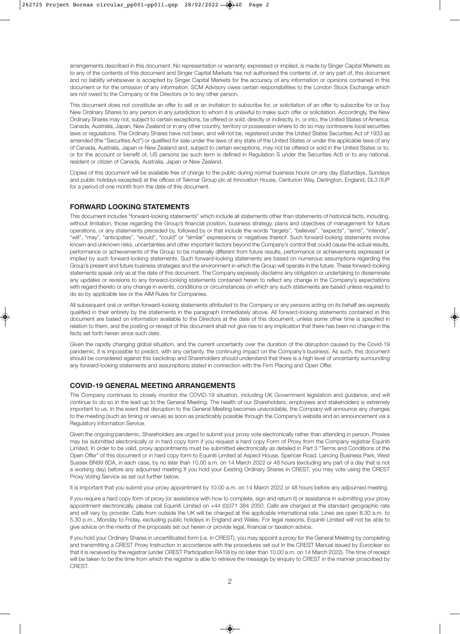arrangements described in this document. No representation or warranty, expressed or implied, is made by Singer Capital Markets as to any of the contents of this document and Singer Capital Markets has not authorised the contents of, or any part of, this document and no liability whatsoever is accepted by Singer Capital Markets for the accuracy of any information or opinions contained in this document or for the omission of any information. SCM Advisory owes certain responsibilities to the London Stock Exchange which are not owed to the Company or the Directors or to any other person.

This document does not constitute an offer to sell or an invitation to subscribe for, or solicitation of an offer to subscribe for or buy New Ordinary Shares to any person in any jurisdiction to whom it is unlawful to make such offer or solicitation. Accordingly, the New Ordinary Shares may not, subject to certain exceptions, be offered or sold, directly or indirectly, in, or into, the United States of America, Canada, Australia, Japan, New Zealand or in any other country, territory or possession where to do so may contravene local securities laws or regulations. The Ordinary Shares have not been, and will not be, registered under the United States Securities Act of 1933 as amended (the "Securities Act") or qualified for sale under the laws of any state of the United States or under the applicable laws of any of Canada, Australia, Japan or New Zealand and, subject to certain exceptions, may not be offered or sold in the United States or to, or for the account or benefit of, US persons (as such term is defined in Regulation S under the Securities Act) or to any national, resident or citizen of Canada, Australia, Japan or New Zealand.

Copies of this document will be available free of charge to the public during normal business hours on any day (Saturdays, Sundays and public holidays excepted) at the offices of Tekmar Group plc at Innovation House, Centurion Way, Darlington, England, DL3 0UP for a period of one month from the date of this document.

#### **FORWARD LOOKING STATEMENTS**

This document includes "forward-looking statements" which include all statements other than statements of historical facts, including, without limitation, those regarding the Group's financial position, business strategy, plans and objectives of management for future operations, or any statements preceded by, followed by or that include the words "targets", "believes", "expects", "aims", "intends", "will", "may", "anticipates", "would", "could" or "similar" expressions or negatives thereof. Such forward-looking statements involve known and unknown risks, uncertainties and other important factors beyond the Company's control that could cause the actual results, performance or achievements of the Group to be materially different from future results, performance or achievements expressed or implied by such forward-looking statements. Such forward-looking statements are based on numerous assumptions regarding the Group's present and future business strategies and the environment in which the Group will operate in the future. These forward-looking statements speak only as at the date of this document. The Company expressly disclaims any obligation or undertaking to disseminate any updates or revisions to any forward-looking statements contained herein to reflect any change in the Company's expectations with regard thereto or any change in events, conditions or circumstances on which any such statements are based unless required to do so by applicable law or the AIM Rules for Companies.

All subsequent oral or written forward-looking statements attributed to the Company or any persons acting on its behalf are expressly qualified in their entirety by the statements in the paragraph immediately above. All forward-looking statements contained in this document are based on information available to the Directors at the date of this document, unless some other time is specified in relation to them, and the posting or receipt of this document shall not give rise to any implication that there has been no change in the facts set forth herein since such date.

Given the rapidly changing global situation, and the current uncertainty over the duration of the disruption caused by the Covid-19 pandemic, it is impossible to predict, with any certainty, the continuing impact on the Company's business. As such, this document should be considered against this backdrop and Shareholders should understand that there is a high level of uncertainty surrounding any forward-looking statements and assumptions stated in connection with the Firm Placing and Open Offer.

#### **COVID-19 GENERAL MEETING ARRANGEMENTS**

The Company continues to closely monitor the COVID-19 situation, including UK Government legislation and guidance, and will continue to do so in the lead up to the General Meeting. The health of our Shareholders, employees and stakeholders is extremely important to us. In the event that disruption to the General Meeting becomes unavoidable, the Company will announce any changes to the meeting (such as timing or venue) as soon as practicably possible through the Company's website and an announcement via a Regulatory Information Service.

Given the ongoing pandemic, Shareholders are urged to submit your proxy vote electronically rather than attending in person. Proxies may be submitted electronically or in hard copy form if you request a hard copy Form of Proxy from the Company registrar Equiniti Limited. In order to be valid, proxy appointments must be submitted electronically as detailed in Part 3 "Terms and Conditions of the Open Offer" of this document or in hard copy form to Equiniti Limited at Aspect House, Spencer Road. Lancing Business Park, West Sussex BN99 6DA, in each case, by no later than 10.00 a.m. on 14 March 2022 or 48 hours (excluding any part of a day that is not a working day) before any adjourned meeting If you hold your Existing Ordinary Shares in CREST, you may vote using the CREST Proxy Voting Service as set out further below.

It is important that you submit your proxy appointment by 10.00 a.m. on 14 March 2022 or 48 hours before any adjourned meeting.

If you require a hard copy form of proxy (or assistance with how to complete, sign and return it) or assistance in submitting your proxy appointment electronically, please call Equiniti Limited on +44 (0)371 384 2050. Calls are charged at the standard geographic rate and will vary by provider. Calls from outside the UK will be charged at the applicable international rate. Lines are open 8.30 a.m. to 5.30 p.m., Monday to Friday, excluding public holidays in England and Wales. For legal reasons, Equiniti Limited will not be able to give advice on the merits of the proposals set out herein or provide legal, financial or taxation advice.

If you hold your Ordinary Shares in uncertificated form (i.e. in CREST), you may appoint a proxy for the General Meeting by completing and transmitting a CREST Proxy Instruction in accordance with the procedures set out in the CREST Manual issued by Euroclear so that it is received by the registrar (under CREST Participation RA19) by no later than 10.00 a.m. on 14 March 2022). The time of receipt will be taken to be the time from which the registrar is able to retrieve the message by enquiry to CREST in the manner proscribed by CREST.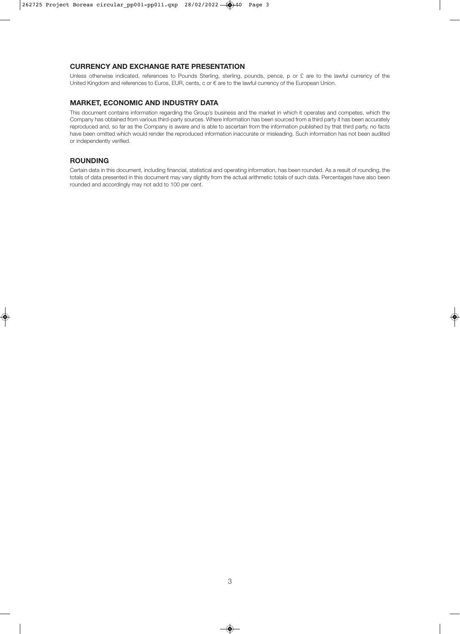#### **CURRENCY AND EXCHANGE RATE PRESENTATION**

Unless otherwise indicated, references to Pounds Sterling, sterling, pounds, pence, p or £ are to the lawful currency of the United Kingdom and references to Euros, EUR, cents, c or  $\epsilon$  are to the lawful currency of the European Union.

#### **MARKET, ECONOMIC AND INDUSTRY DATA**

This document contains information regarding the Group's business and the market in which it operates and competes, which the Company has obtained from various third-party sources. Where information has been sourced from a third party it has been accurately reproduced and, so far as the Company is aware and is able to ascertain from the information published by that third party, no facts have been omitted which would render the reproduced information inaccurate or misleading. Such information has not been audited or independently verified.

#### **ROUNDING**

Certain data in this document, including financial, statistical and operating information, has been rounded. As a result of rounding, the totals of data presented in this document may vary slightly from the actual arithmetic totals of such data. Percentages have also been rounded and accordingly may not add to 100 per cent.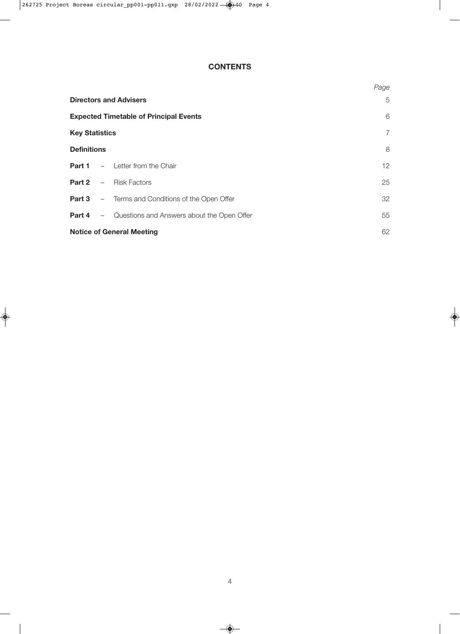# **CONTENTS**

|                                                            | Page           |  |  |  |  |  |  |
|------------------------------------------------------------|----------------|--|--|--|--|--|--|
| <b>Directors and Advisers</b>                              |                |  |  |  |  |  |  |
| <b>Expected Timetable of Principal Events</b>              | 6              |  |  |  |  |  |  |
| <b>Key Statistics</b>                                      | $\overline{7}$ |  |  |  |  |  |  |
| <b>Definitions</b>                                         | 8              |  |  |  |  |  |  |
| <b>Part 1</b> $-$ Letter from the Chair                    | 12             |  |  |  |  |  |  |
| <b>Part 2</b> - Risk Factors                               | 25             |  |  |  |  |  |  |
| <b>Part 3</b> - Terms and Conditions of the Open Offer     | 32             |  |  |  |  |  |  |
| <b>Part 4</b> – Questions and Answers about the Open Offer | 55             |  |  |  |  |  |  |
| <b>Notice of General Meeting</b>                           | 62             |  |  |  |  |  |  |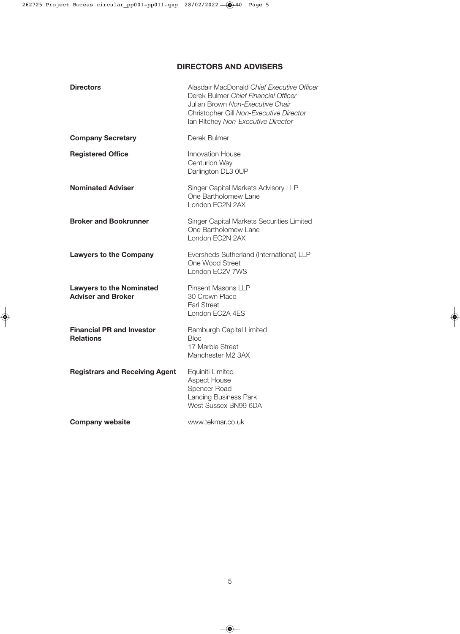# **DIRECTORS AND ADVISERS**

| <b>Directors</b>                                             | Alasdair MacDonald Chief Executive Officer<br>Derek Bulmer Chief Financial Officer<br>Julian Brown Non-Executive Chair<br>Christopher Gill Non-Executive Director<br>Ian Ritchey Non-Executive Director |
|--------------------------------------------------------------|---------------------------------------------------------------------------------------------------------------------------------------------------------------------------------------------------------|
| <b>Company Secretary</b>                                     | Derek Bulmer                                                                                                                                                                                            |
| <b>Registered Office</b>                                     | <b>Innovation House</b><br><b>Centurion Way</b><br>Darlington DL3 OUP                                                                                                                                   |
| <b>Nominated Adviser</b>                                     | Singer Capital Markets Advisory LLP<br>One Bartholomew Lane<br>London EC2N 2AX                                                                                                                          |
| <b>Broker and Bookrunner</b>                                 | Singer Capital Markets Securities Limited<br>One Bartholomew Lane<br>London EC2N 2AX                                                                                                                    |
| <b>Lawyers to the Company</b>                                | Eversheds Sutherland (International) LLP<br>One Wood Street<br>London EC2V 7WS                                                                                                                          |
| <b>Lawyers to the Nominated</b><br><b>Adviser and Broker</b> | Pinsent Masons LLP<br>30 Crown Place<br><b>Earl Street</b><br>London FC2A 4FS                                                                                                                           |
| <b>Financial PR and Investor</b><br><b>Relations</b>         | <b>Bamburgh Capital Limited</b><br><b>Bloc</b><br>17 Marble Street<br>Manchester M2 3AX                                                                                                                 |
| <b>Registrars and Receiving Agent</b>                        | Equiniti Limited<br><b>Aspect House</b><br>Spencer Road<br>Lancing Business Park<br>West Sussex BN99 6DA                                                                                                |
| <b>Company website</b>                                       | www.tekmar.co.uk                                                                                                                                                                                        |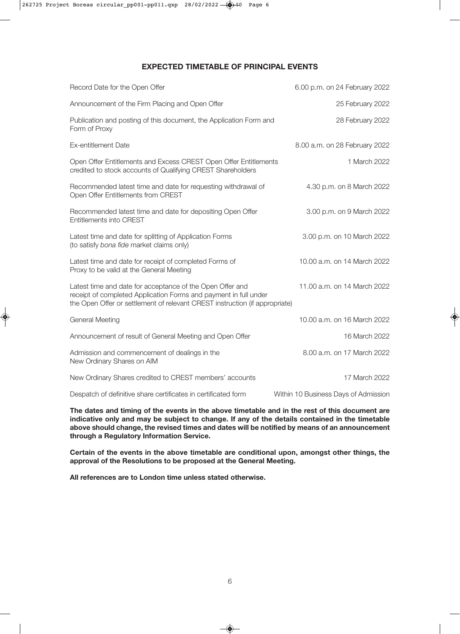## **EXPECTED TIMETABLE OF PRINCIPAL EVENTS**

| Record Date for the Open Offer                                                                                                                                                                               | 6.00 p.m. on 24 February 2022        |
|--------------------------------------------------------------------------------------------------------------------------------------------------------------------------------------------------------------|--------------------------------------|
| Announcement of the Firm Placing and Open Offer                                                                                                                                                              | 25 February 2022                     |
| Publication and posting of this document, the Application Form and<br>Form of Proxy                                                                                                                          | 28 February 2022                     |
| Ex-entitlement Date                                                                                                                                                                                          | 8.00 a.m. on 28 February 2022        |
| Open Offer Entitlements and Excess CREST Open Offer Entitlements<br>credited to stock accounts of Qualifying CREST Shareholders                                                                              | 1 March 2022                         |
| Recommended latest time and date for requesting withdrawal of<br>Open Offer Entitlements from CREST                                                                                                          | 4.30 p.m. on 8 March 2022            |
| Recommended latest time and date for depositing Open Offer<br>Entitlements into CREST                                                                                                                        | 3.00 p.m. on 9 March 2022            |
| Latest time and date for splitting of Application Forms<br>(to satisfy bona fide market claims only)                                                                                                         | 3.00 p.m. on 10 March 2022           |
| Latest time and date for receipt of completed Forms of<br>Proxy to be valid at the General Meeting                                                                                                           | 10.00 a.m. on 14 March 2022          |
| Latest time and date for acceptance of the Open Offer and<br>receipt of completed Application Forms and payment in full under<br>the Open Offer or settlement of relevant CREST instruction (if appropriate) | 11.00 a.m. on 14 March 2022          |
| <b>General Meeting</b>                                                                                                                                                                                       | 10.00 a.m. on 16 March 2022          |
| Announcement of result of General Meeting and Open Offer                                                                                                                                                     | 16 March 2022                        |
| Admission and commencement of dealings in the<br>New Ordinary Shares on AIM                                                                                                                                  | 8.00 a.m. on 17 March 2022           |
| New Ordinary Shares credited to CREST members' accounts                                                                                                                                                      | 17 March 2022                        |
| Despatch of definitive share certificates in certificated form                                                                                                                                               | Within 10 Business Days of Admission |

**The dates and timing of the events in the above timetable and in the rest of this document are indicative only and may be subject to change. If any of the details contained in the timetable above should change, the revised times and dates will be notified by means of an announcement through a Regulatory Information Service.**

**Certain of the events in the above timetable are conditional upon, amongst other things, the approval of the Resolutions to be proposed at the General Meeting.**

**All references are to London time unless stated otherwise.**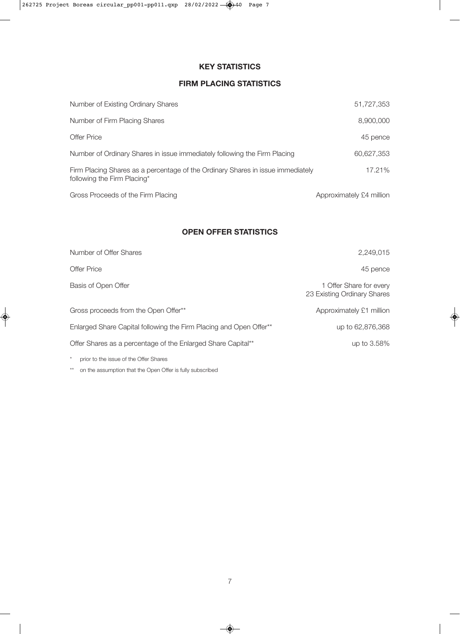# **KEY STATISTICS**

# **FIRM PLACING STATISTICS**

| Number of Existing Ordinary Shares                                                                             | 51,727,353               |
|----------------------------------------------------------------------------------------------------------------|--------------------------|
| Number of Firm Placing Shares                                                                                  | 8,900,000                |
| Offer Price                                                                                                    | 45 pence                 |
| Number of Ordinary Shares in issue immediately following the Firm Placing                                      | 60.627.353               |
| Firm Placing Shares as a percentage of the Ordinary Shares in issue immediately<br>following the Firm Placing* | 17.21%                   |
| Gross Proceeds of the Firm Placing                                                                             | Approximately £4 million |

## **OPEN OFFER STATISTICS**

| Number of Offer Shares                                             | 2,249,015                                              |
|--------------------------------------------------------------------|--------------------------------------------------------|
| Offer Price                                                        | 45 pence                                               |
| Basis of Open Offer                                                | 1 Offer Share for every<br>23 Existing Ordinary Shares |
| Gross proceeds from the Open Offer**                               | Approximately £1 million                               |
| Enlarged Share Capital following the Firm Placing and Open Offer** | up to 62,876,368                                       |
| Offer Shares as a percentage of the Enlarged Share Capital**       | up to 3.58%                                            |
| $^{\star}$<br>prior to the issue of the Offer Shares               |                                                        |

\*\* on the assumption that the Open Offer is fully subscribed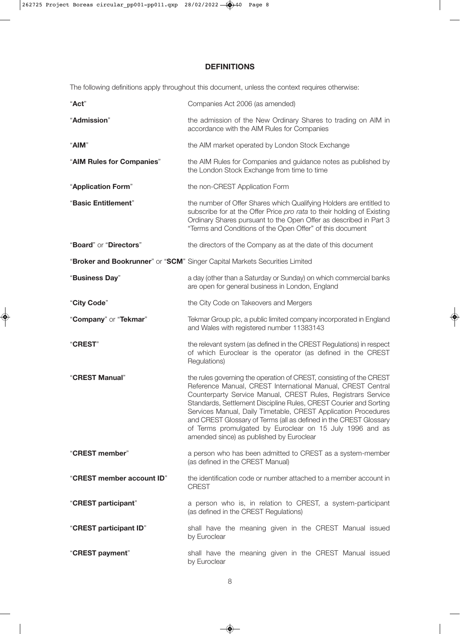# **DEFINITIONS**

The following definitions apply throughout this document, unless the context requires otherwise:

| "Act"                     | Companies Act 2006 (as amended)                                                                                                                                                                                                                                                                                                                                                                                                                                                                                        |  |  |  |  |  |  |  |
|---------------------------|------------------------------------------------------------------------------------------------------------------------------------------------------------------------------------------------------------------------------------------------------------------------------------------------------------------------------------------------------------------------------------------------------------------------------------------------------------------------------------------------------------------------|--|--|--|--|--|--|--|
| "Admission"               | the admission of the New Ordinary Shares to trading on AIM in<br>accordance with the AIM Rules for Companies                                                                                                                                                                                                                                                                                                                                                                                                           |  |  |  |  |  |  |  |
| "AIM"                     | the AIM market operated by London Stock Exchange                                                                                                                                                                                                                                                                                                                                                                                                                                                                       |  |  |  |  |  |  |  |
| "AIM Rules for Companies" | the AIM Rules for Companies and guidance notes as published by<br>the London Stock Exchange from time to time                                                                                                                                                                                                                                                                                                                                                                                                          |  |  |  |  |  |  |  |
| "Application Form"        | the non-CREST Application Form                                                                                                                                                                                                                                                                                                                                                                                                                                                                                         |  |  |  |  |  |  |  |
| "Basic Entitlement"       | the number of Offer Shares which Qualifying Holders are entitled to<br>subscribe for at the Offer Price pro rata to their holding of Existing<br>Ordinary Shares pursuant to the Open Offer as described in Part 3<br>"Terms and Conditions of the Open Offer" of this document                                                                                                                                                                                                                                        |  |  |  |  |  |  |  |
| "Board" or "Directors"    | the directors of the Company as at the date of this document                                                                                                                                                                                                                                                                                                                                                                                                                                                           |  |  |  |  |  |  |  |
|                           | "Broker and Bookrunner" or "SCM" Singer Capital Markets Securities Limited                                                                                                                                                                                                                                                                                                                                                                                                                                             |  |  |  |  |  |  |  |
| "Business Day"            | a day (other than a Saturday or Sunday) on which commercial banks<br>are open for general business in London, England                                                                                                                                                                                                                                                                                                                                                                                                  |  |  |  |  |  |  |  |
| "City Code"               | the City Code on Takeovers and Mergers                                                                                                                                                                                                                                                                                                                                                                                                                                                                                 |  |  |  |  |  |  |  |
| "Company" or "Tekmar"     | Tekmar Group plc, a public limited company incorporated in England<br>and Wales with registered number 11383143                                                                                                                                                                                                                                                                                                                                                                                                        |  |  |  |  |  |  |  |
| "CREST"                   | the relevant system (as defined in the CREST Regulations) in respect<br>of which Euroclear is the operator (as defined in the CREST<br>Regulations)                                                                                                                                                                                                                                                                                                                                                                    |  |  |  |  |  |  |  |
| "CREST Manual"            | the rules governing the operation of CREST, consisting of the CREST<br>Reference Manual, CREST International Manual, CREST Central<br>Counterparty Service Manual, CREST Rules, Registrars Service<br>Standards, Settlement Discipline Rules, CREST Courier and Sorting<br>Services Manual, Daily Timetable, CREST Application Procedures<br>and CREST Glossary of Terms (all as defined in the CREST Glossary<br>of Terms promulgated by Euroclear on 15 July 1996 and as<br>amended since) as published by Euroclear |  |  |  |  |  |  |  |
| "CREST member"            | a person who has been admitted to CREST as a system-member<br>(as defined in the CREST Manual)                                                                                                                                                                                                                                                                                                                                                                                                                         |  |  |  |  |  |  |  |
| "CREST member account ID" | the identification code or number attached to a member account in<br><b>CREST</b>                                                                                                                                                                                                                                                                                                                                                                                                                                      |  |  |  |  |  |  |  |
| "CREST participant"       | a person who is, in relation to CREST, a system-participant<br>(as defined in the CREST Regulations)                                                                                                                                                                                                                                                                                                                                                                                                                   |  |  |  |  |  |  |  |
| "CREST participant ID"    | shall have the meaning given in the CREST Manual issued<br>by Euroclear                                                                                                                                                                                                                                                                                                                                                                                                                                                |  |  |  |  |  |  |  |
| "CREST payment"           | shall have the meaning given in the CREST Manual issued<br>by Euroclear                                                                                                                                                                                                                                                                                                                                                                                                                                                |  |  |  |  |  |  |  |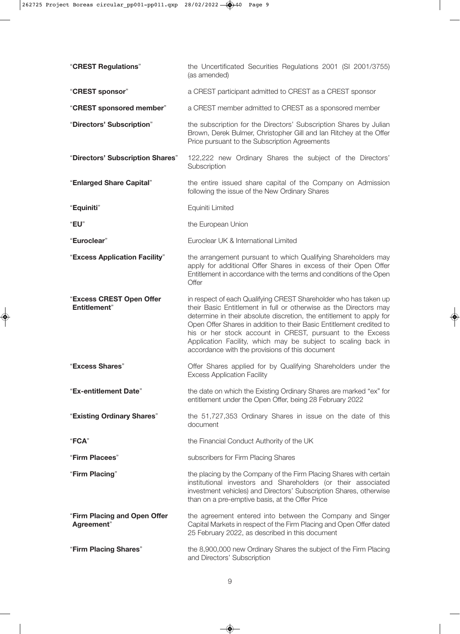| "CREST Regulations"                              | the Uncertificated Securities Regulations 2001 (SI 2001/3755)<br>(as amended)                                                                                                                                                                                                                                                                                                                                                                                          |
|--------------------------------------------------|------------------------------------------------------------------------------------------------------------------------------------------------------------------------------------------------------------------------------------------------------------------------------------------------------------------------------------------------------------------------------------------------------------------------------------------------------------------------|
| "CREST sponsor"                                  | a CREST participant admitted to CREST as a CREST sponsor                                                                                                                                                                                                                                                                                                                                                                                                               |
| "CREST sponsored member"                         | a CREST member admitted to CREST as a sponsored member                                                                                                                                                                                                                                                                                                                                                                                                                 |
| "Directors' Subscription"                        | the subscription for the Directors' Subscription Shares by Julian<br>Brown, Derek Bulmer, Christopher Gill and lan Ritchey at the Offer<br>Price pursuant to the Subscription Agreements                                                                                                                                                                                                                                                                               |
| "Directors' Subscription Shares"                 | 122,222 new Ordinary Shares the subject of the Directors'<br>Subscription                                                                                                                                                                                                                                                                                                                                                                                              |
| "Enlarged Share Capital"                         | the entire issued share capital of the Company on Admission<br>following the issue of the New Ordinary Shares                                                                                                                                                                                                                                                                                                                                                          |
| "Equiniti"                                       | Equiniti Limited                                                                                                                                                                                                                                                                                                                                                                                                                                                       |
| "EU"                                             | the European Union                                                                                                                                                                                                                                                                                                                                                                                                                                                     |
| "Euroclear"                                      | Euroclear UK & International Limited                                                                                                                                                                                                                                                                                                                                                                                                                                   |
| "Excess Application Facility"                    | the arrangement pursuant to which Qualifying Shareholders may<br>apply for additional Offer Shares in excess of their Open Offer<br>Entitlement in accordance with the terms and conditions of the Open<br>Offer                                                                                                                                                                                                                                                       |
| "Excess CREST Open Offer<br><b>Entitlement</b> " | in respect of each Qualifying CREST Shareholder who has taken up<br>their Basic Entitlement in full or otherwise as the Directors may<br>determine in their absolute discretion, the entitlement to apply for<br>Open Offer Shares in addition to their Basic Entitlement credited to<br>his or her stock account in CREST, pursuant to the Excess<br>Application Facility, which may be subject to scaling back in<br>accordance with the provisions of this document |
| "Excess Shares"                                  | Offer Shares applied for by Qualifying Shareholders under the<br><b>Excess Application Facility</b>                                                                                                                                                                                                                                                                                                                                                                    |
| "Ex-entitlement Date"                            | the date on which the Existing Ordinary Shares are marked "ex" for<br>entitlement under the Open Offer, being 28 February 2022                                                                                                                                                                                                                                                                                                                                         |
| "Existing Ordinary Shares"                       | the 51,727,353 Ordinary Shares in issue on the date of this<br>document                                                                                                                                                                                                                                                                                                                                                                                                |
| "FCA"                                            | the Financial Conduct Authority of the UK                                                                                                                                                                                                                                                                                                                                                                                                                              |
| "Firm Placees"                                   | subscribers for Firm Placing Shares                                                                                                                                                                                                                                                                                                                                                                                                                                    |
| "Firm Placing"                                   | the placing by the Company of the Firm Placing Shares with certain<br>institutional investors and Shareholders (or their associated<br>investment vehicles) and Directors' Subscription Shares, otherwise<br>than on a pre-emptive basis, at the Offer Price                                                                                                                                                                                                           |
| "Firm Placing and Open Offer<br>Agreement"       | the agreement entered into between the Company and Singer<br>Capital Markets in respect of the Firm Placing and Open Offer dated<br>25 February 2022, as described in this document                                                                                                                                                                                                                                                                                    |
| "Firm Placing Shares"                            | the 8,900,000 new Ordinary Shares the subject of the Firm Placing<br>and Directors' Subscription                                                                                                                                                                                                                                                                                                                                                                       |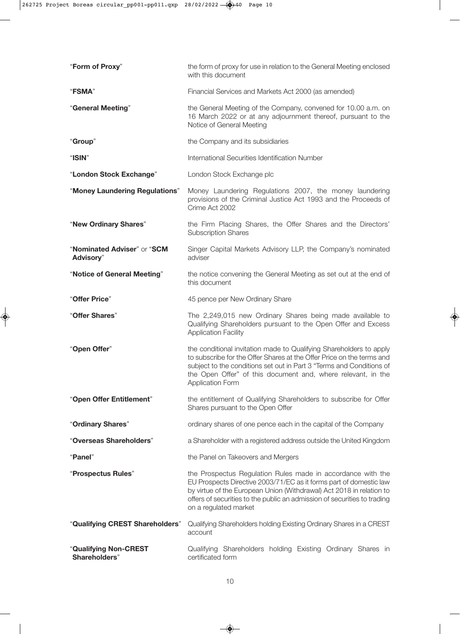| "Form of Proxy"                                 | the form of proxy for use in relation to the General Meeting enclosed<br>with this document                                                                                                                                                                                                                     |
|-------------------------------------------------|-----------------------------------------------------------------------------------------------------------------------------------------------------------------------------------------------------------------------------------------------------------------------------------------------------------------|
| "FSMA"                                          | Financial Services and Markets Act 2000 (as amended)                                                                                                                                                                                                                                                            |
| "General Meeting"                               | the General Meeting of the Company, convened for 10.00 a.m. on<br>16 March 2022 or at any adjournment thereof, pursuant to the<br>Notice of General Meeting                                                                                                                                                     |
| "Group"                                         | the Company and its subsidiaries                                                                                                                                                                                                                                                                                |
| "ISIN"                                          | International Securities Identification Number                                                                                                                                                                                                                                                                  |
| "London Stock Exchange"                         | London Stock Exchange plc                                                                                                                                                                                                                                                                                       |
| "Money Laundering Regulations"                  | Money Laundering Regulations 2007, the money laundering<br>provisions of the Criminal Justice Act 1993 and the Proceeds of<br>Crime Act 2002                                                                                                                                                                    |
| "New Ordinary Shares"                           | the Firm Placing Shares, the Offer Shares and the Directors'<br><b>Subscription Shares</b>                                                                                                                                                                                                                      |
| "Nominated Adviser" or "SCM<br><b>Advisory"</b> | Singer Capital Markets Advisory LLP, the Company's nominated<br>adviser                                                                                                                                                                                                                                         |
| "Notice of General Meeting"                     | the notice convening the General Meeting as set out at the end of<br>this document                                                                                                                                                                                                                              |
| "Offer Price"                                   | 45 pence per New Ordinary Share                                                                                                                                                                                                                                                                                 |
| "Offer Shares"                                  | The 2,249,015 new Ordinary Shares being made available to<br>Qualifying Shareholders pursuant to the Open Offer and Excess<br><b>Application Facility</b>                                                                                                                                                       |
| "Open Offer"                                    | the conditional invitation made to Qualifying Shareholders to apply<br>to subscribe for the Offer Shares at the Offer Price on the terms and<br>subject to the conditions set out in Part 3 "Terms and Conditions of<br>the Open Offer" of this document and, where relevant, in the<br><b>Application Form</b> |
| "Open Offer Entitlement"                        | the entitlement of Qualifying Shareholders to subscribe for Offer<br>Shares pursuant to the Open Offer                                                                                                                                                                                                          |
| "Ordinary Shares"                               | ordinary shares of one pence each in the capital of the Company                                                                                                                                                                                                                                                 |
| "Overseas Shareholders"                         | a Shareholder with a registered address outside the United Kingdom                                                                                                                                                                                                                                              |
| "Panel"                                         | the Panel on Takeovers and Mergers                                                                                                                                                                                                                                                                              |
| "Prospectus Rules"                              | the Prospectus Regulation Rules made in accordance with the<br>EU Prospects Directive 2003/71/EC as it forms part of domestic law<br>by virtue of the European Union (Withdrawal) Act 2018 in relation to<br>offers of securities to the public an admission of securities to trading<br>on a regulated market  |
| "Qualifying CREST Shareholders"                 | Qualifying Shareholders holding Existing Ordinary Shares in a CREST<br>account                                                                                                                                                                                                                                  |
| "Qualifying Non-CREST<br>Shareholders"          | Qualifying Shareholders holding Existing Ordinary Shares in<br>certificated form                                                                                                                                                                                                                                |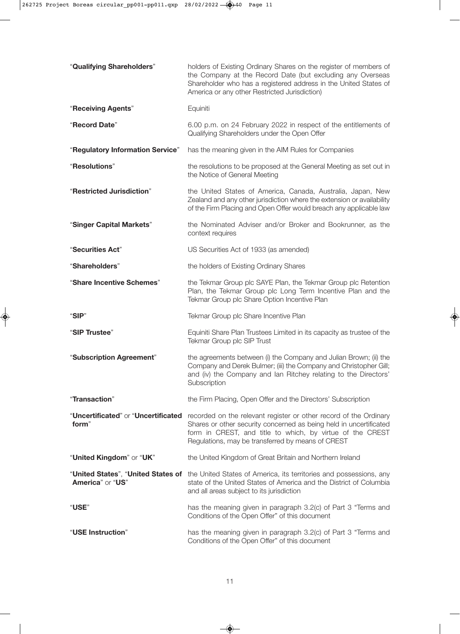| "Qualifying Shareholders"        | holders of Existing Ordinary Shares on the register of members of<br>the Company at the Record Date (but excluding any Overseas<br>Shareholder who has a registered address in the United States of<br>America or any other Restricted Jurisdiction)                                          |
|----------------------------------|-----------------------------------------------------------------------------------------------------------------------------------------------------------------------------------------------------------------------------------------------------------------------------------------------|
| "Receiving Agents"               | Equiniti                                                                                                                                                                                                                                                                                      |
| "Record Date"                    | 6.00 p.m. on 24 February 2022 in respect of the entitlements of<br>Qualifying Shareholders under the Open Offer                                                                                                                                                                               |
| "Regulatory Information Service" | has the meaning given in the AIM Rules for Companies                                                                                                                                                                                                                                          |
| "Resolutions"                    | the resolutions to be proposed at the General Meeting as set out in<br>the Notice of General Meeting                                                                                                                                                                                          |
| "Restricted Jurisdiction"        | the United States of America, Canada, Australia, Japan, New<br>Zealand and any other jurisdiction where the extension or availability<br>of the Firm Placing and Open Offer would breach any applicable law                                                                                   |
| "Singer Capital Markets"         | the Nominated Adviser and/or Broker and Bookrunner, as the<br>context requires                                                                                                                                                                                                                |
| "Securities Act"                 | US Securities Act of 1933 (as amended)                                                                                                                                                                                                                                                        |
| "Shareholders"                   | the holders of Existing Ordinary Shares                                                                                                                                                                                                                                                       |
| "Share Incentive Schemes"        | the Tekmar Group plc SAYE Plan, the Tekmar Group plc Retention<br>Plan, the Tekmar Group plc Long Term Incentive Plan and the<br>Tekmar Group plc Share Option Incentive Plan                                                                                                                 |
| "SIP"                            | Tekmar Group plc Share Incentive Plan                                                                                                                                                                                                                                                         |
| "SIP Trustee"                    | Equiniti Share Plan Trustees Limited in its capacity as trustee of the<br>Tekmar Group plc SIP Trust                                                                                                                                                                                          |
| "Subscription Agreement"         | the agreements between (i) the Company and Julian Brown; (ii) the<br>Company and Derek Bulmer; (iii) the Company and Christopher Gill;<br>and (iv) the Company and lan Ritchey relating to the Directors'<br>Subscription                                                                     |
| "Transaction"                    | the Firm Placing, Open Offer and the Directors' Subscription                                                                                                                                                                                                                                  |
| form"                            | "Uncertificated" or "Uncertificated recorded on the relevant register or other record of the Ordinary<br>Shares or other security concerned as being held in uncertificated<br>form in CREST, and title to which, by virtue of the CREST<br>Regulations, may be transferred by means of CREST |
| "United Kingdom" or "UK"         | the United Kingdom of Great Britain and Northern Ireland                                                                                                                                                                                                                                      |
| America" or "US"                 | "United States", "United States of the United States of America, its territories and possessions, any<br>state of the United States of America and the District of Columbia<br>and all areas subject to its jurisdiction                                                                      |
| "USE"                            | has the meaning given in paragraph 3.2(c) of Part 3 "Terms and<br>Conditions of the Open Offer" of this document                                                                                                                                                                              |
| "USE Instruction"                | has the meaning given in paragraph 3.2(c) of Part 3 "Terms and<br>Conditions of the Open Offer" of this document                                                                                                                                                                              |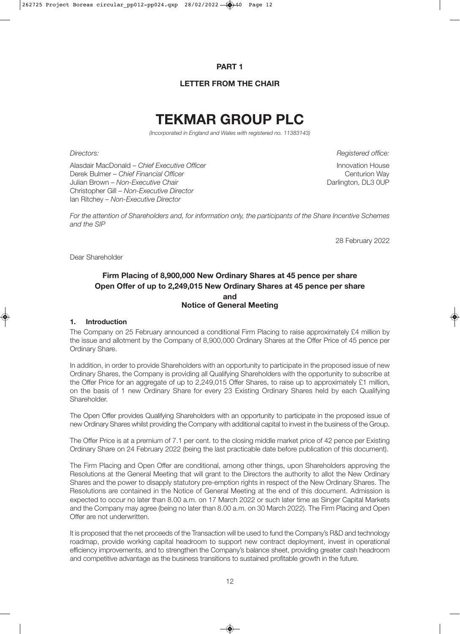#### **PART 1**

#### **LETTER FROM THE CHAIR**

# **TEKMAR GROUP PLC**

*(Incorporated in England and Wales with registered no. 11383143)*

Alasdair MacDonald – *Chief Executive Officer* **Innovation House** Innovation House Derek Bulmer – *Chief Financial Officer* Chief Chief Chief Chief Chief Chief Chief Chief Chief Chief Chief Chief Chief Chief Chief Chief Chief Chief Chief Chief Chief Chief Chief Chief Chief Chief Chief Chief Chief Chief C Julian Brown – Non-Executive Chair **Darlington, DL3 0UP** Christopher Gill – *Non-Executive Director* Ian Ritchey – *Non-Executive Director*

*Directors: Registered office:*

*For the attention of Shareholders and, for information only, the participants of the Share Incentive Schemes and the SIP*

28 February 2022

Dear Shareholder

### **Firm Placing of 8,900,000 New Ordinary Shares at 45 pence per share Open Offer of up to 2,249,015 New Ordinary Shares at 45 pence per share and Notice of General Meeting**

#### **1. Introduction**

The Company on 25 February announced a conditional Firm Placing to raise approximately £4 million by the issue and allotment by the Company of 8,900,000 Ordinary Shares at the Offer Price of 45 pence per Ordinary Share.

In addition, in order to provide Shareholders with an opportunity to participate in the proposed issue of new Ordinary Shares, the Company is providing all Qualifying Shareholders with the opportunity to subscribe at the Offer Price for an aggregate of up to 2,249,015 Offer Shares, to raise up to approximately £1 million, on the basis of 1 new Ordinary Share for every 23 Existing Ordinary Shares held by each Qualifying Shareholder.

The Open Offer provides Qualifying Shareholders with an opportunity to participate in the proposed issue of new Ordinary Shares whilst providing the Company with additional capital to invest in the business of the Group.

The Offer Price is at a premium of 7.1 per cent. to the closing middle market price of 42 pence per Existing Ordinary Share on 24 February 2022 (being the last practicable date before publication of this document).

The Firm Placing and Open Offer are conditional, among other things, upon Shareholders approving the Resolutions at the General Meeting that will grant to the Directors the authority to allot the New Ordinary Shares and the power to disapply statutory pre-emption rights in respect of the New Ordinary Shares. The Resolutions are contained in the Notice of General Meeting at the end of this document. Admission is expected to occur no later than 8.00 a.m. on 17 March 2022 or such later time as Singer Capital Markets and the Company may agree (being no later than 8.00 a.m. on 30 March 2022). The Firm Placing and Open Offer are not underwritten.

It is proposed that the net proceeds of the Transaction will be used to fund the Company's R&D and technology roadmap, provide working capital headroom to support new contract deployment, invest in operational efficiency improvements, and to strengthen the Company's balance sheet, providing greater cash headroom and competitive advantage as the business transitions to sustained profitable growth in the future.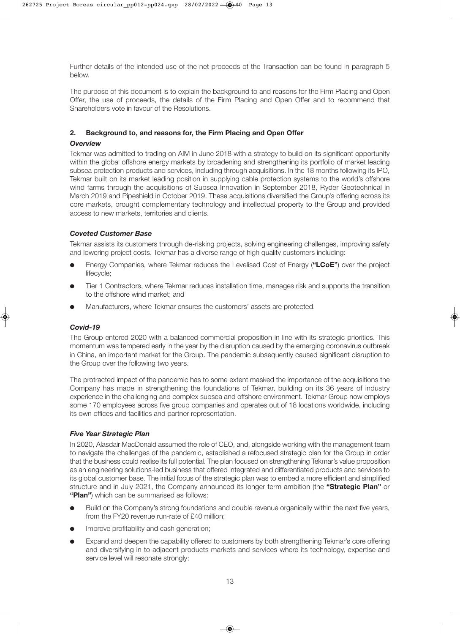Further details of the intended use of the net proceeds of the Transaction can be found in paragraph 5 below.

The purpose of this document is to explain the background to and reasons for the Firm Placing and Open Offer, the use of proceeds, the details of the Firm Placing and Open Offer and to recommend that Shareholders vote in favour of the Resolutions.

#### **2. Background to, and reasons for, the Firm Placing and Open Offer**

#### *Overview*

Tekmar was admitted to trading on AIM in June 2018 with a strategy to build on its significant opportunity within the global offshore energy markets by broadening and strengthening its portfolio of market leading subsea protection products and services, including through acquisitions. In the 18 months following its IPO, Tekmar built on its market leading position in supplying cable protection systems to the world's offshore wind farms through the acquisitions of Subsea Innovation in September 2018, Ryder Geotechnical in March 2019 and Pipeshield in October 2019. These acquisitions diversified the Group's offering across its core markets, brought complementary technology and intellectual property to the Group and provided access to new markets, territories and clients.

#### *Coveted Customer Base*

Tekmar assists its customers through de-risking projects, solving engineering challenges, improving safety and lowering project costs. Tekmar has a diverse range of high quality customers including:

- l Energy Companies, where Tekmar reduces the Levelised Cost of Energy (**"LCoE"**) over the project lifecycle;
- l Tier 1 Contractors, where Tekmar reduces installation time, manages risk and supports the transition to the offshore wind market; and
- l Manufacturers, where Tekmar ensures the customers' assets are protected.

#### *Covid-19*

The Group entered 2020 with a balanced commercial proposition in line with its strategic priorities. This momentum was tempered early in the year by the disruption caused by the emerging coronavirus outbreak in China, an important market for the Group. The pandemic subsequently caused significant disruption to the Group over the following two years.

The protracted impact of the pandemic has to some extent masked the importance of the acquisitions the Company has made in strengthening the foundations of Tekmar, building on its 36 years of industry experience in the challenging and complex subsea and offshore environment. Tekmar Group now employs some 170 employees across five group companies and operates out of 18 locations worldwide, including its own offices and facilities and partner representation.

#### *Five Year Strategic Plan*

In 2020, Alasdair MacDonald assumed the role of CEO, and, alongside working with the management team to navigate the challenges of the pandemic, established a refocused strategic plan for the Group in order that the business could realise its full potential. The plan focused on strengthening Tekmar's value proposition as an engineering solutions-led business that offered integrated and differentiated products and services to its global customer base. The initial focus of the strategic plan was to embed a more efficient and simplified structure and in July 2021, the Company announced its longer term ambition (the **"Strategic Plan"** or **"Plan"**) which can be summarised as follows:

- l Build on the Company's strong foundations and double revenue organically within the next five years, from the FY20 revenue run-rate of £40 million;
- Improve profitability and cash generation;
- l Expand and deepen the capability offered to customers by both strengthening Tekmar's core offering and diversifying in to adjacent products markets and services where its technology, expertise and service level will resonate strongly;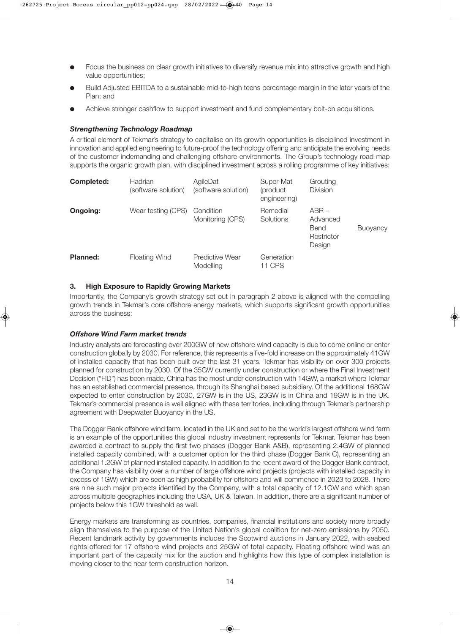- Focus the business on clear growth initiatives to diversify revenue mix into attractive growth and high value opportunities;
- l Build Adjusted EBITDA to a sustainable mid-to-high teens percentage margin in the later years of the Plan; and
- Achieve stronger cashflow to support investment and fund complementary bolt-on acquisitions.

#### *Strengthening Technology Roadmap*

A critical element of Tekmar's strategy to capitalise on its growth opportunities is disciplined investment in innovation and applied engineering to future-proof the technology offering and anticipate the evolving needs of the customer indemanding and challenging offshore environments. The Group's technology road-map supports the organic growth plan, with disciplined investment across a rolling programme of key initiatives:

| <b>Completed:</b> | Hadrian<br>(software solution) | AgileDat<br>(software solution) | Super-Mat<br>(product)<br>engineering) | Grouting<br>Division                                |                 |
|-------------------|--------------------------------|---------------------------------|----------------------------------------|-----------------------------------------------------|-----------------|
| Ongoing:          | Wear testing (CPS)             | Condition<br>Monitoring (CPS)   | Remedial<br><b>Solutions</b>           | $ABR -$<br>Advanced<br>Bend<br>Restrictor<br>Design | <b>Buoyancy</b> |
| <b>Planned:</b>   | <b>Floating Wind</b>           | Predictive Wear<br>Modelling    | Generation<br>11 CPS                   |                                                     |                 |

#### **3. High Exposure to Rapidly Growing Markets**

Importantly, the Company's growth strategy set out in paragraph 2 above is aligned with the compelling growth trends in Tekmar's core offshore energy markets, which supports significant growth opportunities across the business:

#### *Offshore Wind Farm market trends*

Industry analysts are forecasting over 200GW of new offshore wind capacity is due to come online or enter construction globally by 2030. For reference, this represents a five-fold increase on the approximately 41GW of installed capacity that has been built over the last 31 years. Tekmar has visibility on over 300 projects planned for construction by 2030. Of the 35GW currently under construction or where the Final Investment Decision ("FID") has been made, China has the most under construction with 14GW, a market where Tekmar has an established commercial presence, through its Shanghai based subsidiary. Of the additional 168GW expected to enter construction by 2030, 27GW is in the US, 23GW is in China and 19GW is in the UK. Tekmar's commercial presence is well aligned with these territories, including through Tekmar's partnership agreement with Deepwater Buoyancy in the US.

The Dogger Bank offshore wind farm, located in the UK and set to be the world's largest offshore wind farm is an example of the opportunities this global industry investment represents for Tekmar. Tekmar has been awarded a contract to supply the first two phases (Dogger Bank A&B), representing 2.4GW of planned installed capacity combined, with a customer option for the third phase (Dogger Bank C), representing an additional 1.2GW of planned installed capacity. In addition to the recent award of the Dogger Bank contract, the Company has visibility over a number of large offshore wind projects (projects with installed capacity in excess of 1GW) which are seen as high probability for offshore and will commence in 2023 to 2028. There are nine such major projects identified by the Company, with a total capacity of 12.1GW and which span across multiple geographies including the USA, UK & Taiwan. In addition, there are a significant number of projects below this 1GW threshold as well.

Energy markets are transforming as countries, companies, financial institutions and society more broadly align themselves to the purpose of the United Nation's global coalition for net-zero emissions by 2050. Recent landmark activity by governments includes the Scotwind auctions in January 2022, with seabed rights offered for 17 offshore wind projects and 25GW of total capacity. Floating offshore wind was an important part of the capacity mix for the auction and highlights how this type of complex installation is moving closer to the near-term construction horizon.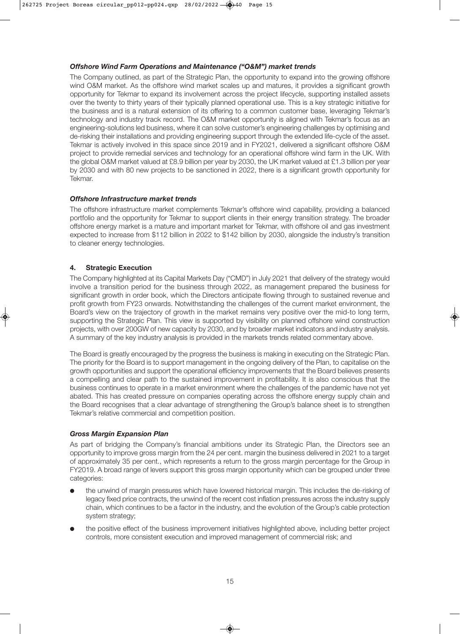#### *Offshore Wind Farm Operations and Maintenance ("O&M") market trends*

The Company outlined, as part of the Strategic Plan, the opportunity to expand into the growing offshore wind O&M market. As the offshore wind market scales up and matures, it provides a significant growth opportunity for Tekmar to expand its involvement across the project lifecycle, supporting installed assets over the twenty to thirty years of their typically planned operational use. This is a key strategic initiative for the business and is a natural extension of its offering to a common customer base, leveraging Tekmar's technology and industry track record. The O&M market opportunity is aligned with Tekmar's focus as an engineering-solutions led business, where it can solve customer's engineering challenges by optimising and de-risking their installations and providing engineering support through the extended life-cycle of the asset. Tekmar is actively involved in this space since 2019 and in FY2021, delivered a significant offshore O&M project to provide remedial services and technology for an operational offshore wind farm in the UK. With the global O&M market valued at £8.9 billion per year by 2030, the UK market valued at £1.3 billion per year by 2030 and with 80 new projects to be sanctioned in 2022, there is a significant growth opportunity for Tekmar.

#### *Offshore Infrastructure market trends*

The offshore infrastructure market complements Tekmar's offshore wind capability, providing a balanced portfolio and the opportunity for Tekmar to support clients in their energy transition strategy. The broader offshore energy market is a mature and important market for Tekmar, with offshore oil and gas investment expected to increase from \$112 billion in 2022 to \$142 billion by 2030, alongside the industry's transition to cleaner energy technologies.

#### **4. Strategic Execution**

The Company highlighted at its Capital Markets Day ("CMD") in July 2021 that delivery of the strategy would involve a transition period for the business through 2022, as management prepared the business for significant growth in order book, which the Directors anticipate flowing through to sustained revenue and profit growth from FY23 onwards. Notwithstanding the challenges of the current market environment, the Board's view on the trajectory of growth in the market remains very positive over the mid-to long term, supporting the Strategic Plan. This view is supported by visibility on planned offshore wind construction projects, with over 200GW of new capacity by 2030, and by broader market indicators and industry analysis. A summary of the key industry analysis is provided in the markets trends related commentary above.

The Board is greatly encouraged by the progress the business is making in executing on the Strategic Plan. The priority for the Board is to support management in the ongoing delivery of the Plan, to capitalise on the growth opportunities and support the operational efficiency improvements that the Board believes presents a compelling and clear path to the sustained improvement in profitability. It is also conscious that the business continues to operate in a market environment where the challenges of the pandemic have not yet abated. This has created pressure on companies operating across the offshore energy supply chain and the Board recognises that a clear advantage of strengthening the Group's balance sheet is to strengthen Tekmar's relative commercial and competition position.

#### *Gross Margin Expansion Plan*

As part of bridging the Company's financial ambitions under its Strategic Plan, the Directors see an opportunity to improve gross margin from the 24 per cent. margin the business delivered in 2021 to a target of approximately 35 per cent., which represents a return to the gross margin percentage for the Group in FY2019. A broad range of levers support this gross margin opportunity which can be grouped under three categories:

- l the unwind of margin pressures which have lowered historical margin. This includes the de-risking of legacy fixed price contracts, the unwind of the recent cost inflation pressures across the industry supply chain, which continues to be a factor in the industry, and the evolution of the Group's cable protection system strategy;
- l the positive effect of the business improvement initiatives highlighted above, including better project controls, more consistent execution and improved management of commercial risk; and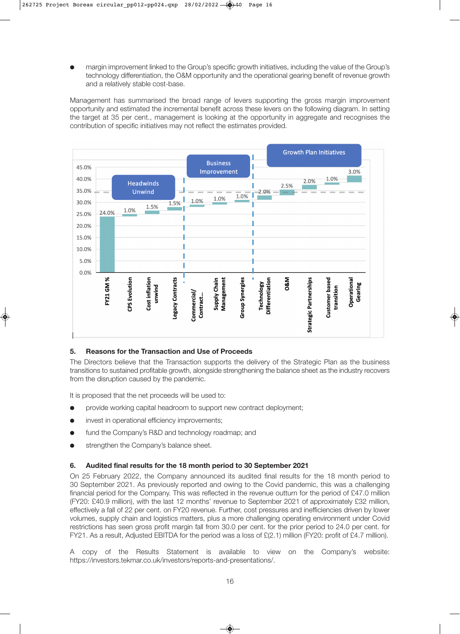l margin improvement linked to the Group's specific growth initiatives, including the value of the Group's technology differentiation, the O&M opportunity and the operational gearing benefit of revenue growth and a relatively stable cost-base.

Management has summarised the broad range of levers supporting the gross margin improvement opportunity and estimated the incremental benefit across these levers on the following diagram. In setting the target at 35 per cent., management is looking at the opportunity in aggregate and recognises the contribution of specific initiatives may not reflect the estimates provided.



#### **5. Reasons for the Transaction and Use of Proceeds**

The Directors believe that the Transaction supports the delivery of the Strategic Plan as the business transitions to sustained profitable growth, alongside strengthening the balance sheet as the industry recovers from the disruption caused by the pandemic.

It is proposed that the net proceeds will be used to:

- **•** provide working capital headroom to support new contract deployment;
- **.** invest in operational efficiency improvements:
- fund the Company's R&D and technology roadmap; and
- **•** strengthen the Company's balance sheet.

#### **6. Audited final results for the 18 month period to 30 September 2021**

On 25 February 2022, the Company announced its audited final results for the 18 month period to 30 September 2021. As previously reported and owing to the Covid pandemic, this was a challenging financial period for the Company. This was reflected in the revenue outturn for the period of £47.0 million (FY20: £40.9 million), with the last 12 months' revenue to September 2021 of approximately £32 million, effectively a fall of 22 per cent. on FY20 revenue. Further, cost pressures and inefficiencies driven by lower volumes, supply chain and logistics matters, plus a more challenging operating environment under Covid restrictions has seen gross profit margin fall from 30.0 per cent. for the prior period to 24.0 per cent. for FY21. As a result, Adjusted EBITDA for the period was a loss of £(2.1) million (FY20: profit of £4.7 million).

A copy of the Results Statement is available to view on the Company's website: https://investors.tekmar.co.uk/investors/reports-and-presentations/.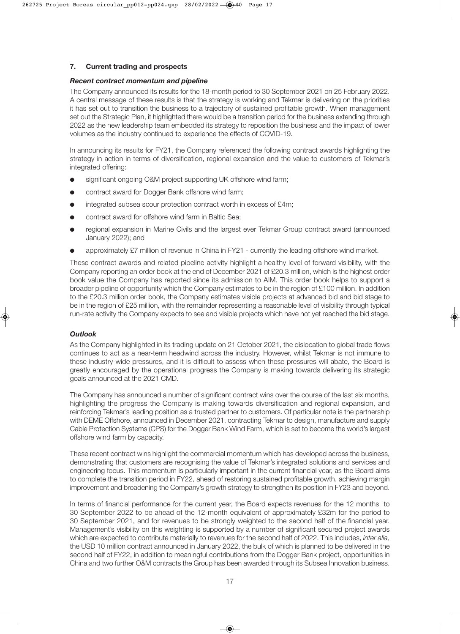#### **7. Current trading and prospects**

#### *Recent contract momentum and pipeline*

The Company announced its results for the 18-month period to 30 September 2021 on 25 February 2022. A central message of these results is that the strategy is working and Tekmar is delivering on the priorities it has set out to transition the business to a trajectory of sustained profitable growth. When management set out the Strategic Plan, it highlighted there would be a transition period for the business extending through 2022 as the new leadership team embedded its strategy to reposition the business and the impact of lower volumes as the industry continued to experience the effects of COVID-19.

In announcing its results for FY21, the Company referenced the following contract awards highlighting the strategy in action in terms of diversification, regional expansion and the value to customers of Tekmar's integrated offering:

- significant ongoing O&M project supporting UK offshore wind farm;
- contract award for Dogger Bank offshore wind farm;
- $\bullet$  integrated subsea scour protection contract worth in excess of £4m;
- contract award for offshore wind farm in Baltic Sea:
- regional expansion in Marine Civils and the largest ever Tekmar Group contract award (announced January 2022); and
- l approximately £7 million of revenue in China in FY21 currently the leading offshore wind market.

These contract awards and related pipeline activity highlight a healthy level of forward visibility, with the Company reporting an order book at the end of December 2021 of £20.3 million, which is the highest order book value the Company has reported since its admission to AIM. This order book helps to support a broader pipeline of opportunity which the Company estimates to be in the region of £100 million. In addition to the £20.3 million order book, the Company estimates visible projects at advanced bid and bid stage to be in the region of £25 million, with the remainder representing a reasonable level of visibility through typical run-rate activity the Company expects to see and visible projects which have not yet reached the bid stage.

#### *Outlook*

As the Company highlighted in its trading update on 21 October 2021, the dislocation to global trade flows continues to act as a near-term headwind across the industry. However, whilst Tekmar is not immune to these industry-wide pressures, and it is difficult to assess when these pressures will abate, the Board is greatly encouraged by the operational progress the Company is making towards delivering its strategic goals announced at the 2021 CMD.

The Company has announced a number of significant contract wins over the course of the last six months, highlighting the progress the Company is making towards diversification and regional expansion, and reinforcing Tekmar's leading position as a trusted partner to customers. Of particular note is the partnership with DEME Offshore, announced in December 2021, contracting Tekmar to design, manufacture and supply Cable Protection Systems (CPS) for the Dogger Bank Wind Farm, which is set to become the world's largest offshore wind farm by capacity.

These recent contract wins highlight the commercial momentum which has developed across the business, demonstrating that customers are recognising the value of Tekmar's integrated solutions and services and engineering focus. This momentum is particularly important in the current financial year, as the Board aims to complete the transition period in FY22, ahead of restoring sustained profitable growth, achieving margin improvement and broadening the Company's growth strategy to strengthen its position in FY23 and beyond.

In terms of financial performance for the current year, the Board expects revenues for the 12 months to 30 September 2022 to be ahead of the 12-month equivalent of approximately £32m for the period to 30 September 2021, and for revenues to be strongly weighted to the second half of the financial year. Management's visibility on this weighting is supported by a number of significant secured project awards which are expected to contribute materially to revenues for the second half of 2022. This includes, *inter alia*, the USD 10 million contract announced in January 2022, the bulk of which is planned to be delivered in the second half of FY22, in addition to meaningful contributions from the Dogger Bank project, opportunities in China and two further O&M contracts the Group has been awarded through its Subsea Innovation business.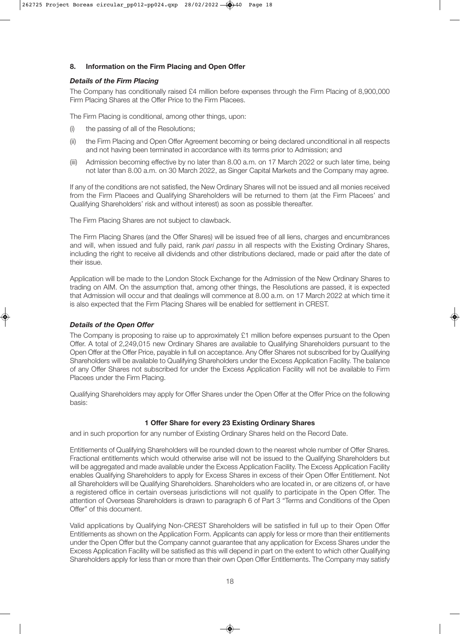#### **8. Information on the Firm Placing and Open Offer**

#### *Details of the Firm Placing*

The Company has conditionally raised £4 million before expenses through the Firm Placing of 8,900,000 Firm Placing Shares at the Offer Price to the Firm Placees.

The Firm Placing is conditional, among other things, upon:

- (i) the passing of all of the Resolutions;
- (ii) the Firm Placing and Open Offer Agreement becoming or being declared unconditional in all respects and not having been terminated in accordance with its terms prior to Admission; and
- (iii) Admission becoming effective by no later than 8.00 a.m. on 17 March 2022 or such later time, being not later than 8.00 a.m. on 30 March 2022, as Singer Capital Markets and the Company may agree.

If any of the conditions are not satisfied, the New Ordinary Shares will not be issued and all monies received from the Firm Placees and Qualifying Shareholders will be returned to them (at the Firm Placees' and Qualifying Shareholders' risk and without interest) as soon as possible thereafter.

The Firm Placing Shares are not subject to clawback.

The Firm Placing Shares (and the Offer Shares) will be issued free of all liens, charges and encumbrances and will, when issued and fully paid, rank *pari passu* in all respects with the Existing Ordinary Shares, including the right to receive all dividends and other distributions declared, made or paid after the date of their issue.

Application will be made to the London Stock Exchange for the Admission of the New Ordinary Shares to trading on AIM. On the assumption that, among other things, the Resolutions are passed, it is expected that Admission will occur and that dealings will commence at 8.00 a.m. on 17 March 2022 at which time it is also expected that the Firm Placing Shares will be enabled for settlement in CREST.

#### *Details of the Open Offer*

The Company is proposing to raise up to approximately £1 million before expenses pursuant to the Open Offer. A total of 2,249,015 new Ordinary Shares are available to Qualifying Shareholders pursuant to the Open Offer at the Offer Price, payable in full on acceptance. Any Offer Shares not subscribed for by Qualifying Shareholders will be available to Qualifying Shareholders under the Excess Application Facility. The balance of any Offer Shares not subscribed for under the Excess Application Facility will not be available to Firm Placees under the Firm Placing.

Qualifying Shareholders may apply for Offer Shares under the Open Offer at the Offer Price on the following basis:

#### **1 Offer Share for every 23 Existing Ordinary Shares**

and in such proportion for any number of Existing Ordinary Shares held on the Record Date.

Entitlements of Qualifying Shareholders will be rounded down to the nearest whole number of Offer Shares. Fractional entitlements which would otherwise arise will not be issued to the Qualifying Shareholders but will be aggregated and made available under the Excess Application Facility. The Excess Application Facility enables Qualifying Shareholders to apply for Excess Shares in excess of their Open Offer Entitlement. Not all Shareholders will be Qualifying Shareholders. Shareholders who are located in, or are citizens of, or have a registered office in certain overseas jurisdictions will not qualify to participate in the Open Offer. The attention of Overseas Shareholders is drawn to paragraph 6 of Part 3 "Terms and Conditions of the Open Offer" of this document.

Valid applications by Qualifying Non-CREST Shareholders will be satisfied in full up to their Open Offer Entitlements as shown on the Application Form. Applicants can apply for less or more than their entitlements under the Open Offer but the Company cannot guarantee that any application for Excess Shares under the Excess Application Facility will be satisfied as this will depend in part on the extent to which other Qualifying Shareholders apply for less than or more than their own Open Offer Entitlements. The Company may satisfy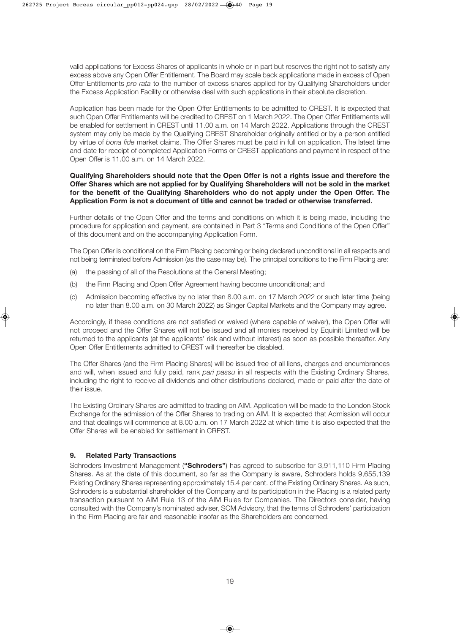valid applications for Excess Shares of applicants in whole or in part but reserves the right not to satisfy any excess above any Open Offer Entitlement. The Board may scale back applications made in excess of Open Offer Entitlements *pro rata* to the number of excess shares applied for by Qualifying Shareholders under the Excess Application Facility or otherwise deal with such applications in their absolute discretion.

Application has been made for the Open Offer Entitlements to be admitted to CREST. It is expected that such Open Offer Entitlements will be credited to CREST on 1 March 2022. The Open Offer Entitlements will be enabled for settlement in CREST until 11.00 a.m. on 14 March 2022. Applications through the CREST system may only be made by the Qualifying CREST Shareholder originally entitled or by a person entitled by virtue of *bona fide* market claims. The Offer Shares must be paid in full on application. The latest time and date for receipt of completed Application Forms or CREST applications and payment in respect of the Open Offer is 11.00 a.m. on 14 March 2022.

#### **Qualifying Shareholders should note that the Open Offer is not a rights issue and therefore the Offer Shares which are not applied for by Qualifying Shareholders will not be sold in the market for the benefit of the Qualifying Shareholders who do not apply under the Open Offer. The Application Form is not a document of title and cannot be traded or otherwise transferred.**

Further details of the Open Offer and the terms and conditions on which it is being made, including the procedure for application and payment, are contained in Part 3 "Terms and Conditions of the Open Offer" of this document and on the accompanying Application Form.

The Open Offer is conditional on the Firm Placing becoming or being declared unconditional in all respects and not being terminated before Admission (as the case may be). The principal conditions to the Firm Placing are:

- (a) the passing of all of the Resolutions at the General Meeting;
- (b) the Firm Placing and Open Offer Agreement having become unconditional; and
- (c) Admission becoming effective by no later than 8.00 a.m. on 17 March 2022 or such later time (being no later than 8.00 a.m. on 30 March 2022) as Singer Capital Markets and the Company may agree.

Accordingly, if these conditions are not satisfied or waived (where capable of waiver), the Open Offer will not proceed and the Offer Shares will not be issued and all monies received by Equiniti Limited will be returned to the applicants (at the applicants' risk and without interest) as soon as possible thereafter. Any Open Offer Entitlements admitted to CREST will thereafter be disabled.

The Offer Shares (and the Firm Placing Shares) will be issued free of all liens, charges and encumbrances and will, when issued and fully paid, rank *pari passu* in all respects with the Existing Ordinary Shares, including the right to receive all dividends and other distributions declared, made or paid after the date of their issue.

The Existing Ordinary Shares are admitted to trading on AIM. Application will be made to the London Stock Exchange for the admission of the Offer Shares to trading on AIM. It is expected that Admission will occur and that dealings will commence at 8.00 a.m. on 17 March 2022 at which time it is also expected that the Offer Shares will be enabled for settlement in CREST.

#### **9. Related Party Transactions**

Schroders Investment Management (**"Schroders"**) has agreed to subscribe for 3,911,110 Firm Placing Shares. As at the date of this document, so far as the Company is aware, Schroders holds 9,655,139 Existing Ordinary Shares representing approximately 15.4 per cent. of the Existing Ordinary Shares. As such, Schroders is a substantial shareholder of the Company and its participation in the Placing is a related party transaction pursuant to AIM Rule 13 of the AIM Rules for Companies. The Directors consider, having consulted with the Company's nominated adviser, SCM Advisory, that the terms of Schroders' participation in the Firm Placing are fair and reasonable insofar as the Shareholders are concerned.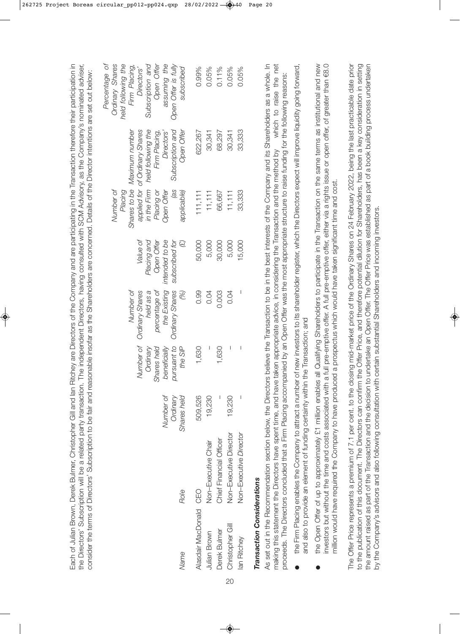Each of Julian Brown, Derek Bulmer, Christopher Gill and lan Ritchey are Directors of the Company and are participating in the Transaction therefore their participation in the Directors' Subscription will be a related party transaction. The independent Directors, having consulted with SCM Advisory, as the Company's nominated adviser, Each of Julian Brown, Derek Bulmer, Christopher Gill and Ian Ritchey are Directors of the Company and are participating in the Transaction therefore their participation in the Directors' Subscription will be a related party transaction. The independent Directors, having consulted with SCM Advisory, as the Company's nominated adviser, consider the terms of Directors' Subscription to be fair and reasonable insofar as the Shareholders are concerned. Details of the Director intentions are set out below: consider the terms of Directors' Subscription to be fair and reasonable insofar as the Shareholders are concerned. Details of the Director intentions are set out below:

| Percentage of | Ordinary Shares | held following the | Firm Placing,               | Directors'                     | Subscription and               | Open Offer    | assuming the      | Open Offer is fully    | subscribed         | 0.99%                  | 0.05%               | 0.11%                   | 0.05%                  | 0.05%                         |
|---------------|-----------------|--------------------|-----------------------------|--------------------------------|--------------------------------|---------------|-------------------|------------------------|--------------------|------------------------|---------------------|-------------------------|------------------------|-------------------------------|
|               |                 |                    | Shares to be Maximum number | applied for of Ordinary Shares | in the Firm held following the | Firm Placing, | Directors'        | Subscription and       | Open Offer         | 622,267                | 30,341              | 68,297                  | 30,341                 | 33,333                        |
|               | Number of       | Placing            |                             |                                |                                | Placing or    | <b>Dpen Offer</b> | (as                    | applicable)        | 111, 111               | 11, 111             | 66,667                  | 11, 111                | 33,333                        |
|               |                 |                    |                             | <i>Value of</i>                | Placing and                    | Open Offer    | intended to be    | subscribed for         | $\bigcirc$         | 50,000                 | 5,000               | 30,000                  | 5,000                  | 15,000                        |
|               |                 |                    | Number of                   | Ordinary Shares                | held as a                      | percentage of | the Existing      | <b>Ordinary Shares</b> | (%)                | 0.99                   | 0.04                | 0.003                   | 0.04                   | I                             |
|               |                 |                    |                             | Number of                      | Ordinary                       | Shares held   | beneficially      | pursuant to            | the SIP            | 1,630                  |                     | 1,630                   | I                      | I                             |
|               |                 |                    |                             |                                |                                |               | Number of         | Ordinary               | <b>Shares held</b> | 509,526                | 19,230              |                         | 19,230                 |                               |
|               |                 |                    |                             |                                |                                |               |                   |                        | Role               |                        | Non-Executive Chair | Chief Financial Officer | Non-Executive Director | <b>Non-Executive Director</b> |
|               |                 |                    |                             |                                |                                |               |                   |                        | Name               | Alasdair MacDonald CEO | <b>Julian Brown</b> | Derek Bulmer            | Christopher Gill       | lan Ritchey                   |

# **Transaction Considerations** *Transaction Considerations*

As set out in the Recommendation section below, the Directors believe the Transaction to be in the best interests of the Company and its Shareholders as a whole. In which to raise the net As set out in the Recommendation section below, the Directors believe the Transaction to be in the best interests of the Company and its Shareholders as a whole. In making this statement the Directors have spent time, and have taken appropriate advice, in considering the Transaction and the method by which to raise the net proceeds. The Directors concluded that a Firm Placing accompanied by an Open Offer was the most appropriate structure to raise funding for the following reasons: proceeds. The Directors concluded that a Firm Placing accompanied by an Open Offer was the most appropriate structure to raise funding for the following reasons: making this statement the Directors have spent time, and have taken appropriate advice, in considering the Transaction and the method by

- the Firm Placing enables the Company to attract a number of new investors to its shareholder register, which the Directors expect will improve liquidity going forward, the Firm Placing enables the Company to attract a number of new investors to its shareholder register, which the Directors expect will improve liquidity going forward, and also to provide an element of funding certainty within the Transaction; and and also to provide an element of funding certainty within the Transaction; and l
- the Open Offer of up to approximately £1 million enables all Qualifying Shareholders to participate in the Transaction on the same terms as institutional and new investors but without the time and costs associated with a full pre-emptive offer. A full pre-emptive offer, either via a rights issue or open offer, of greater than €8.0 the Open Offer of up to approximately £1 million enables all Qualifying Shareholders to participate in the Transaction on the same terms as institutional and new investors but without the time and costs associated with a full pre-emptive offer. A full pre-emptive offer, either via a rights issue or open offer, of greater than €8.0 million would have required the Company to have produced a prospectus which would have taken significant time and cost. million would have required the Company to have produced a prospectus which would have taken significant time and cost.  $\bullet$

The Offer Price represents a premium of 7.1 per cent. to the closing mid-market price of the Ordinary Shares on 24 February 2022, being the last practicable date prior to the publication of this document. The Directors can confirm the Offer Price, and therefore potential dilution for Shareholders, has been a key consideration in setting the amount raised as part of the Transaction and the decision to undertake an Open Offer. The Offer Price was established as part of a book building process undertaken The Offer Price represents a premium of 7.1 per cent. to the closing mid-market price of the Ordinary Shares on 24 February 2022, being the last practicable date prior to the publication of this document. The Directors can confirm the Offer Price, and therefore potential dilution for Shareholders, has been a key consideration in setting the amount raised as part of the Transaction and the decision to undertake an Open Offer. The Offer Price was established as part of a book building process undertaken by the Company's advisors and also following consultation with certain substantial Shareholders and incoming investors. by the Company's advisors and also following consultation with certain substantial Shareholders and incoming investors.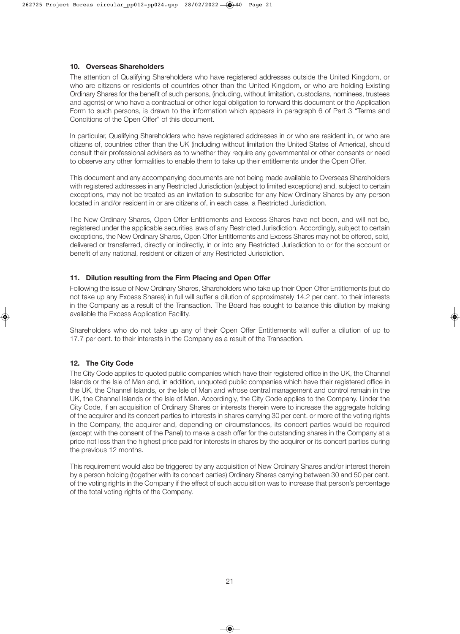#### **10. Overseas Shareholders**

The attention of Qualifying Shareholders who have registered addresses outside the United Kingdom, or who are citizens or residents of countries other than the United Kingdom, or who are holding Existing Ordinary Shares for the benefit of such persons, (including, without limitation, custodians, nominees, trustees and agents) or who have a contractual or other legal obligation to forward this document or the Application Form to such persons, is drawn to the information which appears in paragraph 6 of Part 3 "Terms and Conditions of the Open Offer" of this document.

In particular, Qualifying Shareholders who have registered addresses in or who are resident in, or who are citizens of, countries other than the UK (including without limitation the United States of America), should consult their professional advisers as to whether they require any governmental or other consents or need to observe any other formalities to enable them to take up their entitlements under the Open Offer.

This document and any accompanying documents are not being made available to Overseas Shareholders with registered addresses in any Restricted Jurisdiction (subject to limited exceptions) and, subject to certain exceptions, may not be treated as an invitation to subscribe for any New Ordinary Shares by any person located in and/or resident in or are citizens of, in each case, a Restricted Jurisdiction.

The New Ordinary Shares, Open Offer Entitlements and Excess Shares have not been, and will not be, registered under the applicable securities laws of any Restricted Jurisdiction. Accordingly, subject to certain exceptions, the New Ordinary Shares, Open Offer Entitlements and Excess Shares may not be offered, sold, delivered or transferred, directly or indirectly, in or into any Restricted Jurisdiction to or for the account or benefit of any national, resident or citizen of any Restricted Jurisdiction.

#### **11. Dilution resulting from the Firm Placing and Open Offer**

Following the issue of New Ordinary Shares, Shareholders who take up their Open Offer Entitlements (but do not take up any Excess Shares) in full will suffer a dilution of approximately 14.2 per cent. to their interests in the Company as a result of the Transaction. The Board has sought to balance this dilution by making available the Excess Application Facility.

Shareholders who do not take up any of their Open Offer Entitlements will suffer a dilution of up to 17.7 per cent. to their interests in the Company as a result of the Transaction.

#### **12. The City Code**

The City Code applies to quoted public companies which have their registered office in the UK, the Channel Islands or the Isle of Man and, in addition, unquoted public companies which have their registered office in the UK, the Channel Islands, or the Isle of Man and whose central management and control remain in the UK, the Channel Islands or the Isle of Man. Accordingly, the City Code applies to the Company. Under the City Code, if an acquisition of Ordinary Shares or interests therein were to increase the aggregate holding of the acquirer and its concert parties to interests in shares carrying 30 per cent. or more of the voting rights in the Company, the acquirer and, depending on circumstances, its concert parties would be required (except with the consent of the Panel) to make a cash offer for the outstanding shares in the Company at a price not less than the highest price paid for interests in shares by the acquirer or its concert parties during the previous 12 months.

This requirement would also be triggered by any acquisition of New Ordinary Shares and/or interest therein by a person holding (together with its concert parties) Ordinary Shares carrying between 30 and 50 per cent. of the voting rights in the Company if the effect of such acquisition was to increase that person's percentage of the total voting rights of the Company.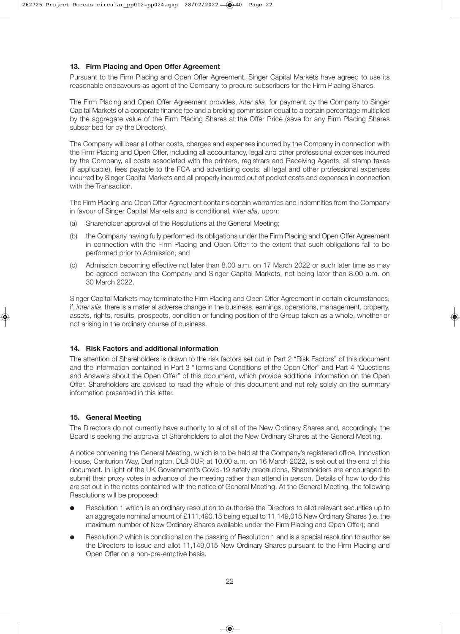#### **13. Firm Placing and Open Offer Agreement**

Pursuant to the Firm Placing and Open Offer Agreement, Singer Capital Markets have agreed to use its reasonable endeavours as agent of the Company to procure subscribers for the Firm Placing Shares.

The Firm Placing and Open Offer Agreement provides, *inter alia*, for payment by the Company to Singer Capital Markets of a corporate finance fee and a broking commission equal to a certain percentage multiplied by the aggregate value of the Firm Placing Shares at the Offer Price (save for any Firm Placing Shares subscribed for by the Directors).

The Company will bear all other costs, charges and expenses incurred by the Company in connection with the Firm Placing and Open Offer, including all accountancy, legal and other professional expenses incurred by the Company, all costs associated with the printers, registrars and Receiving Agents, all stamp taxes (if applicable), fees payable to the FCA and advertising costs, all legal and other professional expenses incurred by Singer Capital Markets and all properly incurred out of pocket costs and expenses in connection with the Transaction.

The Firm Placing and Open Offer Agreement contains certain warranties and indemnities from the Company in favour of Singer Capital Markets and is conditional, *inter alia*, upon:

- (a) Shareholder approval of the Resolutions at the General Meeting;
- (b) the Company having fully performed its obligations under the Firm Placing and Open Offer Agreement in connection with the Firm Placing and Open Offer to the extent that such obligations fall to be performed prior to Admission; and
- (c) Admission becoming effective not later than 8.00 a.m. on 17 March 2022 or such later time as may be agreed between the Company and Singer Capital Markets, not being later than 8.00 a.m. on 30 March 2022.

Singer Capital Markets may terminate the Firm Placing and Open Offer Agreement in certain circumstances, if, *inter alia*, there is a material adverse change in the business, earnings, operations, management, property, assets, rights, results, prospects, condition or funding position of the Group taken as a whole, whether or not arising in the ordinary course of business.

#### **14. Risk Factors and additional information**

The attention of Shareholders is drawn to the risk factors set out in Part 2 "Risk Factors" of this document and the information contained in Part 3 "Terms and Conditions of the Open Offer" and Part 4 "Questions and Answers about the Open Offer" of this document, which provide additional information on the Open Offer. Shareholders are advised to read the whole of this document and not rely solely on the summary information presented in this letter.

#### **15. General Meeting**

The Directors do not currently have authority to allot all of the New Ordinary Shares and, accordingly, the Board is seeking the approval of Shareholders to allot the New Ordinary Shares at the General Meeting.

A notice convening the General Meeting, which is to be held at the Company's registered office, Innovation House, Centurion Way, Darlington, DL3 0UP, at 10.00 a.m. on 16 March 2022, is set out at the end of this document. In light of the UK Government's Covid-19 safety precautions, Shareholders are encouraged to submit their proxy votes in advance of the meeting rather than attend in person. Details of how to do this are set out in the notes contained with the notice of General Meeting. At the General Meeting, the following Resolutions will be proposed:

- Resolution 1 which is an ordinary resolution to authorise the Directors to allot relevant securities up to an aggregate nominal amount of £111,490.15 being equal to 11,149,015 New Ordinary Shares (i.e. the maximum number of New Ordinary Shares available under the Firm Placing and Open Offer); and
- Resolution 2 which is conditional on the passing of Resolution 1 and is a special resolution to authorise the Directors to issue and allot 11,149,015 New Ordinary Shares pursuant to the Firm Placing and Open Offer on a non-pre-emptive basis.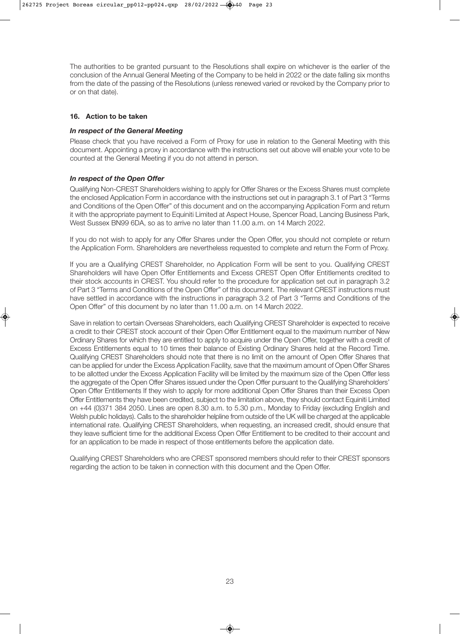The authorities to be granted pursuant to the Resolutions shall expire on whichever is the earlier of the conclusion of the Annual General Meeting of the Company to be held in 2022 or the date falling six months from the date of the passing of the Resolutions (unless renewed varied or revoked by the Company prior to or on that date).

#### **16. Action to be taken**

#### *In respect of the General Meeting*

Please check that you have received a Form of Proxy for use in relation to the General Meeting with this document. Appointing a proxy in accordance with the instructions set out above will enable your vote to be counted at the General Meeting if you do not attend in person.

#### *In respect of the Open Offer*

Qualifying Non-CREST Shareholders wishing to apply for Offer Shares or the Excess Shares must complete the enclosed Application Form in accordance with the instructions set out in paragraph 3.1 of Part 3 "Terms and Conditions of the Open Offer" of this document and on the accompanying Application Form and return it with the appropriate payment to Equiniti Limited at Aspect House, Spencer Road, Lancing Business Park, West Sussex BN99 6DA, so as to arrive no later than 11.00 a.m. on 14 March 2022.

If you do not wish to apply for any Offer Shares under the Open Offer, you should not complete or return the Application Form. Shareholders are nevertheless requested to complete and return the Form of Proxy.

If you are a Qualifying CREST Shareholder, no Application Form will be sent to you. Qualifying CREST Shareholders will have Open Offer Entitlements and Excess CREST Open Offer Entitlements credited to their stock accounts in CREST. You should refer to the procedure for application set out in paragraph 3.2 of Part 3 "Terms and Conditions of the Open Offer" of this document. The relevant CREST instructions must have settled in accordance with the instructions in paragraph 3.2 of Part 3 "Terms and Conditions of the Open Offer" of this document by no later than 11.00 a.m. on 14 March 2022.

Save in relation to certain Overseas Shareholders, each Qualifying CREST Shareholder is expected to receive a credit to their CREST stock account of their Open Offer Entitlement equal to the maximum number of New Ordinary Shares for which they are entitled to apply to acquire under the Open Offer, together with a credit of Excess Entitlements equal to 10 times their balance of Existing Ordinary Shares held at the Record Time. Qualifying CREST Shareholders should note that there is no limit on the amount of Open Offer Shares that can be applied for under the Excess Application Facility, save that the maximum amount of Open Offer Shares to be allotted under the Excess Application Facility will be limited by the maximum size of the Open Offer less the aggregate of the Open Offer Shares issued under the Open Offer pursuant to the Qualifying Shareholders' Open Offer Entitlements If they wish to apply for more additional Open Offer Shares than their Excess Open Offer Entitlements they have been credited, subject to the limitation above, they should contact Equiniti Limited on +44 (0)371 384 2050. Lines are open 8.30 a.m. to 5.30 p.m., Monday to Friday (excluding English and Welsh public holidays). Calls to the shareholder helpline from outside of the UK will be charged at the applicable international rate. Qualifying CREST Shareholders, when requesting, an increased credit, should ensure that they leave sufficient time for the additional Excess Open Offer Entitlement to be credited to their account and for an application to be made in respect of those entitlements before the application date.

Qualifying CREST Shareholders who are CREST sponsored members should refer to their CREST sponsors regarding the action to be taken in connection with this document and the Open Offer.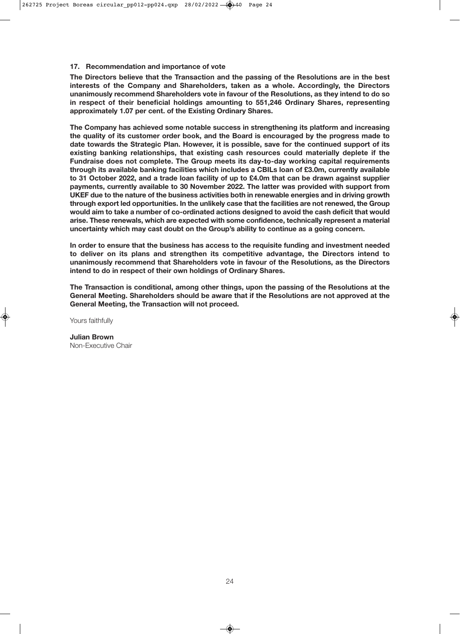#### **17. Recommendation and importance of vote**

**The Directors believe that the Transaction and the passing of the Resolutions are in the best interests of the Company and Shareholders, taken as a whole. Accordingly, the Directors unanimously recommend Shareholders vote in favour of the Resolutions, as they intend to do so in respect of their beneficial holdings amounting to 551,246 Ordinary Shares, representing approximately 1.07 per cent. of the Existing Ordinary Shares.**

**The Company has achieved some notable success in strengthening its platform and increasing the quality of its customer order book, and the Board is encouraged by the progress made to date towards the Strategic Plan. However, it is possible, save for the continued support of its existing banking relationships, that existing cash resources could materially deplete if the Fundraise does not complete. The Group meets its day-to-day working capital requirements through its available banking facilities which includes a CBILs loan of £3.0m, currently available to 31 October 2022, and a trade loan facility of up to £4.0m that can be drawn against supplier payments, currently available to 30 November 2022. The latter was provided with support from UKEF due to the nature of the business activities both in renewable energies and in driving growth through export led opportunities. In the unlikely case that the facilities are not renewed, the Group would aim to take a number of co-ordinated actions designed to avoid the cash deficit that would arise. These renewals, which are expected with some confidence, technically represent a material uncertainty which may cast doubt on the Group's ability to continue as a going concern.**

**In order to ensure that the business has access to the requisite funding and investment needed to deliver on its plans and strengthen its competitive advantage, the Directors intend to unanimously recommend that Shareholders vote in favour of the Resolutions, as the Directors intend to do in respect of their own holdings of Ordinary Shares.**

**The Transaction is conditional, among other things, upon the passing of the Resolutions at the General Meeting. Shareholders should be aware that if the Resolutions are not approved at the General Meeting, the Transaction will not proceed.**

Yours faithfully

**Julian Brown** Non-Executive Chair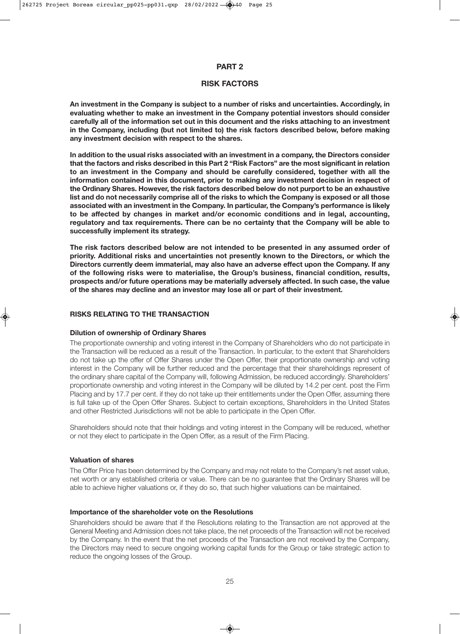#### **PART 2**

#### **RISK FACTORS**

**An investment in the Company is subject to a number of risks and uncertainties. Accordingly, in evaluating whether to make an investment in the Company potential investors should consider carefully all of the information set out in this document and the risks attaching to an investment in the Company, including (but not limited to) the risk factors described below, before making any investment decision with respect to the shares.**

**In addition to the usual risks associated with an investment in a company, the Directors consider that the factors and risks described in this Part 2 "Risk Factors" are the most significant in relation to an investment in the Company and should be carefully considered, together with all the information contained in this document, prior to making any investment decision in respect of the Ordinary Shares. However, the risk factors described below do not purport to be an exhaustive list and do not necessarily comprise all of the risks to which the Company is exposed or all those associated with an investment in the Company. In particular, the Company's performance is likely to be affected by changes in market and/or economic conditions and in legal, accounting, regulatory and tax requirements. There can be no certainty that the Company will be able to successfully implement its strategy.**

**The risk factors described below are not intended to be presented in any assumed order of priority. Additional risks and uncertainties not presently known to the Directors, or which the Directors currently deem immaterial, may also have an adverse effect upon the Company. If any of the following risks were to materialise, the Group's business, financial condition, results, prospects and/or future operations may be materially adversely affected. In such case, the value of the shares may decline and an investor may lose all or part of their investment.**

#### **RISKS RELATING TO THE TRANSACTION**

#### **Dilution of ownership of Ordinary Shares**

The proportionate ownership and voting interest in the Company of Shareholders who do not participate in the Transaction will be reduced as a result of the Transaction. In particular, to the extent that Shareholders do not take up the offer of Offer Shares under the Open Offer, their proportionate ownership and voting interest in the Company will be further reduced and the percentage that their shareholdings represent of the ordinary share capital of the Company will, following Admission, be reduced accordingly. Shareholders' proportionate ownership and voting interest in the Company will be diluted by 14.2 per cent. post the Firm Placing and by 17.7 per cent. if they do not take up their entitlements under the Open Offer, assuming there is full take up of the Open Offer Shares. Subject to certain exceptions, Shareholders in the United States and other Restricted Jurisdictions will not be able to participate in the Open Offer.

Shareholders should note that their holdings and voting interest in the Company will be reduced, whether or not they elect to participate in the Open Offer, as a result of the Firm Placing.

#### **Valuation of shares**

The Offer Price has been determined by the Company and may not relate to the Company's net asset value, net worth or any established criteria or value. There can be no guarantee that the Ordinary Shares will be able to achieve higher valuations or, if they do so, that such higher valuations can be maintained.

#### **Importance of the shareholder vote on the Resolutions**

Shareholders should be aware that if the Resolutions relating to the Transaction are not approved at the General Meeting and Admission does not take place, the net proceeds of the Transaction will not be received by the Company. In the event that the net proceeds of the Transaction are not received by the Company, the Directors may need to secure ongoing working capital funds for the Group or take strategic action to reduce the ongoing losses of the Group.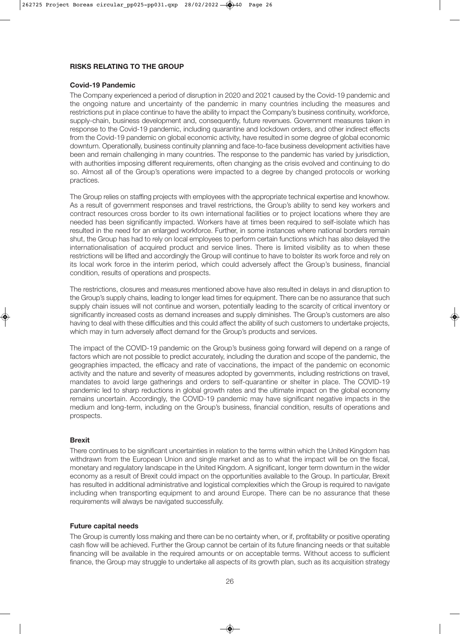#### **RISKS RELATING TO THE GROUP**

#### **Covid-19 Pandemic**

The Company experienced a period of disruption in 2020 and 2021 caused by the Covid-19 pandemic and the ongoing nature and uncertainty of the pandemic in many countries including the measures and restrictions put in place continue to have the ability to impact the Company's business continuity, workforce, supply-chain, business development and, consequently, future revenues. Government measures taken in response to the Covid-19 pandemic, including quarantine and lockdown orders, and other indirect effects from the Covid-19 pandemic on global economic activity, have resulted in some degree of global economic downturn. Operationally, business continuity planning and face-to-face business development activities have been and remain challenging in many countries. The response to the pandemic has varied by jurisdiction, with authorities imposing different requirements, often changing as the crisis evolved and continuing to do so. Almost all of the Group's operations were impacted to a degree by changed protocols or working practices.

The Group relies on staffing projects with employees with the appropriate technical expertise and knowhow. As a result of government responses and travel restrictions, the Group's ability to send key workers and contract resources cross border to its own international facilities or to project locations where they are needed has been significantly impacted. Workers have at times been required to self-isolate which has resulted in the need for an enlarged workforce. Further, in some instances where national borders remain shut, the Group has had to rely on local employees to perform certain functions which has also delayed the internationalisation of acquired product and service lines. There is limited visibility as to when these restrictions will be lifted and accordingly the Group will continue to have to bolster its work force and rely on its local work force in the interim period, which could adversely affect the Group's business, financial condition, results of operations and prospects.

The restrictions, closures and measures mentioned above have also resulted in delays in and disruption to the Group's supply chains, leading to longer lead times for equipment. There can be no assurance that such supply chain issues will not continue and worsen, potentially leading to the scarcity of critical inventory or significantly increased costs as demand increases and supply diminishes. The Group's customers are also having to deal with these difficulties and this could affect the ability of such customers to undertake projects, which may in turn adversely affect demand for the Group's products and services.

The impact of the COVID-19 pandemic on the Group's business going forward will depend on a range of factors which are not possible to predict accurately, including the duration and scope of the pandemic, the geographies impacted, the efficacy and rate of vaccinations, the impact of the pandemic on economic activity and the nature and severity of measures adopted by governments, including restrictions on travel, mandates to avoid large gatherings and orders to self-quarantine or shelter in place. The COVID-19 pandemic led to sharp reductions in global growth rates and the ultimate impact on the global economy remains uncertain. Accordingly, the COVID-19 pandemic may have significant negative impacts in the medium and long-term, including on the Group's business, financial condition, results of operations and prospects.

#### **Brexit**

There continues to be significant uncertainties in relation to the terms within which the United Kingdom has withdrawn from the European Union and single market and as to what the impact will be on the fiscal, monetary and regulatory landscape in the United Kingdom. A significant, longer term downturn in the wider economy as a result of Brexit could impact on the opportunities available to the Group. In particular, Brexit has resulted in additional administrative and logistical complexities which the Group is required to navigate including when transporting equipment to and around Europe. There can be no assurance that these requirements will always be navigated successfully.

#### **Future capital needs**

The Group is currently loss making and there can be no certainty when, or if, profitability or positive operating cash flow will be achieved. Further the Group cannot be certain of its future financing needs or that suitable financing will be available in the required amounts or on acceptable terms. Without access to sufficient finance, the Group may struggle to undertake all aspects of its growth plan, such as its acquisition strategy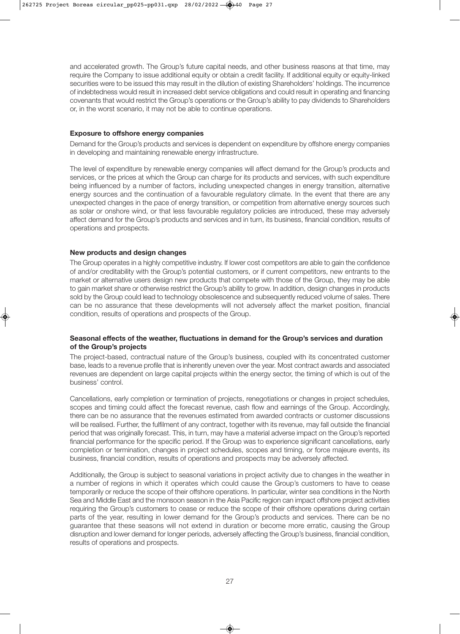and accelerated growth. The Group's future capital needs, and other business reasons at that time, may require the Company to issue additional equity or obtain a credit facility. If additional equity or equity-linked securities were to be issued this may result in the dilution of existing Shareholders' holdings. The incurrence of indebtedness would result in increased debt service obligations and could result in operating and financing covenants that would restrict the Group's operations or the Group's ability to pay dividends to Shareholders or, in the worst scenario, it may not be able to continue operations.

#### **Exposure to offshore energy companies**

Demand for the Group's products and services is dependent on expenditure by offshore energy companies in developing and maintaining renewable energy infrastructure.

The level of expenditure by renewable energy companies will affect demand for the Group's products and services, or the prices at which the Group can charge for its products and services, with such expenditure being influenced by a number of factors, including unexpected changes in energy transition, alternative energy sources and the continuation of a favourable regulatory climate. In the event that there are any unexpected changes in the pace of energy transition, or competition from alternative energy sources such as solar or onshore wind, or that less favourable regulatory policies are introduced, these may adversely affect demand for the Group's products and services and in turn, its business, financial condition, results of operations and prospects.

#### **New products and design changes**

The Group operates in a highly competitive industry. If lower cost competitors are able to gain the confidence of and/or creditability with the Group's potential customers, or if current competitors, new entrants to the market or alternative users design new products that compete with those of the Group, they may be able to gain market share or otherwise restrict the Group's ability to grow. In addition, design changes in products sold by the Group could lead to technology obsolescence and subsequently reduced volume of sales. There can be no assurance that these developments will not adversely affect the market position, financial condition, results of operations and prospects of the Group.

#### **Seasonal effects of the weather, fluctuations in demand for the Group's services and duration of the Group's projects**

The project-based, contractual nature of the Group's business, coupled with its concentrated customer base, leads to a revenue profile that is inherently uneven over the year. Most contract awards and associated revenues are dependent on large capital projects within the energy sector, the timing of which is out of the business' control.

Cancellations, early completion or termination of projects, renegotiations or changes in project schedules, scopes and timing could affect the forecast revenue, cash flow and earnings of the Group. Accordingly, there can be no assurance that the revenues estimated from awarded contracts or customer discussions will be realised. Further, the fulfilment of any contract, together with its revenue, may fall outside the financial period that was originally forecast. This, in turn, may have a material adverse impact on the Group's reported financial performance for the specific period. If the Group was to experience significant cancellations, early completion or termination, changes in project schedules, scopes and timing, or force majeure events, its business, financial condition, results of operations and prospects may be adversely affected.

Additionally, the Group is subject to seasonal variations in project activity due to changes in the weather in a number of regions in which it operates which could cause the Group's customers to have to cease temporarily or reduce the scope of their offshore operations. In particular, winter sea conditions in the North Sea and Middle East and the monsoon season in the Asia Pacific region can impact offshore project activities requiring the Group's customers to cease or reduce the scope of their offshore operations during certain parts of the year, resulting in lower demand for the Group's products and services. There can be no guarantee that these seasons will not extend in duration or become more erratic, causing the Group disruption and lower demand for longer periods, adversely affecting the Group's business, financial condition, results of operations and prospects.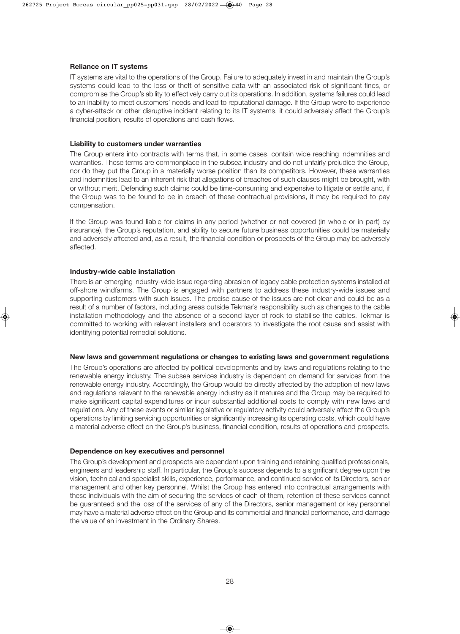#### **Reliance on IT systems**

IT systems are vital to the operations of the Group. Failure to adequately invest in and maintain the Group's systems could lead to the loss or theft of sensitive data with an associated risk of significant fines, or compromise the Group's ability to effectively carry out its operations. In addition, systems failures could lead to an inability to meet customers' needs and lead to reputational damage. If the Group were to experience a cyber-attack or other disruptive incident relating to its IT systems, it could adversely affect the Group's financial position, results of operations and cash flows.

#### **Liability to customers under warranties**

The Group enters into contracts with terms that, in some cases, contain wide reaching indemnities and warranties. These terms are commonplace in the subsea industry and do not unfairly prejudice the Group, nor do they put the Group in a materially worse position than its competitors. However, these warranties and indemnities lead to an inherent risk that allegations of breaches of such clauses might be brought, with or without merit. Defending such claims could be time-consuming and expensive to litigate or settle and, if the Group was to be found to be in breach of these contractual provisions, it may be required to pay compensation.

If the Group was found liable for claims in any period (whether or not covered (in whole or in part) by insurance), the Group's reputation, and ability to secure future business opportunities could be materially and adversely affected and, as a result, the financial condition or prospects of the Group may be adversely affected.

#### **Industry-wide cable installation**

There is an emerging industry-wide issue regarding abrasion of legacy cable protection systems installed at off-shore windfarms. The Group is engaged with partners to address these industry-wide issues and supporting customers with such issues. The precise cause of the issues are not clear and could be as a result of a number of factors, including areas outside Tekmar's responsibility such as changes to the cable installation methodology and the absence of a second layer of rock to stabilise the cables. Tekmar is committed to working with relevant installers and operators to investigate the root cause and assist with identifying potential remedial solutions.

#### **New laws and government regulations or changes to existing laws and government regulations**

The Group's operations are affected by political developments and by laws and regulations relating to the renewable energy industry. The subsea services industry is dependent on demand for services from the renewable energy industry. Accordingly, the Group would be directly affected by the adoption of new laws and regulations relevant to the renewable energy industry as it matures and the Group may be required to make significant capital expenditures or incur substantial additional costs to comply with new laws and regulations. Any of these events or similar legislative or regulatory activity could adversely affect the Group's operations by limiting servicing opportunities or significantly increasing its operating costs, which could have a material adverse effect on the Group's business, financial condition, results of operations and prospects.

#### **Dependence on key executives and personnel**

The Group's development and prospects are dependent upon training and retaining qualified professionals, engineers and leadership staff. In particular, the Group's success depends to a significant degree upon the vision, technical and specialist skills, experience, performance, and continued service of its Directors, senior management and other key personnel. Whilst the Group has entered into contractual arrangements with these individuals with the aim of securing the services of each of them, retention of these services cannot be guaranteed and the loss of the services of any of the Directors, senior management or key personnel may have a material adverse effect on the Group and its commercial and financial performance, and damage the value of an investment in the Ordinary Shares.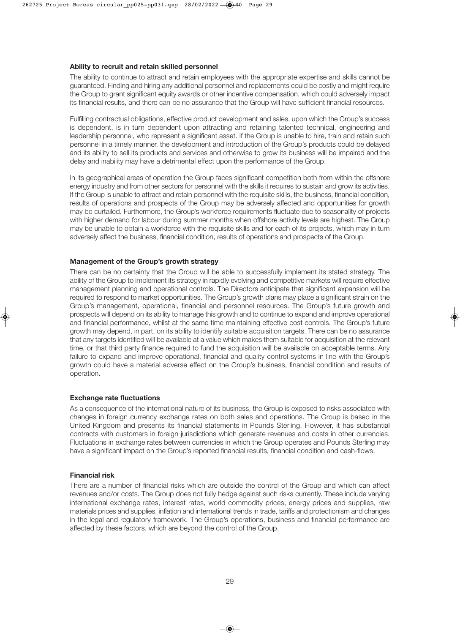#### **Ability to recruit and retain skilled personnel**

The ability to continue to attract and retain employees with the appropriate expertise and skills cannot be guaranteed. Finding and hiring any additional personnel and replacements could be costly and might require the Group to grant significant equity awards or other incentive compensation, which could adversely impact its financial results, and there can be no assurance that the Group will have sufficient financial resources.

Fulfilling contractual obligations, effective product development and sales, upon which the Group's success is dependent, is in turn dependent upon attracting and retaining talented technical, engineering and leadership personnel, who represent a significant asset. If the Group is unable to hire, train and retain such personnel in a timely manner, the development and introduction of the Group's products could be delayed and its ability to sell its products and services and otherwise to grow its business will be impaired and the delay and inability may have a detrimental effect upon the performance of the Group.

In its geographical areas of operation the Group faces significant competition both from within the offshore energy industry and from other sectors for personnel with the skills it requires to sustain and grow its activities. If the Group is unable to attract and retain personnel with the requisite skills, the business, financial condition, results of operations and prospects of the Group may be adversely affected and opportunities for growth may be curtailed. Furthermore, the Group's workforce requirements fluctuate due to seasonality of projects with higher demand for labour during summer months when offshore activity levels are highest. The Group may be unable to obtain a workforce with the requisite skills and for each of its projects, which may in turn adversely affect the business, financial condition, results of operations and prospects of the Group.

#### **Management of the Group's growth strategy**

There can be no certainty that the Group will be able to successfully implement its stated strategy. The ability of the Group to implement its strategy in rapidly evolving and competitive markets will require effective management planning and operational controls. The Directors anticipate that significant expansion will be required to respond to market opportunities. The Group's growth plans may place a significant strain on the Group's management, operational, financial and personnel resources. The Group's future growth and prospects will depend on its ability to manage this growth and to continue to expand and improve operational and financial performance, whilst at the same time maintaining effective cost controls. The Group's future growth may depend, in part, on its ability to identify suitable acquisition targets. There can be no assurance that any targets identified will be available at a value which makes them suitable for acquisition at the relevant time, or that third party finance required to fund the acquisition will be available on acceptable terms. Any failure to expand and improve operational, financial and quality control systems in line with the Group's growth could have a material adverse effect on the Group's business, financial condition and results of operation.

#### **Exchange rate fluctuations**

As a consequence of the international nature of its business, the Group is exposed to risks associated with changes in foreign currency exchange rates on both sales and operations. The Group is based in the United Kingdom and presents its financial statements in Pounds Sterling. However, it has substantial contracts with customers in foreign jurisdictions which generate revenues and costs in other currencies. Fluctuations in exchange rates between currencies in which the Group operates and Pounds Sterling may have a significant impact on the Group's reported financial results, financial condition and cash-flows.

#### **Financial risk**

There are a number of financial risks which are outside the control of the Group and which can affect revenues and/or costs. The Group does not fully hedge against such risks currently. These include varying international exchange rates, interest rates, world commodity prices, energy prices and supplies, raw materials prices and supplies, inflation and international trends in trade, tariffs and protectionism and changes in the legal and regulatory framework. The Group's operations, business and financial performance are affected by these factors, which are beyond the control of the Group.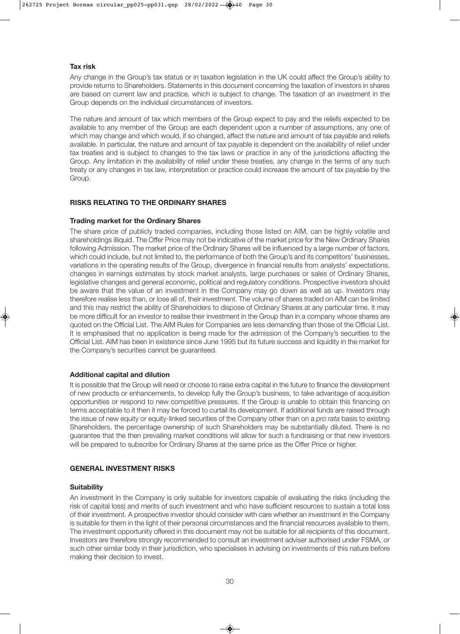#### **Tax risk**

Any change in the Group's tax status or in taxation legislation in the UK could affect the Group's ability to provide returns to Shareholders. Statements in this document concerning the taxation of investors in shares are based on current law and practice, which is subject to change. The taxation of an investment in the Group depends on the individual circumstances of investors.

The nature and amount of tax which members of the Group expect to pay and the reliefs expected to be available to any member of the Group are each dependent upon a number of assumptions, any one of which may change and which would, if so changed, affect the nature and amount of tax payable and reliefs available. In particular, the nature and amount of tax payable is dependent on the availability of relief under tax treaties and is subject to changes to the tax laws or practice in any of the jurisdictions affecting the Group. Any limitation in the availability of relief under these treaties, any change in the terms of any such treaty or any changes in tax law, interpretation or practice could increase the amount of tax payable by the Group.

#### **RISKS RELATING TO THE ORDINARY SHARES**

#### **Trading market for the Ordinary Shares**

The share price of publicly traded companies, including those listed on AIM, can be highly volatile and shareholdings illiquid. The Offer Price may not be indicative of the market price for the New Ordinary Shares following Admission. The market price of the Ordinary Shares will be influenced by a large number of factors, which could include, but not limited to, the performance of both the Group's and its competitors' businesses, variations in the operating results of the Group, divergence in financial results from analysts' expectations, changes in earnings estimates by stock market analysts, large purchases or sales of Ordinary Shares, legislative changes and general economic, political and regulatory conditions. Prospective investors should be aware that the value of an investment in the Company may go down as well as up. Investors may therefore realise less than, or lose all of, their investment. The volume of shares traded on AIM can be limited and this may restrict the ability of Shareholders to dispose of Ordinary Shares at any particular time. It may be more difficult for an investor to realise their investment in the Group than in a company whose shares are quoted on the Official List. The AIM Rules for Companies are less demanding than those of the Official List. It is emphasised that no application is being made for the admission of the Company's securities to the Official List. AIM has been in existence since June 1995 but its future success and liquidity in the market for the Company's securities cannot be guaranteed.

#### **Additional capital and dilution**

It is possible that the Group will need or choose to raise extra capital in the future to finance the development of new products or enhancements, to develop fully the Group's business, to take advantage of acquisition opportunities or respond to new competitive pressures. If the Group is unable to obtain this financing on terms acceptable to it then it may be forced to curtail its development. If additional funds are raised through the issue of new equity or equity-linked securities of the Company other than on a *pro rata* basis to existing Shareholders, the percentage ownership of such Shareholders may be substantially diluted. There is no guarantee that the then prevailing market conditions will allow for such a fundraising or that new investors will be prepared to subscribe for Ordinary Shares at the same price as the Offer Price or higher.

#### **GENERAL INVESTMENT RISKS**

#### **Suitability**

An investment in the Company is only suitable for investors capable of evaluating the risks (including the risk of capital loss) and merits of such investment and who have sufficient resources to sustain a total loss of their investment. A prospective investor should consider with care whether an investment in the Company is suitable for them in the light of their personal circumstances and the financial resources available to them. The investment opportunity offered in this document may not be suitable for all recipients of this document. Investors are therefore strongly recommended to consult an investment adviser authorised under FSMA, or such other similar body in their jurisdiction, who specialises in advising on investments of this nature before making their decision to invest.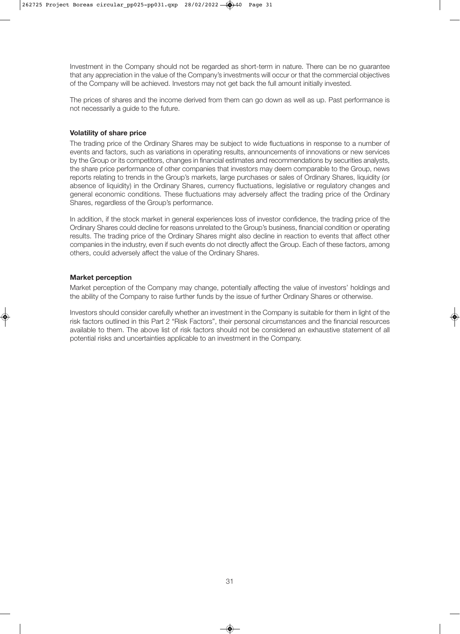Investment in the Company should not be regarded as short-term in nature. There can be no guarantee that any appreciation in the value of the Company's investments will occur or that the commercial objectives of the Company will be achieved. Investors may not get back the full amount initially invested.

The prices of shares and the income derived from them can go down as well as up. Past performance is not necessarily a guide to the future.

#### **Volatility of share price**

The trading price of the Ordinary Shares may be subject to wide fluctuations in response to a number of events and factors, such as variations in operating results, announcements of innovations or new services by the Group or its competitors, changes in financial estimates and recommendations by securities analysts, the share price performance of other companies that investors may deem comparable to the Group, news reports relating to trends in the Group's markets, large purchases or sales of Ordinary Shares, liquidity (or absence of liquidity) in the Ordinary Shares, currency fluctuations, legislative or regulatory changes and general economic conditions. These fluctuations may adversely affect the trading price of the Ordinary Shares, regardless of the Group's performance.

In addition, if the stock market in general experiences loss of investor confidence, the trading price of the Ordinary Shares could decline for reasons unrelated to the Group's business, financial condition or operating results. The trading price of the Ordinary Shares might also decline in reaction to events that affect other companies in the industry, even if such events do not directly affect the Group. Each of these factors, among others, could adversely affect the value of the Ordinary Shares.

#### **Market perception**

Market perception of the Company may change, potentially affecting the value of investors' holdings and the ability of the Company to raise further funds by the issue of further Ordinary Shares or otherwise.

Investors should consider carefully whether an investment in the Company is suitable for them in light of the risk factors outlined in this Part 2 "Risk Factors", their personal circumstances and the financial resources available to them. The above list of risk factors should not be considered an exhaustive statement of all potential risks and uncertainties applicable to an investment in the Company.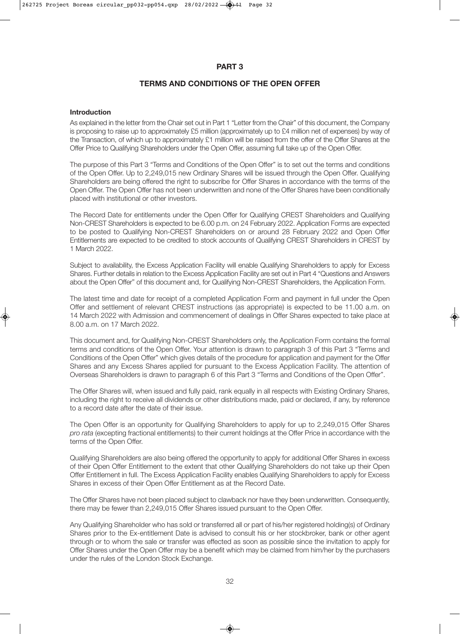#### **PART 3**

#### **TERMS AND CONDITIONS OF THE OPEN OFFER**

#### **Introduction**

As explained in the letter from the Chair set out in Part 1 "Letter from the Chair" of this document, the Company is proposing to raise up to approximately £5 million (approximately up to £4 million net of expenses) by way of the Transaction, of which up to approximately £1 million will be raised from the offer of the Offer Shares at the Offer Price to Qualifying Shareholders under the Open Offer, assuming full take up of the Open Offer.

The purpose of this Part 3 "Terms and Conditions of the Open Offer" is to set out the terms and conditions of the Open Offer. Up to 2,249,015 new Ordinary Shares will be issued through the Open Offer. Qualifying Shareholders are being offered the right to subscribe for Offer Shares in accordance with the terms of the Open Offer. The Open Offer has not been underwritten and none of the Offer Shares have been conditionally placed with institutional or other investors.

The Record Date for entitlements under the Open Offer for Qualifying CREST Shareholders and Qualifying Non-CREST Shareholders is expected to be 6.00 p.m. on 24 February 2022. Application Forms are expected to be posted to Qualifying Non-CREST Shareholders on or around 28 February 2022 and Open Offer Entitlements are expected to be credited to stock accounts of Qualifying CREST Shareholders in CREST by 1 March 2022.

Subject to availability, the Excess Application Facility will enable Qualifying Shareholders to apply for Excess Shares. Further details in relation to the Excess Application Facility are set out in Part 4 "Questions and Answers about the Open Offer" of this document and, for Qualifying Non-CREST Shareholders, the Application Form.

The latest time and date for receipt of a completed Application Form and payment in full under the Open Offer and settlement of relevant CREST instructions (as appropriate) is expected to be 11.00 a.m. on 14 March 2022 with Admission and commencement of dealings in Offer Shares expected to take place at 8.00 a.m. on 17 March 2022.

This document and, for Qualifying Non-CREST Shareholders only, the Application Form contains the formal terms and conditions of the Open Offer. Your attention is drawn to paragraph 3 of this Part 3 "Terms and Conditions of the Open Offer" which gives details of the procedure for application and payment for the Offer Shares and any Excess Shares applied for pursuant to the Excess Application Facility. The attention of Overseas Shareholders is drawn to paragraph 6 of this Part 3 "Terms and Conditions of the Open Offer".

The Offer Shares will, when issued and fully paid, rank equally in all respects with Existing Ordinary Shares, including the right to receive all dividends or other distributions made, paid or declared, if any, by reference to a record date after the date of their issue.

The Open Offer is an opportunity for Qualifying Shareholders to apply for up to 2.249.015 Offer Shares *pro rata* (excepting fractional entitlements) to their current holdings at the Offer Price in accordance with the terms of the Open Offer.

Qualifying Shareholders are also being offered the opportunity to apply for additional Offer Shares in excess of their Open Offer Entitlement to the extent that other Qualifying Shareholders do not take up their Open Offer Entitlement in full. The Excess Application Facility enables Qualifying Shareholders to apply for Excess Shares in excess of their Open Offer Entitlement as at the Record Date.

The Offer Shares have not been placed subject to clawback nor have they been underwritten. Consequently, there may be fewer than 2,249,015 Offer Shares issued pursuant to the Open Offer.

Any Qualifying Shareholder who has sold or transferred all or part of his/her registered holding(s) of Ordinary Shares prior to the Ex-entitlement Date is advised to consult his or her stockbroker, bank or other agent through or to whom the sale or transfer was effected as soon as possible since the invitation to apply for Offer Shares under the Open Offer may be a benefit which may be claimed from him/her by the purchasers under the rules of the London Stock Exchange.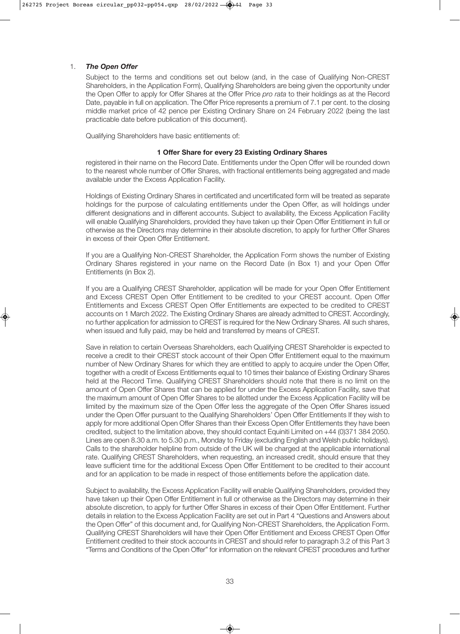#### 1. *The Open Offer*

 Subject to the terms and conditions set out below (and, in the case of Qualifying Non-CREST Shareholders, in the Application Form), Qualifying Shareholders are being given the opportunity under the Open Offer to apply for Offer Shares at the Offer Price *pro rata* to their holdings as at the Record Date, payable in full on application. The Offer Price represents a premium of 7.1 per cent. to the closing middle market price of 42 pence per Existing Ordinary Share on 24 February 2022 (being the last practicable date before publication of this document).

Qualifying Shareholders have basic entitlements of:

#### **1 Offer Share for every 23 Existing Ordinary Shares**

 registered in their name on the Record Date. Entitlements under the Open Offer will be rounded down to the nearest whole number of Offer Shares, with fractional entitlements being aggregated and made available under the Excess Application Facility.

 Holdings of Existing Ordinary Shares in certificated and uncertificated form will be treated as separate holdings for the purpose of calculating entitlements under the Open Offer, as will holdings under different designations and in different accounts. Subject to availability, the Excess Application Facility will enable Qualifying Shareholders, provided they have taken up their Open Offer Entitlement in full or otherwise as the Directors may determine in their absolute discretion, to apply for further Offer Shares in excess of their Open Offer Entitlement.

 If you are a Qualifying Non-CREST Shareholder, the Application Form shows the number of Existing Ordinary Shares registered in your name on the Record Date (in Box 1) and your Open Offer Entitlements (in Box 2).

 If you are a Qualifying CREST Shareholder, application will be made for your Open Offer Entitlement and Excess CREST Open Offer Entitlement to be credited to your CREST account. Open Offer Entitlements and Excess CREST Open Offer Entitlements are expected to be credited to CREST accounts on 1 March 2022. The Existing Ordinary Shares are already admitted to CREST. Accordingly, no further application for admission to CREST is required for the New Ordinary Shares. All such shares, when issued and fully paid, may be held and transferred by means of CREST.

 Save in relation to certain Overseas Shareholders, each Qualifying CREST Shareholder is expected to receive a credit to their CREST stock account of their Open Offer Entitlement equal to the maximum number of New Ordinary Shares for which they are entitled to apply to acquire under the Open Offer, together with a credit of Excess Entitlements equal to 10 times their balance of Existing Ordinary Shares held at the Record Time. Qualifying CREST Shareholders should note that there is no limit on the amount of Open Offer Shares that can be applied for under the Excess Application Facility, save that the maximum amount of Open Offer Shares to be allotted under the Excess Application Facility will be limited by the maximum size of the Open Offer less the aggregate of the Open Offer Shares issued under the Open Offer pursuant to the Qualifying Shareholders' Open Offer Entitlements If they wish to apply for more additional Open Offer Shares than their Excess Open Offer Entitlements they have been credited, subject to the limitation above, they should contact Equiniti Limited on +44 (0)371 384 2050. Lines are open 8.30 a.m. to 5.30 p.m., Monday to Friday (excluding English and Welsh public holidays). Calls to the shareholder helpline from outside of the UK will be charged at the applicable international rate. Qualifying CREST Shareholders, when requesting, an increased credit, should ensure that they leave sufficient time for the additional Excess Open Offer Entitlement to be credited to their account and for an application to be made in respect of those entitlements before the application date.

 Subject to availability, the Excess Application Facility will enable Qualifying Shareholders, provided they have taken up their Open Offer Entitlement in full or otherwise as the Directors may determine in their absolute discretion, to apply for further Offer Shares in excess of their Open Offer Entitlement. Further details in relation to the Excess Application Facility are set out in Part 4 "Questions and Answers about the Open Offer" of this document and, for Qualifying Non-CREST Shareholders, the Application Form. Qualifying CREST Shareholders will have their Open Offer Entitlement and Excess CREST Open Offer Entitlement credited to their stock accounts in CREST and should refer to paragraph 3.2 of this Part 3 "Terms and Conditions of the Open Offer" for information on the relevant CREST procedures and further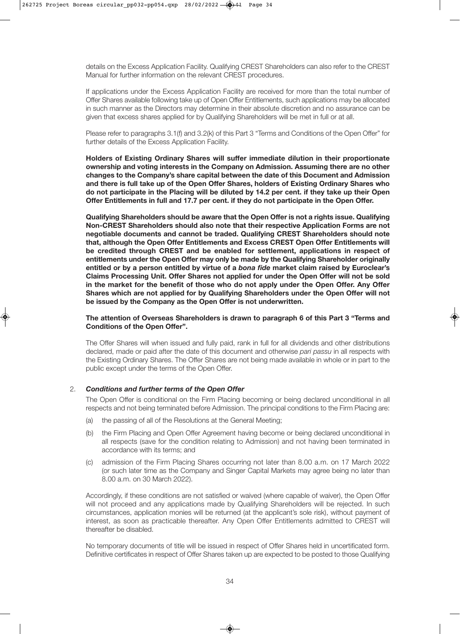details on the Excess Application Facility. Qualifying CREST Shareholders can also refer to the CREST Manual for further information on the relevant CREST procedures.

 If applications under the Excess Application Facility are received for more than the total number of Offer Shares available following take up of Open Offer Entitlements, such applications may be allocated in such manner as the Directors may determine in their absolute discretion and no assurance can be given that excess shares applied for by Qualifying Shareholders will be met in full or at all.

 Please refer to paragraphs 3.1(f) and 3.2(k) of this Part 3 "Terms and Conditions of the Open Offer" for further details of the Excess Application Facility.

 **Holders of Existing Ordinary Shares will suffer immediate dilution in their proportionate ownership and voting interests in the Company on Admission. Assuming there are no other changes to the Company's share capital between the date of this Document and Admission and there is full take up of the Open Offer Shares, holders of Existing Ordinary Shares who do not participate in the Placing will be diluted by 14.2 per cent. if they take up their Open Offer Entitlements in full and 17.7 per cent. if they do not participate in the Open Offer.**

 **Qualifying Shareholders should be aware that the Open Offer is not a rights issue. Qualifying Non-CREST Shareholders should also note that their respective Application Forms are not negotiable documents and cannot be traded. Qualifying CREST Shareholders should note that, although the Open Offer Entitlements and Excess CREST Open Offer Entitlements will be credited through CREST and be enabled for settlement, applications in respect of entitlements under the Open Offer may only be made by the Qualifying Shareholder originally entitled or by a person entitled by virtue of a** *bona fide* **market claim raised by Euroclear's Claims Processing Unit. Offer Shares not applied for under the Open Offer will not be sold in the market for the benefit of those who do not apply under the Open Offer. Any Offer Shares which are not applied for by Qualifying Shareholders under the Open Offer will not be issued by the Company as the Open Offer is not underwritten.**

#### **The attention of Overseas Shareholders is drawn to paragraph 6 of this Part 3 "Terms and Conditions of the Open Offer".**

 The Offer Shares will when issued and fully paid, rank in full for all dividends and other distributions declared, made or paid after the date of this document and otherwise *pari passu* in all respects with the Existing Ordinary Shares. The Offer Shares are not being made available in whole or in part to the public except under the terms of the Open Offer.

#### 2. *Conditions and further terms of the Open Offer*

 The Open Offer is conditional on the Firm Placing becoming or being declared unconditional in all respects and not being terminated before Admission. The principal conditions to the Firm Placing are:

- (a) the passing of all of the Resolutions at the General Meeting;
- (b) the Firm Placing and Open Offer Agreement having become or being declared unconditional in all respects (save for the condition relating to Admission) and not having been terminated in accordance with its terms; and
- (c) admission of the Firm Placing Shares occurring not later than 8.00 a.m. on 17 March 2022 (or such later time as the Company and Singer Capital Markets may agree being no later than 8.00 a.m. on 30 March 2022).

 Accordingly, if these conditions are not satisfied or waived (where capable of waiver), the Open Offer will not proceed and any applications made by Qualifying Shareholders will be rejected. In such circumstances, application monies will be returned (at the applicant's sole risk), without payment of interest, as soon as practicable thereafter. Any Open Offer Entitlements admitted to CREST will thereafter be disabled.

 No temporary documents of title will be issued in respect of Offer Shares held in uncertificated form. Definitive certificates in respect of Offer Shares taken up are expected to be posted to those Qualifying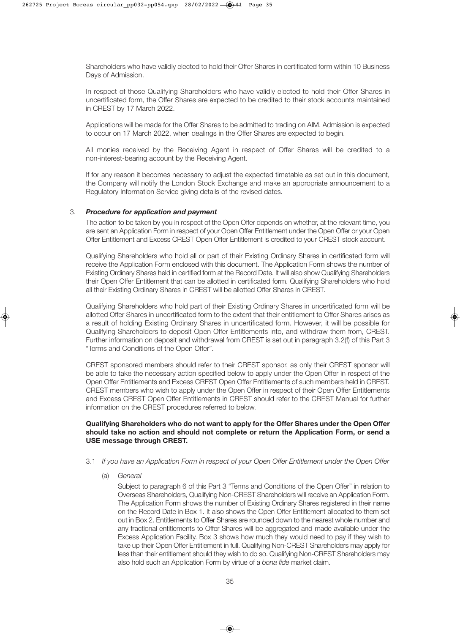Shareholders who have validly elected to hold their Offer Shares in certificated form within 10 Business Days of Admission.

 In respect of those Qualifying Shareholders who have validly elected to hold their Offer Shares in uncertificated form, the Offer Shares are expected to be credited to their stock accounts maintained in CREST by 17 March 2022.

 Applications will be made for the Offer Shares to be admitted to trading on AIM. Admission is expected to occur on 17 March 2022, when dealings in the Offer Shares are expected to begin.

 All monies received by the Receiving Agent in respect of Offer Shares will be credited to a non-interest-bearing account by the Receiving Agent.

 If for any reason it becomes necessary to adjust the expected timetable as set out in this document, the Company will notify the London Stock Exchange and make an appropriate announcement to a Regulatory Information Service giving details of the revised dates.

#### 3. *Procedure for application and payment*

 The action to be taken by you in respect of the Open Offer depends on whether, at the relevant time, you are sent an Application Form in respect of your Open Offer Entitlement under the Open Offer or your Open Offer Entitlement and Excess CREST Open Offer Entitlement is credited to your CREST stock account.

 Qualifying Shareholders who hold all or part of their Existing Ordinary Shares in certificated form will receive the Application Form enclosed with this document. The Application Form shows the number of Existing Ordinary Shares held in certified form at the Record Date. It will also show Qualifying Shareholders their Open Offer Entitlement that can be allotted in certificated form. Qualifying Shareholders who hold all their Existing Ordinary Shares in CREST will be allotted Offer Shares in CREST.

 Qualifying Shareholders who hold part of their Existing Ordinary Shares in uncertificated form will be allotted Offer Shares in uncertificated form to the extent that their entitlement to Offer Shares arises as a result of holding Existing Ordinary Shares in uncertificated form. However, it will be possible for Qualifying Shareholders to deposit Open Offer Entitlements into, and withdraw them from, CREST. Further information on deposit and withdrawal from CREST is set out in paragraph 3.2(f) of this Part 3 "Terms and Conditions of the Open Offer".

 CREST sponsored members should refer to their CREST sponsor, as only their CREST sponsor will be able to take the necessary action specified below to apply under the Open Offer in respect of the Open Offer Entitlements and Excess CREST Open Offer Entitlements of such members held in CREST. CREST members who wish to apply under the Open Offer in respect of their Open Offer Entitlements and Excess CREST Open Offer Entitlements in CREST should refer to the CREST Manual for further information on the CREST procedures referred to below.

#### **Qualifying Shareholders who do not want to apply for the Offer Shares under the Open Offer should take no action and should not complete or return the Application Form, or send a USE message through CREST.**

- 3.1 *If you have an Application Form in respect of your Open Offer Entitlement under the Open Offer*
	- (a) *General*

 Subject to paragraph 6 of this Part 3 "Terms and Conditions of the Open Offer" in relation to Overseas Shareholders, Qualifying Non-CREST Shareholders will receive an Application Form. The Application Form shows the number of Existing Ordinary Shares registered in their name on the Record Date in Box 1. It also shows the Open Offer Entitlement allocated to them set out in Box 2. Entitlements to Offer Shares are rounded down to the nearest whole number and any fractional entitlements to Offer Shares will be aggregated and made available under the Excess Application Facility. Box 3 shows how much they would need to pay if they wish to take up their Open Offer Entitlement in full. Qualifying Non-CREST Shareholders may apply for less than their entitlement should they wish to do so. Qualifying Non-CREST Shareholders may also hold such an Application Form by virtue of a *bona fide* market claim.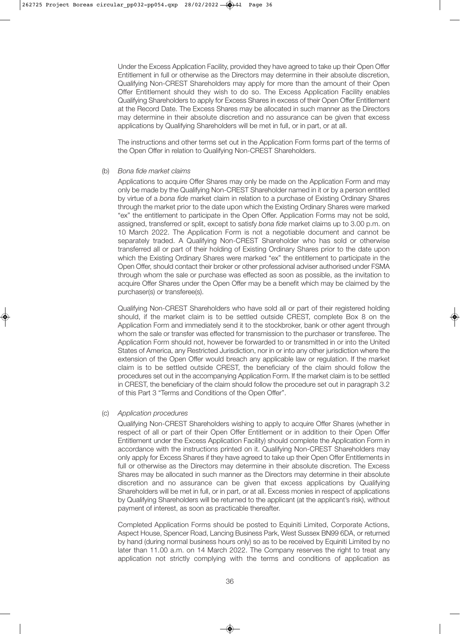Under the Excess Application Facility, provided they have agreed to take up their Open Offer Entitlement in full or otherwise as the Directors may determine in their absolute discretion, Qualifying Non-CREST Shareholders may apply for more than the amount of their Open Offer Entitlement should they wish to do so. The Excess Application Facility enables Qualifying Shareholders to apply for Excess Shares in excess of their Open Offer Entitlement at the Record Date. The Excess Shares may be allocated in such manner as the Directors may determine in their absolute discretion and no assurance can be given that excess applications by Qualifying Shareholders will be met in full, or in part, or at all.

 The instructions and other terms set out in the Application Form forms part of the terms of the Open Offer in relation to Qualifying Non-CREST Shareholders.

#### (b) *Bona fide market claims*

 Applications to acquire Offer Shares may only be made on the Application Form and may only be made by the Qualifying Non-CREST Shareholder named in it or by a person entitled by virtue of a *bona fide* market claim in relation to a purchase of Existing Ordinary Shares through the market prior to the date upon which the Existing Ordinary Shares were marked "ex" the entitlement to participate in the Open Offer. Application Forms may not be sold, assigned, transferred or split, except to satisfy *bona fide* market claims up to 3.00 p.m. on 10 March 2022. The Application Form is not a negotiable document and cannot be separately traded. A Qualifying Non-CREST Shareholder who has sold or otherwise transferred all or part of their holding of Existing Ordinary Shares prior to the date upon which the Existing Ordinary Shares were marked "ex" the entitlement to participate in the Open Offer, should contact their broker or other professional adviser authorised under FSMA through whom the sale or purchase was effected as soon as possible, as the invitation to acquire Offer Shares under the Open Offer may be a benefit which may be claimed by the purchaser(s) or transferee(s).

 Qualifying Non-CREST Shareholders who have sold all or part of their registered holding should, if the market claim is to be settled outside CREST, complete Box 8 on the Application Form and immediately send it to the stockbroker, bank or other agent through whom the sale or transfer was effected for transmission to the purchaser or transferee. The Application Form should not, however be forwarded to or transmitted in or into the United States of America, any Restricted Jurisdiction, nor in or into any other jurisdiction where the extension of the Open Offer would breach any applicable law or regulation. If the market claim is to be settled outside CREST, the beneficiary of the claim should follow the procedures set out in the accompanying Application Form. If the market claim is to be settled in CREST, the beneficiary of the claim should follow the procedure set out in paragraph 3.2 of this Part 3 "Terms and Conditions of the Open Offer".

#### (c) *Application procedures*

 Qualifying Non-CREST Shareholders wishing to apply to acquire Offer Shares (whether in respect of all or part of their Open Offer Entitlement or in addition to their Open Offer Entitlement under the Excess Application Facility) should complete the Application Form in accordance with the instructions printed on it. Qualifying Non-CREST Shareholders may only apply for Excess Shares if they have agreed to take up their Open Offer Entitlements in full or otherwise as the Directors may determine in their absolute discretion. The Excess Shares may be allocated in such manner as the Directors may determine in their absolute discretion and no assurance can be given that excess applications by Qualifying Shareholders will be met in full, or in part, or at all. Excess monies in respect of applications by Qualifying Shareholders will be returned to the applicant (at the applicant's risk), without payment of interest, as soon as practicable thereafter.

 Completed Application Forms should be posted to Equiniti Limited, Corporate Actions, Aspect House, Spencer Road, Lancing Business Park, West Sussex BN99 6DA, or returned by hand (during normal business hours only) so as to be received by Equiniti Limited by no later than 11.00 a.m. on 14 March 2022. The Company reserves the right to treat any application not strictly complying with the terms and conditions of application as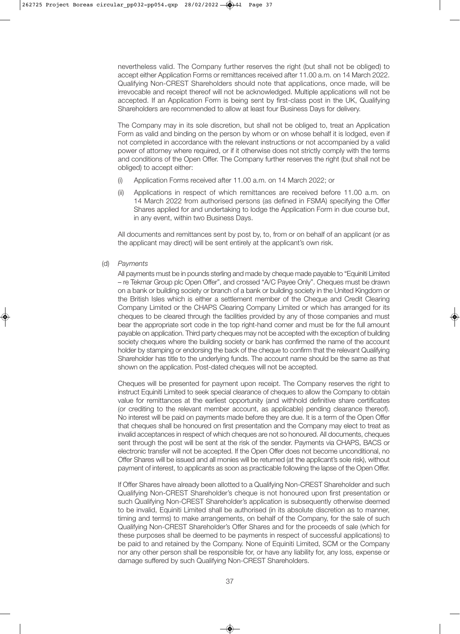nevertheless valid. The Company further reserves the right (but shall not be obliged) to accept either Application Forms or remittances received after 11.00 a.m. on 14 March 2022. Qualifying Non-CREST Shareholders should note that applications, once made, will be irrevocable and receipt thereof will not be acknowledged. Multiple applications will not be accepted. If an Application Form is being sent by first-class post in the UK, Qualifying Shareholders are recommended to allow at least four Business Days for delivery.

 The Company may in its sole discretion, but shall not be obliged to, treat an Application Form as valid and binding on the person by whom or on whose behalf it is lodged, even if not completed in accordance with the relevant instructions or not accompanied by a valid power of attorney where required, or if it otherwise does not strictly comply with the terms and conditions of the Open Offer. The Company further reserves the right (but shall not be obliged) to accept either:

- (i) Application Forms received after 11.00 a.m. on 14 March 2022; or
- (ii) Applications in respect of which remittances are received before 11.00 a.m. on 14 March 2022 from authorised persons (as defined in FSMA) specifying the Offer Shares applied for and undertaking to lodge the Application Form in due course but, in any event, within two Business Days.

 All documents and remittances sent by post by, to, from or on behalf of an applicant (or as the applicant may direct) will be sent entirely at the applicant's own risk.

(d) *Payments*

 All payments must be in pounds sterling and made by cheque made payable to "Equiniti Limited – re Tekmar Group plc Open Offer", and crossed "A/C Payee Only". Cheques must be drawn on a bank or building society or branch of a bank or building society in the United Kingdom or the British Isles which is either a settlement member of the Cheque and Credit Clearing Company Limited or the CHAPS Clearing Company Limited or which has arranged for its cheques to be cleared through the facilities provided by any of those companies and must bear the appropriate sort code in the top right-hand corner and must be for the full amount payable on application. Third party cheques may not be accepted with the exception of building society cheques where the building society or bank has confirmed the name of the account holder by stamping or endorsing the back of the cheque to confirm that the relevant Qualifying Shareholder has title to the underlying funds. The account name should be the same as that shown on the application. Post-dated cheques will not be accepted.

 Cheques will be presented for payment upon receipt. The Company reserves the right to instruct Equiniti Limited to seek special clearance of cheques to allow the Company to obtain value for remittances at the earliest opportunity (and withhold definitive share certificates (or crediting to the relevant member account, as applicable) pending clearance thereof). No interest will be paid on payments made before they are due. It is a term of the Open Offer that cheques shall be honoured on first presentation and the Company may elect to treat as invalid acceptances in respect of which cheques are not so honoured. All documents, cheques sent through the post will be sent at the risk of the sender. Payments via CHAPS, BACS or electronic transfer will not be accepted. If the Open Offer does not become unconditional, no Offer Shares will be issued and all monies will be returned (at the applicant's sole risk), without payment of interest, to applicants as soon as practicable following the lapse of the Open Offer.

 If Offer Shares have already been allotted to a Qualifying Non-CREST Shareholder and such Qualifying Non-CREST Shareholder's cheque is not honoured upon first presentation or such Qualifying Non-CREST Shareholder's application is subsequently otherwise deemed to be invalid, Equiniti Limited shall be authorised (in its absolute discretion as to manner, timing and terms) to make arrangements, on behalf of the Company, for the sale of such Qualifying Non-CREST Shareholder's Offer Shares and for the proceeds of sale (which for these purposes shall be deemed to be payments in respect of successful applications) to be paid to and retained by the Company. None of Equiniti Limited, SCM or the Company nor any other person shall be responsible for, or have any liability for, any loss, expense or damage suffered by such Qualifying Non-CREST Shareholders.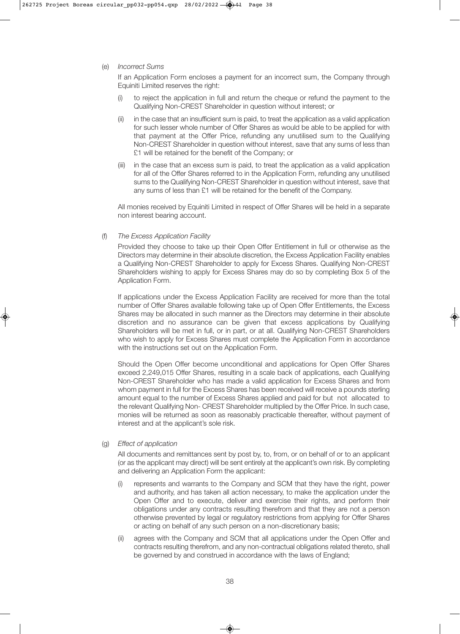(e) *Incorrect Sums*

 If an Application Form encloses a payment for an incorrect sum, the Company through Equiniti Limited reserves the right:

- (i) to reject the application in full and return the cheque or refund the payment to the Qualifying Non-CREST Shareholder in question without interest; or
- (ii) in the case that an insufficient sum is paid, to treat the application as a valid application for such lesser whole number of Offer Shares as would be able to be applied for with that payment at the Offer Price, refunding any unutilised sum to the Qualifying Non-CREST Shareholder in question without interest, save that any sums of less than £1 will be retained for the benefit of the Company; or
- (iii) in the case that an excess sum is paid, to treat the application as a valid application for all of the Offer Shares referred to in the Application Form, refunding any unutilised sums to the Qualifying Non-CREST Shareholder in question without interest, save that any sums of less than £1 will be retained for the benefit of the Company.

 All monies received by Equiniti Limited in respect of Offer Shares will be held in a separate non interest bearing account.

(f) *The Excess Application Facility*

 Provided they choose to take up their Open Offer Entitlement in full or otherwise as the Directors may determine in their absolute discretion, the Excess Application Facility enables a Qualifying Non-CREST Shareholder to apply for Excess Shares. Qualifying Non-CREST Shareholders wishing to apply for Excess Shares may do so by completing Box 5 of the Application Form.

 If applications under the Excess Application Facility are received for more than the total number of Offer Shares available following take up of Open Offer Entitlements, the Excess Shares may be allocated in such manner as the Directors may determine in their absolute discretion and no assurance can be given that excess applications by Qualifying Shareholders will be met in full, or in part, or at all. Qualifying Non-CREST Shareholders who wish to apply for Excess Shares must complete the Application Form in accordance with the instructions set out on the Application Form.

 Should the Open Offer become unconditional and applications for Open Offer Shares exceed 2,249,015 Offer Shares, resulting in a scale back of applications, each Qualifying Non-CREST Shareholder who has made a valid application for Excess Shares and from whom payment in full for the Excess Shares has been received will receive a pounds sterling amount equal to the number of Excess Shares applied and paid for but not allocated to the relevant Qualifying Non- CREST Shareholder multiplied by the Offer Price. In such case, monies will be returned as soon as reasonably practicable thereafter, without payment of interest and at the applicant's sole risk.

(g) *Effect of application*

 All documents and remittances sent by post by, to, from, or on behalf of or to an applicant (or as the applicant may direct) will be sent entirely at the applicant's own risk. By completing and delivering an Application Form the applicant:

- (i) represents and warrants to the Company and SCM that they have the right, power and authority, and has taken all action necessary, to make the application under the Open Offer and to execute, deliver and exercise their rights, and perform their obligations under any contracts resulting therefrom and that they are not a person otherwise prevented by legal or regulatory restrictions from applying for Offer Shares or acting on behalf of any such person on a non-discretionary basis;
- (ii) agrees with the Company and SCM that all applications under the Open Offer and contracts resulting therefrom, and any non-contractual obligations related thereto, shall be governed by and construed in accordance with the laws of England;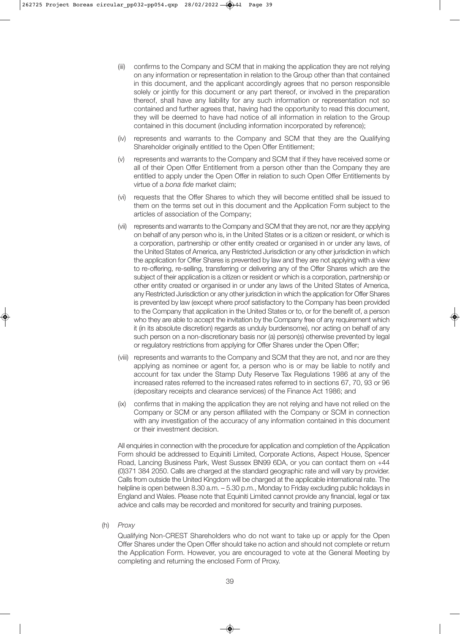- (iii) confirms to the Company and SCM that in making the application they are not relying on any information or representation in relation to the Group other than that contained in this document, and the applicant accordingly agrees that no person responsible solely or jointly for this document or any part thereof, or involved in the preparation thereof, shall have any liability for any such information or representation not so contained and further agrees that, having had the opportunity to read this document, they will be deemed to have had notice of all information in relation to the Group contained in this document (including information incorporated by reference);
- (iv) represents and warrants to the Company and SCM that they are the Qualifying Shareholder originally entitled to the Open Offer Entitlement;
- (v) represents and warrants to the Company and SCM that if they have received some or all of their Open Offer Entitlement from a person other than the Company they are entitled to apply under the Open Offer in relation to such Open Offer Entitlements by virtue of a *bona fide* market claim;
- (vi) requests that the Offer Shares to which they will become entitled shall be issued to them on the terms set out in this document and the Application Form subject to the articles of association of the Company;
- (vii) represents and warrants to the Company and SCM that they are not, nor are they applying on behalf of any person who is, in the United States or is a citizen or resident, or which is a corporation, partnership or other entity created or organised in or under any laws, of the United States of America, any Restricted Jurisdiction or any other jurisdiction in which the application for Offer Shares is prevented by law and they are not applying with a view to re-offering, re-selling, transferring or delivering any of the Offer Shares which are the subject of their application is a citizen or resident or which is a corporation, partnership or other entity created or organised in or under any laws of the United States of America, any Restricted Jurisdiction or any other jurisdiction in which the application for Offer Shares is prevented by law (except where proof satisfactory to the Company has been provided to the Company that application in the United States or to, or for the benefit of, a person who they are able to accept the invitation by the Company free of any requirement which it (in its absolute discretion) regards as unduly burdensome), nor acting on behalf of any such person on a non-discretionary basis nor (a) person(s) otherwise prevented by legal or regulatory restrictions from applying for Offer Shares under the Open Offer;
- (viii) represents and warrants to the Company and SCM that they are not, and nor are they applying as nominee or agent for, a person who is or may be liable to notify and account for tax under the Stamp Duty Reserve Tax Regulations 1986 at any of the increased rates referred to the increased rates referred to in sections 67, 70, 93 or 96 (depositary receipts and clearance services) of the Finance Act 1986; and
- (ix) confirms that in making the application they are not relying and have not relied on the Company or SCM or any person affiliated with the Company or SCM in connection with any investigation of the accuracy of any information contained in this document or their investment decision.

 All enquiries in connection with the procedure for application and completion of the Application Form should be addressed to Equiniti Limited, Corporate Actions, Aspect House, Spencer Road, Lancing Business Park, West Sussex BN99 6DA, or you can contact them on +44 (0)371 384 2050. Calls are charged at the standard geographic rate and will vary by provider. Calls from outside the United Kingdom will be charged at the applicable international rate. The helpline is open between 8.30 a.m.  $-5.30$  p.m., Monday to Friday excluding public holidays in England and Wales. Please note that Equiniti Limited cannot provide any financial, legal or tax advice and calls may be recorded and monitored for security and training purposes.

(h) *Proxy*

 Qualifying Non-CREST Shareholders who do not want to take up or apply for the Open Offer Shares under the Open Offer should take no action and should not complete or return the Application Form. However, you are encouraged to vote at the General Meeting by completing and returning the enclosed Form of Proxy.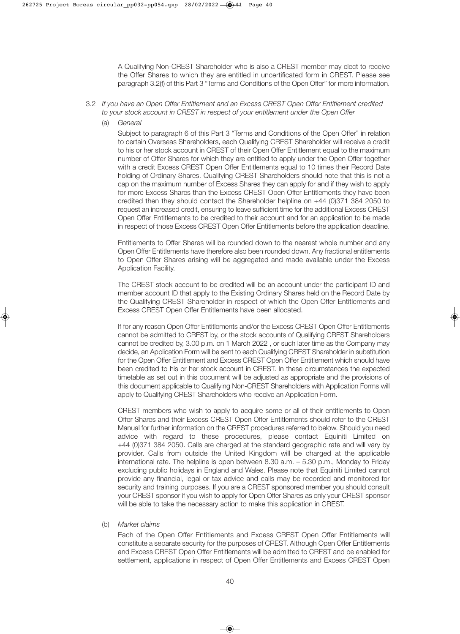A Qualifying Non-CREST Shareholder who is also a CREST member may elect to receive the Offer Shares to which they are entitled in uncertificated form in CREST. Please see paragraph 3.2(f) of this Part 3 "Terms and Conditions of the Open Offer" for more information.

- 3.2 *If you have an Open Offer Entitlement and an Excess CREST Open Offer Entitlement credited to your stock account in CREST in respect of your entitlement under the Open Offer*
	- (a) *General*

 Subject to paragraph 6 of this Part 3 "Terms and Conditions of the Open Offer" in relation to certain Overseas Shareholders, each Qualifying CREST Shareholder will receive a credit to his or her stock account in CREST of their Open Offer Entitlement equal to the maximum number of Offer Shares for which they are entitled to apply under the Open Offer together with a credit Excess CREST Open Offer Entitlements equal to 10 times their Record Date holding of Ordinary Shares. Qualifying CREST Shareholders should note that this is not a cap on the maximum number of Excess Shares they can apply for and if they wish to apply for more Excess Shares than the Excess CREST Open Offer Entitlements they have been credited then they should contact the Shareholder helpline on +44 (0)371 384 2050 to request an increased credit, ensuring to leave sufficient time for the additional Excess CREST Open Offer Entitlements to be credited to their account and for an application to be made in respect of those Excess CREST Open Offer Entitlements before the application deadline.

 Entitlements to Offer Shares will be rounded down to the nearest whole number and any Open Offer Entitlements have therefore also been rounded down. Any fractional entitlements to Open Offer Shares arising will be aggregated and made available under the Excess Application Facility.

 The CREST stock account to be credited will be an account under the participant ID and member account ID that apply to the Existing Ordinary Shares held on the Record Date by the Qualifying CREST Shareholder in respect of which the Open Offer Entitlements and Excess CREST Open Offer Entitlements have been allocated.

 If for any reason Open Offer Entitlements and/or the Excess CREST Open Offer Entitlements cannot be admitted to CREST by, or the stock accounts of Qualifying CREST Shareholders cannot be credited by, 3.00 p.m. on 1 March 2022 , or such later time as the Company may decide, an Application Form will be sent to each Qualifying CREST Shareholder in substitution for the Open Offer Entitlement and Excess CREST Open Offer Entitlement which should have been credited to his or her stock account in CREST. In these circumstances the expected timetable as set out in this document will be adjusted as appropriate and the provisions of this document applicable to Qualifying Non-CREST Shareholders with Application Forms will apply to Qualifying CREST Shareholders who receive an Application Form.

 CREST members who wish to apply to acquire some or all of their entitlements to Open Offer Shares and their Excess CREST Open Offer Entitlements should refer to the CREST Manual for further information on the CREST procedures referred to below. Should you need advice with regard to these procedures, please contact Equiniti Limited on +44 (0)371 384 2050. Calls are charged at the standard geographic rate and will vary by provider. Calls from outside the United Kingdom will be charged at the applicable international rate. The helpline is open between 8.30 a.m. – 5.30 p.m., Monday to Friday excluding public holidays in England and Wales. Please note that Equiniti Limited cannot provide any financial, legal or tax advice and calls may be recorded and monitored for security and training purposes. If you are a CREST sponsored member you should consult your CREST sponsor if you wish to apply for Open Offer Shares as only your CREST sponsor will be able to take the necessary action to make this application in CREST.

#### (b) *Market claims*

 Each of the Open Offer Entitlements and Excess CREST Open Offer Entitlements will constitute a separate security for the purposes of CREST. Although Open Offer Entitlements and Excess CREST Open Offer Entitlements will be admitted to CREST and be enabled for settlement, applications in respect of Open Offer Entitlements and Excess CREST Open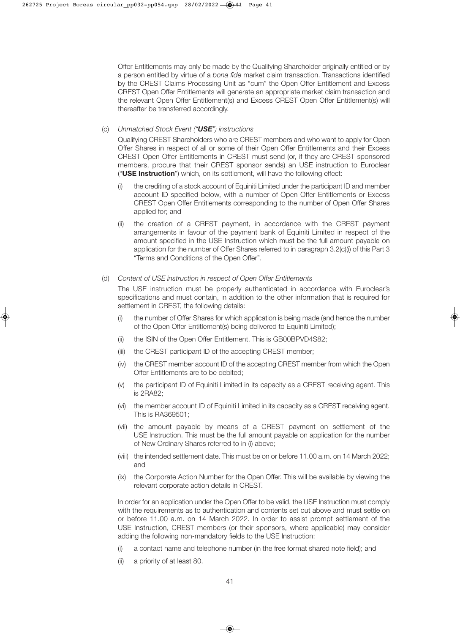Offer Entitlements may only be made by the Qualifying Shareholder originally entitled or by a person entitled by virtue of a *bona fide* market claim transaction. Transactions identified by the CREST Claims Processing Unit as "cum" the Open Offer Entitlement and Excess CREST Open Offer Entitlements will generate an appropriate market claim transaction and the relevant Open Offer Entitlement(s) and Excess CREST Open Offer Entitlement(s) will thereafter be transferred accordingly.

#### (c) *Unmatched Stock Event ("USE") instructions*

 Qualifying CREST Shareholders who are CREST members and who want to apply for Open Offer Shares in respect of all or some of their Open Offer Entitlements and their Excess CREST Open Offer Entitlements in CREST must send (or, if they are CREST sponsored members, procure that their CREST sponsor sends) an USE instruction to Euroclear ("**USE Instruction**") which, on its settlement, will have the following effect:

- (i) the crediting of a stock account of Equiniti Limited under the participant ID and member account ID specified below, with a number of Open Offer Entitlements or Excess CREST Open Offer Entitlements corresponding to the number of Open Offer Shares applied for; and
- (ii) the creation of a CREST payment, in accordance with the CREST payment arrangements in favour of the payment bank of Equiniti Limited in respect of the amount specified in the USE Instruction which must be the full amount payable on application for the number of Offer Shares referred to in paragraph 3.2(c)(i) of this Part 3 "Terms and Conditions of the Open Offer".

#### (d) *Content of USE instruction in respect of Open Offer Entitlements*

 The USE instruction must be properly authenticated in accordance with Euroclear's specifications and must contain, in addition to the other information that is required for settlement in CREST, the following details:

- (i) the number of Offer Shares for which application is being made (and hence the number of the Open Offer Entitlement(s) being delivered to Equiniti Limited);
- (ii) the ISIN of the Open Offer Entitlement. This is GB00BPVD4S82;
- (iii) the CREST participant ID of the accepting CREST member;
- (iv) the CREST member account ID of the accepting CREST member from which the Open Offer Entitlements are to be debited;
- (v) the participant ID of Equiniti Limited in its capacity as a CREST receiving agent. This is 2RA82;
- (vi) the member account ID of Equiniti Limited in its capacity as a CREST receiving agent. This is RA369501;
- (vii) the amount payable by means of a CREST payment on settlement of the USE Instruction. This must be the full amount payable on application for the number of New Ordinary Shares referred to in (i) above;
- (viii) the intended settlement date. This must be on or before 11.00 a.m. on 14 March 2022; and
- (ix) the Corporate Action Number for the Open Offer. This will be available by viewing the relevant corporate action details in CREST.

 In order for an application under the Open Offer to be valid, the USE Instruction must comply with the requirements as to authentication and contents set out above and must settle on or before 11.00 a.m. on 14 March 2022. In order to assist prompt settlement of the USE Instruction, CREST members (or their sponsors, where applicable) may consider adding the following non-mandatory fields to the USE Instruction:

- (i) a contact name and telephone number (in the free format shared note field); and
- (ii) a priority of at least 80.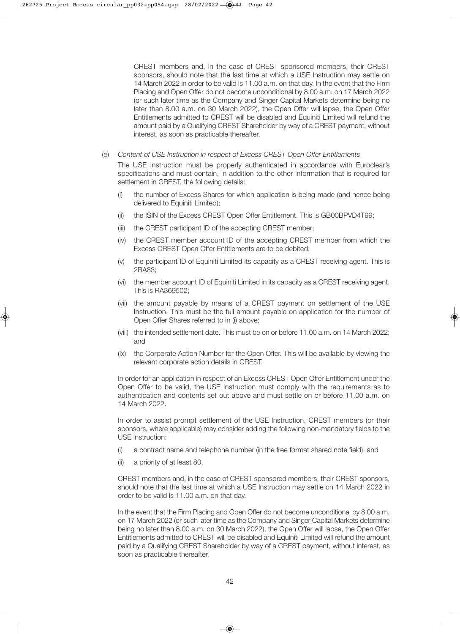CREST members and, in the case of CREST sponsored members, their CREST sponsors, should note that the last time at which a USE Instruction may settle on 14 March 2022 in order to be valid is 11.00 a.m. on that day. In the event that the Firm Placing and Open Offer do not become unconditional by 8.00 a.m. on 17 March 2022 (or such later time as the Company and Singer Capital Markets determine being no later than 8.00 a.m. on 30 March 2022), the Open Offer will lapse, the Open Offer Entitlements admitted to CREST will be disabled and Equiniti Limited will refund the amount paid by a Qualifying CREST Shareholder by way of a CREST payment, without interest, as soon as practicable thereafter.

(e) *Content of USE Instruction in respect of Excess CREST Open Offer Entitlements*

 The USE Instruction must be properly authenticated in accordance with Euroclear's specifications and must contain, in addition to the other information that is required for settlement in CREST, the following details:

- (i) the number of Excess Shares for which application is being made (and hence being delivered to Equiniti Limited);
- (ii) the ISIN of the Excess CREST Open Offer Entitlement. This is GB00BPVD4T99;
- (iii) the CREST participant ID of the accepting CREST member;
- (iv) the CREST member account ID of the accepting CREST member from which the Excess CREST Open Offer Entitlements are to be debited;
- (v) the participant ID of Equiniti Limited its capacity as a CREST receiving agent. This is 2RA83;
- (vi) the member account ID of Equiniti Limited in its capacity as a CREST receiving agent. This is RA369502;
- (vii) the amount payable by means of a CREST payment on settlement of the USE Instruction. This must be the full amount payable on application for the number of Open Offer Shares referred to in (i) above;
- (viii) the intended settlement date. This must be on or before 11.00 a.m. on 14 March 2022; and
- (ix) the Corporate Action Number for the Open Offer. This will be available by viewing the relevant corporate action details in CREST.

 In order for an application in respect of an Excess CREST Open Offer Entitlement under the Open Offer to be valid, the USE Instruction must comply with the requirements as to authentication and contents set out above and must settle on or before 11.00 a.m. on 14 March 2022.

 In order to assist prompt settlement of the USE Instruction, CREST members (or their sponsors, where applicable) may consider adding the following non-mandatory fields to the USE Instruction:

- (i) a contract name and telephone number (in the free format shared note field); and
- (ii) a priority of at least 80.

 CREST members and, in the case of CREST sponsored members, their CREST sponsors, should note that the last time at which a USE Instruction may settle on 14 March 2022 in order to be valid is 11.00 a.m. on that day.

In the event that the Firm Placing and Open Offer do not become unconditional by 8.00 a.m. on 17 March 2022 (or such later time as the Company and Singer Capital Markets determine being no later than 8.00 a.m. on 30 March 2022), the Open Offer will lapse, the Open Offer Entitlements admitted to CREST will be disabled and Equiniti Limited will refund the amount paid by a Qualifying CREST Shareholder by way of a CREST payment, without interest, as soon as practicable thereafter.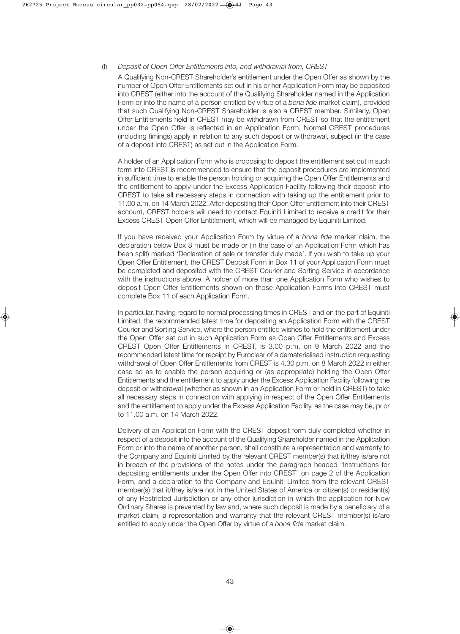#### (f) *Deposit of Open Offer Entitlements into, and withdrawal from, CREST*

 A Qualifying Non-CREST Shareholder's entitlement under the Open Offer as shown by the number of Open Offer Entitlements set out in his or her Application Form may be deposited into CREST (either into the account of the Qualifying Shareholder named in the Application Form or into the name of a person entitled by virtue of a *bona fide* market claim), provided that such Qualifying Non-CREST Shareholder is also a CREST member. Similarly, Open Offer Entitlements held in CREST may be withdrawn from CREST so that the entitlement under the Open Offer is reflected in an Application Form. Normal CREST procedures (including timings) apply in relation to any such deposit or withdrawal, subject (in the case of a deposit into CREST) as set out in the Application Form.

 A holder of an Application Form who is proposing to deposit the entitlement set out in such form into CREST is recommended to ensure that the deposit procedures are implemented in sufficient time to enable the person holding or acquiring the Open Offer Entitlements and the entitlement to apply under the Excess Application Facility following their deposit into CREST to take all necessary steps in connection with taking up the entitlement prior to 11.00 a.m. on 14 March 2022. After depositing their Open Offer Entitlement into their CREST account, CREST holders will need to contact Equiniti Limited to receive a credit for their Excess CREST Open Offer Entitlement, which will be managed by Equiniti Limited.

 If you have received your Application Form by virtue of a *bona fide* market claim, the declaration below Box 8 must be made or (in the case of an Application Form which has been split) marked 'Declaration of sale or transfer duly made'. If you wish to take up your Open Offer Entitlement, the CREST Deposit Form in Box 11 of your Application Form must be completed and deposited with the CREST Courier and Sorting Service in accordance with the instructions above. A holder of more than one Application Form who wishes to deposit Open Offer Entitlements shown on those Application Forms into CREST must complete Box 11 of each Application Form.

 In particular, having regard to normal processing times in CREST and on the part of Equiniti Limited, the recommended latest time for depositing an Application Form with the CREST Courier and Sorting Service, where the person entitled wishes to hold the entitlement under the Open Offer set out in such Application Form as Open Offer Entitlements and Excess CREST Open Offer Entitlements in CREST, is 3.00 p.m. on 9 March 2022 and the recommended latest time for receipt by Euroclear of a dematerialised instruction requesting withdrawal of Open Offer Entitlements from CREST is 4.30 p.m. on 8 March 2022 in either case so as to enable the person acquiring or (as appropriate) holding the Open Offer Entitlements and the entitlement to apply under the Excess Application Facility following the deposit or withdrawal (whether as shown in an Application Form or held in CREST) to take all necessary steps in connection with applying in respect of the Open Offer Entitlements and the entitlement to apply under the Excess Application Facility, as the case may be, prior to 11.00 a.m. on 14 March 2022.

 Delivery of an Application Form with the CREST deposit form duly completed whether in respect of a deposit into the account of the Qualifying Shareholder named in the Application Form or into the name of another person, shall constitute a representation and warranty to the Company and Equiniti Limited by the relevant CREST member(s) that it/they is/are not in breach of the provisions of the notes under the paragraph headed "Instructions for depositing entitlements under the Open Offer into CREST" on page 2 of the Application Form, and a declaration to the Company and Equiniti Limited from the relevant CREST member(s) that it/they is/are not in the United States of America or citizen(s) or resident(s) of any Restricted Jurisdiction or any other jurisdiction in which the application for New Ordinary Shares is prevented by law and, where such deposit is made by a beneficiary of a market claim, a representation and warranty that the relevant CREST member(s) is/are entitled to apply under the Open Offer by virtue of a *bona fide* market claim.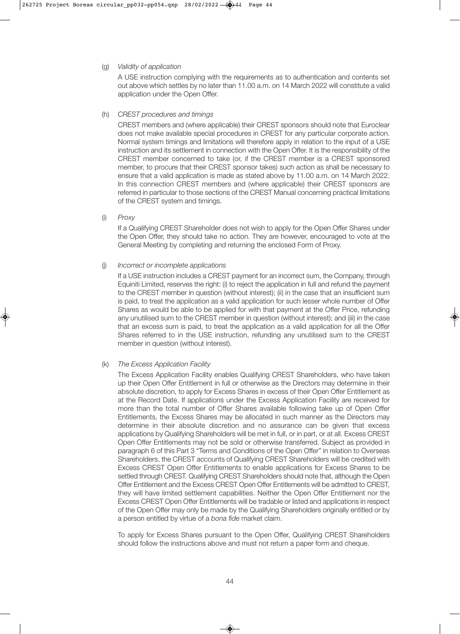#### (g) *Validity of application*

 A USE instruction complying with the requirements as to authentication and contents set out above which settles by no later than 11.00 a.m. on 14 March 2022 will constitute a valid application under the Open Offer.

#### (h) *CREST procedures and timings*

 CREST members and (where applicable) their CREST sponsors should note that Euroclear does not make available special procedures in CREST for any particular corporate action. Normal system timings and limitations will therefore apply in relation to the input of a USE instruction and its settlement in connection with the Open Offer. It is the responsibility of the CREST member concerned to take (or, if the CREST member is a CREST sponsored member, to procure that their CREST sponsor takes) such action as shall be necessary to ensure that a valid application is made as stated above by 11.00 a.m. on 14 March 2022. In this connection CREST members and (where applicable) their CREST sponsors are referred in particular to those sections of the CREST Manual concerning practical limitations of the CREST system and timings.

(i) *Proxy*

 If a Qualifying CREST Shareholder does not wish to apply for the Open Offer Shares under the Open Offer, they should take no action. They are however, encouraged to vote at the General Meeting by completing and returning the enclosed Form of Proxy.

#### (j) *Incorrect or incomplete applications*

 If a USE instruction includes a CREST payment for an incorrect sum, the Company, through Equiniti Limited, reserves the right: (i) to reject the application in full and refund the payment to the CREST member in question (without interest); (ii) in the case that an insufficient sum is paid, to treat the application as a valid application for such lesser whole number of Offer Shares as would be able to be applied for with that payment at the Offer Price, refunding any unutilised sum to the CREST member in question (without interest); and (iii) in the case that an excess sum is paid, to treat the application as a valid application for all the Offer Shares referred to in the USE instruction, refunding any unutilised sum to the CREST member in question (without interest).

#### (k) *The Excess Application Facility*

 The Excess Application Facility enables Qualifying CREST Shareholders, who have taken up their Open Offer Entitlement in full or otherwise as the Directors may determine in their absolute discretion, to apply for Excess Shares in excess of their Open Offer Entitlement as at the Record Date. If applications under the Excess Application Facility are received for more than the total number of Offer Shares available following take up of Open Offer Entitlements, the Excess Shares may be allocated in such manner as the Directors may determine in their absolute discretion and no assurance can be given that excess applications by Qualifying Shareholders will be met in full, or in part, or at all. Excess CREST Open Offer Entitlements may not be sold or otherwise transferred. Subject as provided in paragraph 6 of this Part 3 "Terms and Conditions of the Open Offer" in relation to Overseas Shareholders, the CREST accounts of Qualifying CREST Shareholders will be credited with Excess CREST Open Offer Entitlements to enable applications for Excess Shares to be settled through CREST. Qualifying CREST Shareholders should note that, although the Open Offer Entitlement and the Excess CREST Open Offer Entitlements will be admitted to CREST, they will have limited settlement capabilities. Neither the Open Offer Entitlement nor the Excess CREST Open Offer Entitlements will be tradable or listed and applications in respect of the Open Offer may only be made by the Qualifying Shareholders originally entitled or by a person entitled by virtue of a *bona fide* market claim.

 To apply for Excess Shares pursuant to the Open Offer, Qualifying CREST Shareholders should follow the instructions above and must not return a paper form and cheque.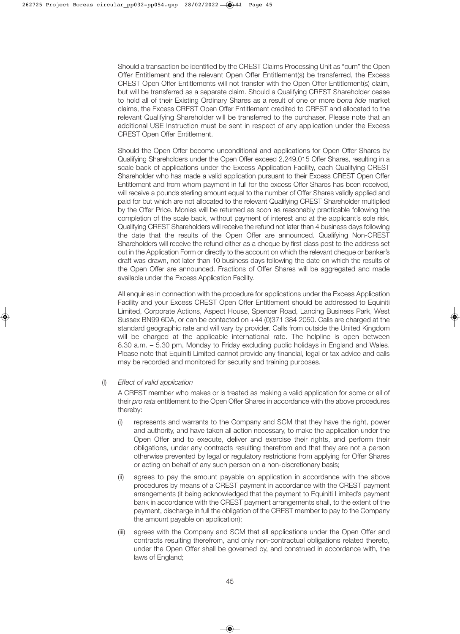Should a transaction be identified by the CREST Claims Processing Unit as "cum" the Open Offer Entitlement and the relevant Open Offer Entitlement(s) be transferred, the Excess CREST Open Offer Entitlements will not transfer with the Open Offer Entitlement(s) claim, but will be transferred as a separate claim. Should a Qualifying CREST Shareholder cease to hold all of their Existing Ordinary Shares as a result of one or more *bona fide* market claims, the Excess CREST Open Offer Entitlement credited to CREST and allocated to the relevant Qualifying Shareholder will be transferred to the purchaser. Please note that an additional USE Instruction must be sent in respect of any application under the Excess CREST Open Offer Entitlement.

 Should the Open Offer become unconditional and applications for Open Offer Shares by Qualifying Shareholders under the Open Offer exceed 2,249,015 Offer Shares, resulting in a scale back of applications under the Excess Application Facility, each Qualifying CREST Shareholder who has made a valid application pursuant to their Excess CREST Open Offer Entitlement and from whom payment in full for the excess Offer Shares has been received, will receive a pounds sterling amount equal to the number of Offer Shares validly applied and paid for but which are not allocated to the relevant Qualifying CREST Shareholder multiplied by the Offer Price. Monies will be returned as soon as reasonably practicable following the completion of the scale back, without payment of interest and at the applicant's sole risk. Qualifying CREST Shareholders will receive the refund not later than 4 business days following the date that the results of the Open Offer are announced. Qualifying Non-CREST Shareholders will receive the refund either as a cheque by first class post to the address set out in the Application Form or directly to the account on which the relevant cheque or banker's draft was drawn, not later than 10 business days following the date on which the results of the Open Offer are announced. Fractions of Offer Shares will be aggregated and made available under the Excess Application Facility.

 All enquiries in connection with the procedure for applications under the Excess Application Facility and your Excess CREST Open Offer Entitlement should be addressed to Equiniti Limited, Corporate Actions, Aspect House, Spencer Road, Lancing Business Park, West Sussex BN99 6DA, or can be contacted on +44 (0)371 384 2050. Calls are charged at the standard geographic rate and will vary by provider. Calls from outside the United Kingdom will be charged at the applicable international rate. The helpline is open between 8.30 a.m. – 5.30 pm, Monday to Friday excluding public holidays in England and Wales. Please note that Equiniti Limited cannot provide any financial, legal or tax advice and calls may be recorded and monitored for security and training purposes.

(l) *Effect of valid application*

 A CREST member who makes or is treated as making a valid application for some or all of their *pro rata* entitlement to the Open Offer Shares in accordance with the above procedures thereby:

- (i) represents and warrants to the Company and SCM that they have the right, power and authority, and have taken all action necessary, to make the application under the Open Offer and to execute, deliver and exercise their rights, and perform their obligations, under any contracts resulting therefrom and that they are not a person otherwise prevented by legal or regulatory restrictions from applying for Offer Shares or acting on behalf of any such person on a non-discretionary basis;
- (ii) agrees to pay the amount payable on application in accordance with the above procedures by means of a CREST payment in accordance with the CREST payment arrangements (it being acknowledged that the payment to Equiniti Limited's payment bank in accordance with the CREST payment arrangements shall, to the extent of the payment, discharge in full the obligation of the CREST member to pay to the Company the amount payable on application);
- (iii) agrees with the Company and SCM that all applications under the Open Offer and contracts resulting therefrom, and only non-contractual obligations related thereto, under the Open Offer shall be governed by, and construed in accordance with, the laws of England;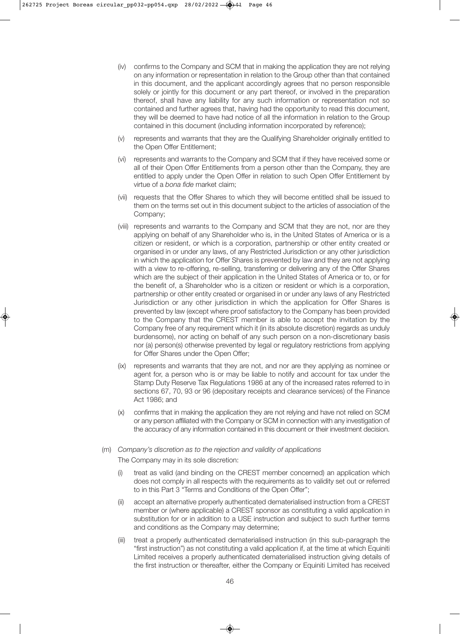- (iv) confirms to the Company and SCM that in making the application they are not relying on any information or representation in relation to the Group other than that contained in this document, and the applicant accordingly agrees that no person responsible solely or jointly for this document or any part thereof, or involved in the preparation thereof, shall have any liability for any such information or representation not so contained and further agrees that, having had the opportunity to read this document, they will be deemed to have had notice of all the information in relation to the Group contained in this document (including information incorporated by reference);
- (v) represents and warrants that they are the Qualifying Shareholder originally entitled to the Open Offer Entitlement;
- (vi) represents and warrants to the Company and SCM that if they have received some or all of their Open Offer Entitlements from a person other than the Company, they are entitled to apply under the Open Offer in relation to such Open Offer Entitlement by virtue of a *bona fide* market claim;
- (vii) requests that the Offer Shares to which they will become entitled shall be issued to them on the terms set out in this document subject to the articles of association of the Company;
- (viii) represents and warrants to the Company and SCM that they are not, nor are they applying on behalf of any Shareholder who is, in the United States of America or is a citizen or resident, or which is a corporation, partnership or other entity created or organised in or under any laws, of any Restricted Jurisdiction or any other jurisdiction in which the application for Offer Shares is prevented by law and they are not applying with a view to re-offering, re-selling, transferring or delivering any of the Offer Shares which are the subject of their application in the United States of America or to, or for the benefit of, a Shareholder who is a citizen or resident or which is a corporation, partnership or other entity created or organised in or under any laws of any Restricted Jurisdiction or any other jurisdiction in which the application for Offer Shares is prevented by law (except where proof satisfactory to the Company has been provided to the Company that the CREST member is able to accept the invitation by the Company free of any requirement which it (in its absolute discretion) regards as unduly burdensome), nor acting on behalf of any such person on a non-discretionary basis nor (a) person(s) otherwise prevented by legal or regulatory restrictions from applying for Offer Shares under the Open Offer;
- (ix) represents and warrants that they are not, and nor are they applying as nominee or agent for, a person who is or may be liable to notify and account for tax under the Stamp Duty Reserve Tax Regulations 1986 at any of the increased rates referred to in sections 67, 70, 93 or 96 (depositary receipts and clearance services) of the Finance Act 1986; and
- (x) confirms that in making the application they are not relying and have not relied on SCM or any person affiliated with the Company or SCM in connection with any investigation of the accuracy of any information contained in this document or their investment decision.
- (m) *Company's discretion as to the rejection and validity of applications* The Company may in its sole discretion:
	- (i) treat as valid (and binding on the CREST member concerned) an application which does not comply in all respects with the requirements as to validity set out or referred to in this Part 3 "Terms and Conditions of the Open Offer";
	- (ii) accept an alternative properly authenticated dematerialised instruction from a CREST member or (where applicable) a CREST sponsor as constituting a valid application in substitution for or in addition to a USE instruction and subject to such further terms and conditions as the Company may determine;
	- (iii) treat a properly authenticated dematerialised instruction (in this sub-paragraph the "first instruction") as not constituting a valid application if, at the time at which Equiniti Limited receives a properly authenticated dematerialised instruction giving details of the first instruction or thereafter, either the Company or Equiniti Limited has received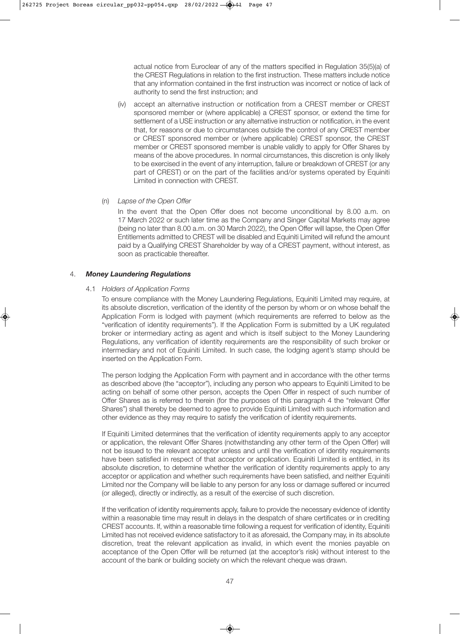actual notice from Euroclear of any of the matters specified in Regulation 35(5)(a) of the CREST Regulations in relation to the first instruction. These matters include notice that any information contained in the first instruction was incorrect or notice of lack of authority to send the first instruction; and

- (iv) accept an alternative instruction or notification from a CREST member or CREST sponsored member or (where applicable) a CREST sponsor, or extend the time for settlement of a USE instruction or any alternative instruction or notification, in the event that, for reasons or due to circumstances outside the control of any CREST member or CREST sponsored member or (where applicable) CREST sponsor, the CREST member or CREST sponsored member is unable validly to apply for Offer Shares by means of the above procedures. In normal circumstances, this discretion is only likely to be exercised in the event of any interruption, failure or breakdown of CREST (or any part of CREST) or on the part of the facilities and/or systems operated by Equiniti Limited in connection with CREST.
- (n) *Lapse of the Open Offer*

 In the event that the Open Offer does not become unconditional by 8.00 a.m. on 17 March 2022 or such later time as the Company and Singer Capital Markets may agree (being no later than 8.00 a.m. on 30 March 2022), the Open Offer will lapse, the Open Offer Entitlements admitted to CREST will be disabled and Equiniti Limited will refund the amount paid by a Qualifying CREST Shareholder by way of a CREST payment, without interest, as soon as practicable thereafter.

#### 4. *Money Laundering Regulations*

#### 4.1 *Holders of Application Forms*

 To ensure compliance with the Money Laundering Regulations, Equiniti Limited may require, at its absolute discretion, verification of the identity of the person by whom or on whose behalf the Application Form is lodged with payment (which requirements are referred to below as the "verification of identity requirements"). If the Application Form is submitted by a UK regulated broker or intermediary acting as agent and which is itself subject to the Money Laundering Regulations, any verification of identity requirements are the responsibility of such broker or intermediary and not of Equiniti Limited. In such case, the lodging agent's stamp should be inserted on the Application Form.

 The person lodging the Application Form with payment and in accordance with the other terms as described above (the "acceptor"), including any person who appears to Equiniti Limited to be acting on behalf of some other person, accepts the Open Offer in respect of such number of Offer Shares as is referred to therein (for the purposes of this paragraph 4 the "relevant Offer Shares") shall thereby be deemed to agree to provide Equiniti Limited with such information and other evidence as they may require to satisfy the verification of identity requirements.

 If Equiniti Limited determines that the verification of identity requirements apply to any acceptor or application, the relevant Offer Shares (notwithstanding any other term of the Open Offer) will not be issued to the relevant acceptor unless and until the verification of identity requirements have been satisfied in respect of that acceptor or application. Equiniti Limited is entitled, in its absolute discretion, to determine whether the verification of identity requirements apply to any acceptor or application and whether such requirements have been satisfied, and neither Equiniti Limited nor the Company will be liable to any person for any loss or damage suffered or incurred (or alleged), directly or indirectly, as a result of the exercise of such discretion.

If the verification of identity requirements apply, failure to provide the necessary evidence of identity within a reasonable time may result in delays in the despatch of share certificates or in crediting CREST accounts. If, within a reasonable time following a request for verification of identity, Equiniti Limited has not received evidence satisfactory to it as aforesaid, the Company may, in its absolute discretion, treat the relevant application as invalid, in which event the monies payable on acceptance of the Open Offer will be returned (at the acceptor's risk) without interest to the account of the bank or building society on which the relevant cheque was drawn.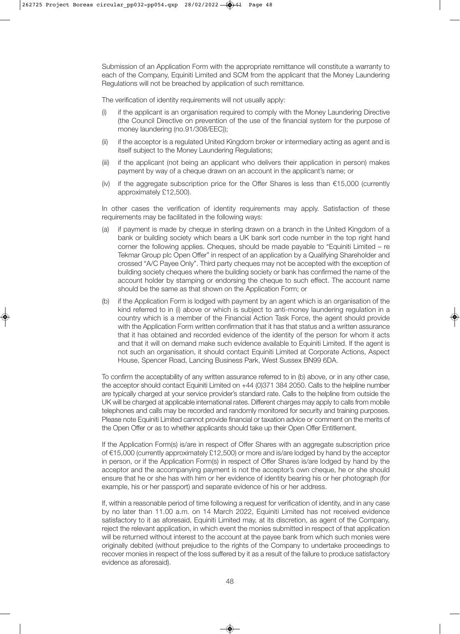Submission of an Application Form with the appropriate remittance will constitute a warranty to each of the Company, Equiniti Limited and SCM from the applicant that the Money Laundering Regulations will not be breached by application of such remittance.

The verification of identity requirements will not usually apply:

- (i) if the applicant is an organisation required to comply with the Money Laundering Directive (the Council Directive on prevention of the use of the financial system for the purpose of money laundering (no.91/308/EEC));
- (ii) if the acceptor is a regulated United Kingdom broker or intermediary acting as agent and is itself subject to the Money Laundering Regulations;
- (iii) if the applicant (not being an applicant who delivers their application in person) makes payment by way of a cheque drawn on an account in the applicant's name; or
- (iv) if the aggregate subscription price for the Offer Shares is less than €15,000 (currently approximately £12,500).

 In other cases the verification of identity requirements may apply. Satisfaction of these requirements may be facilitated in the following ways:

- (a) if payment is made by cheque in sterling drawn on a branch in the United Kingdom of a bank or building society which bears a UK bank sort code number in the top right hand corner the following applies. Cheques, should be made payable to "Equiniti Limited – re Tekmar Group plc Open Offer" in respect of an application by a Qualifying Shareholder and crossed "A/C Payee Only". Third party cheques may not be accepted with the exception of building society cheques where the building society or bank has confirmed the name of the account holder by stamping or endorsing the cheque to such effect. The account name should be the same as that shown on the Application Form; or
- (b) if the Application Form is lodged with payment by an agent which is an organisation of the kind referred to in (i) above or which is subject to anti-money laundering regulation in a country which is a member of the Financial Action Task Force, the agent should provide with the Application Form written confirmation that it has that status and a written assurance that it has obtained and recorded evidence of the identity of the person for whom it acts and that it will on demand make such evidence available to Equiniti Limited. If the agent is not such an organisation, it should contact Equiniti Limited at Corporate Actions, Aspect House, Spencer Road, Lancing Business Park, West Sussex BN99 6DA.

 To confirm the acceptability of any written assurance referred to in (b) above, or in any other case, the acceptor should contact Equiniti Limited on +44 (0)371 384 2050. Calls to the helpline number are typically charged at your service provider's standard rate. Calls to the helpline from outside the UK will be charged at applicable international rates. Different charges may apply to calls from mobile telephones and calls may be recorded and randomly monitored for security and training purposes. Please note Equiniti Limited cannot provide financial or taxation advice or comment on the merits of the Open Offer or as to whether applicants should take up their Open Offer Entitlement.

 If the Application Form(s) is/are in respect of Offer Shares with an aggregate subscription price of €15,000 (currently approximately £12,500) or more and is/are lodged by hand by the acceptor in person, or if the Application Form(s) in respect of Offer Shares is/are lodged by hand by the acceptor and the accompanying payment is not the acceptor's own cheque, he or she should ensure that he or she has with him or her evidence of identity bearing his or her photograph (for example, his or her passport) and separate evidence of his or her address.

 If, within a reasonable period of time following a request for verification of identity, and in any case by no later than 11.00 a.m. on 14 March 2022, Equiniti Limited has not received evidence satisfactory to it as aforesaid, Equiniti Limited may, at its discretion, as agent of the Company, reject the relevant application, in which event the monies submitted in respect of that application will be returned without interest to the account at the payee bank from which such monies were originally debited (without prejudice to the rights of the Company to undertake proceedings to recover monies in respect of the loss suffered by it as a result of the failure to produce satisfactory evidence as aforesaid).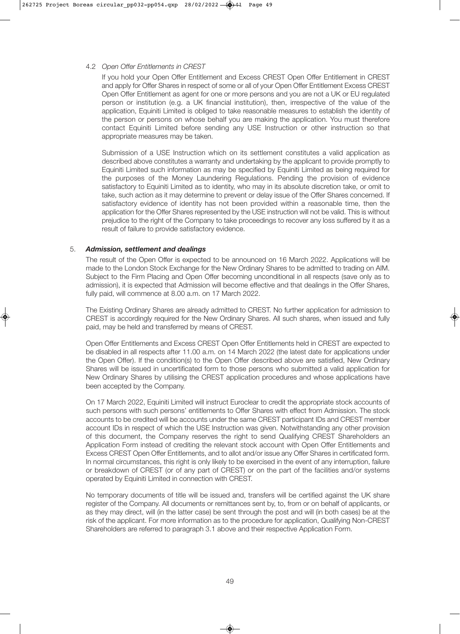#### 4.2 *Open Offer Entitlements in CREST*

 If you hold your Open Offer Entitlement and Excess CREST Open Offer Entitlement in CREST and apply for Offer Shares in respect of some or all of your Open Offer Entitlement Excess CREST Open Offer Entitlement as agent for one or more persons and you are not a UK or EU regulated person or institution (e.g. a UK financial institution), then, irrespective of the value of the application, Equiniti Limited is obliged to take reasonable measures to establish the identity of the person or persons on whose behalf you are making the application. You must therefore contact Equiniti Limited before sending any USE Instruction or other instruction so that appropriate measures may be taken.

 Submission of a USE Instruction which on its settlement constitutes a valid application as described above constitutes a warranty and undertaking by the applicant to provide promptly to Equiniti Limited such information as may be specified by Equiniti Limited as being required for the purposes of the Money Laundering Regulations. Pending the provision of evidence satisfactory to Equiniti Limited as to identity, who may in its absolute discretion take, or omit to take, such action as it may determine to prevent or delay issue of the Offer Shares concerned. If satisfactory evidence of identity has not been provided within a reasonable time, then the application for the Offer Shares represented by the USE instruction will not be valid. This is without prejudice to the right of the Company to take proceedings to recover any loss suffered by it as a result of failure to provide satisfactory evidence.

#### 5. *Admission, settlement and dealings*

 The result of the Open Offer is expected to be announced on 16 March 2022. Applications will be made to the London Stock Exchange for the New Ordinary Shares to be admitted to trading on AIM. Subject to the Firm Placing and Open Offer becoming unconditional in all respects (save only as to admission), it is expected that Admission will become effective and that dealings in the Offer Shares, fully paid, will commence at 8.00 a.m. on 17 March 2022.

 The Existing Ordinary Shares are already admitted to CREST. No further application for admission to CREST is accordingly required for the New Ordinary Shares. All such shares, when issued and fully paid, may be held and transferred by means of CREST.

 Open Offer Entitlements and Excess CREST Open Offer Entitlements held in CREST are expected to be disabled in all respects after 11.00 a.m. on 14 March 2022 (the latest date for applications under the Open Offer). If the condition(s) to the Open Offer described above are satisfied, New Ordinary Shares will be issued in uncertificated form to those persons who submitted a valid application for New Ordinary Shares by utilising the CREST application procedures and whose applications have been accepted by the Company.

 On 17 March 2022, Equiniti Limited will instruct Euroclear to credit the appropriate stock accounts of such persons with such persons' entitlements to Offer Shares with effect from Admission. The stock accounts to be credited will be accounts under the same CREST participant IDs and CREST member account IDs in respect of which the USE Instruction was given. Notwithstanding any other provision of this document, the Company reserves the right to send Qualifying CREST Shareholders an Application Form instead of crediting the relevant stock account with Open Offer Entitlements and Excess CREST Open Offer Entitlements, and to allot and/or issue any Offer Shares in certificated form. In normal circumstances, this right is only likely to be exercised in the event of any interruption, failure or breakdown of CREST (or of any part of CREST) or on the part of the facilities and/or systems operated by Equiniti Limited in connection with CREST.

 No temporary documents of title will be issued and, transfers will be certified against the UK share register of the Company. All documents or remittances sent by, to, from or on behalf of applicants, or as they may direct, will (in the latter case) be sent through the post and will (in both cases) be at the risk of the applicant. For more information as to the procedure for application, Qualifying Non-CREST Shareholders are referred to paragraph 3.1 above and their respective Application Form.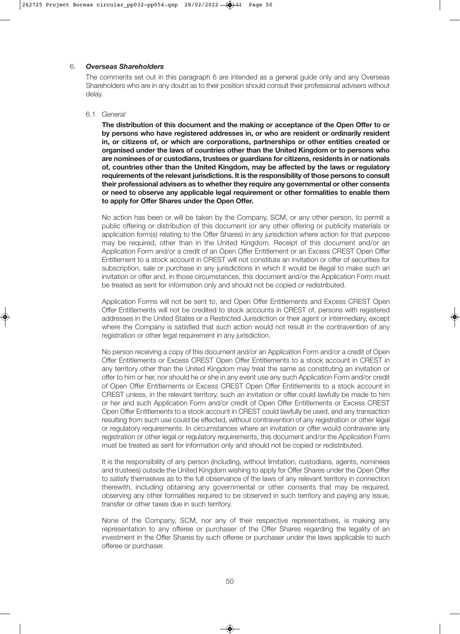#### 6. *Overseas Shareholders*

 The comments set out in this paragraph 6 are intended as a general guide only and any Overseas Shareholders who are in any doubt as to their position should consult their professional advisers without delay.

#### 6.1 *General*

 **The distribution of this document and the making or acceptance of the Open Offer to or by persons who have registered addresses in, or who are resident or ordinarily resident in, or citizens of, or which are corporations, partnerships or other entities created or organised under the laws of countries other than the United Kingdom or to persons who are nominees of or custodians, trustees or guardians for citizens, residents in or nationals of, countries other than the United Kingdom, may be affected by the laws or regulatory requirements of the relevant jurisdictions. It is the responsibility of those persons to consult their professional advisers as to whether they require any governmental or other consents or need to observe any applicable legal requirement or other formalities to enable them to apply for Offer Shares under the Open Offer.**

 No action has been or will be taken by the Company, SCM, or any other person, to permit a public offering or distribution of this document (or any other offering or publicity materials or application form(s) relating to the Offer Shares) in any jurisdiction where action for that purpose may be required, other than in the United Kingdom. Receipt of this document and/or an Application Form and/or a credit of an Open Offer Entitlement or an Excess CREST Open Offer Entitlement to a stock account in CREST will not constitute an invitation or offer of securities for subscription, sale or purchase in any jurisdictions in which it would be illegal to make such an invitation or offer and, in those circumstances, this document and/or the Application Form must be treated as sent for information only and should not be copied or redistributed.

 Application Forms will not be sent to, and Open Offer Entitlements and Excess CREST Open Offer Entitlements will not be credited to stock accounts in CREST of, persons with registered addresses in the United States or a Restricted Jurisdiction or their agent or intermediary, except where the Company is satisfied that such action would not result in the contravention of any registration or other legal requirement in any jurisdiction.

 No person receiving a copy of this document and/or an Application Form and/or a credit of Open Offer Entitlements or Excess CREST Open Offer Entitlements to a stock account in CREST in any territory other than the United Kingdom may treat the same as constituting an invitation or offer to him or her, nor should he or she in any event use any such Application Form and/or credit of Open Offer Entitlements or Excess CREST Open Offer Entitlements to a stock account in CREST unless, in the relevant territory, such an invitation or offer could lawfully be made to him or her and such Application Form and/or credit of Open Offer Entitlements or Excess CREST Open Offer Entitlements to a stock account in CREST could lawfully be used, and any transaction resulting from such use could be effected, without contravention of any registration or other legal or regulatory requirements. In circumstances where an invitation or offer would contravene any registration or other legal or regulatory requirements, this document and/or the Application Form must be treated as sent for information only and should not be copied or redistributed.

It is the responsibility of any person (including, without limitation, custodians, agents, nominees and trustees) outside the United Kingdom wishing to apply for Offer Shares under the Open Offer to satisfy themselves as to the full observance of the laws of any relevant territory in connection therewith, including obtaining any governmental or other consents that may be required, observing any other formalities required to be observed in such territory and paying any issue, transfer or other taxes due in such territory.

 None of the Company, SCM, nor any of their respective representatives, is making any representation to any offeree or purchaser of the Offer Shares regarding the legality of an investment in the Offer Shares by such offeree or purchaser under the laws applicable to such offeree or purchaser.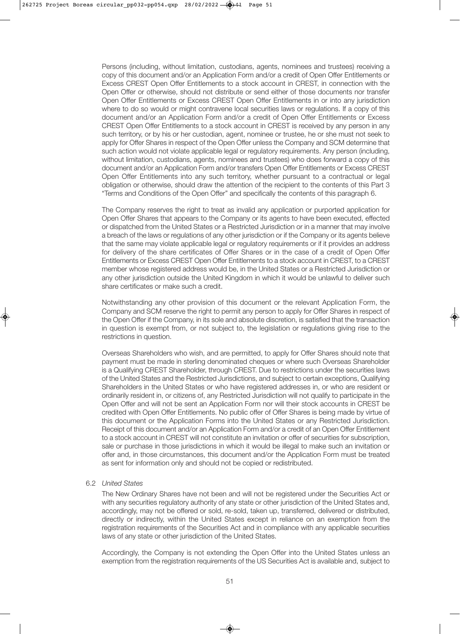Persons (including, without limitation, custodians, agents, nominees and trustees) receiving a copy of this document and/or an Application Form and/or a credit of Open Offer Entitlements or Excess CREST Open Offer Entitlements to a stock account in CREST, in connection with the Open Offer or otherwise, should not distribute or send either of those documents nor transfer Open Offer Entitlements or Excess CREST Open Offer Entitlements in or into any jurisdiction where to do so would or might contravene local securities laws or regulations. If a copy of this document and/or an Application Form and/or a credit of Open Offer Entitlements or Excess CREST Open Offer Entitlements to a stock account in CREST is received by any person in any such territory, or by his or her custodian, agent, nominee or trustee, he or she must not seek to apply for Offer Shares in respect of the Open Offer unless the Company and SCM determine that such action would not violate applicable legal or regulatory requirements. Any person (including, without limitation, custodians, agents, nominees and trustees) who does forward a copy of this document and/or an Application Form and/or transfers Open Offer Entitlements or Excess CREST Open Offer Entitlements into any such territory, whether pursuant to a contractual or legal obligation or otherwise, should draw the attention of the recipient to the contents of this Part 3 "Terms and Conditions of the Open Offer" and specifically the contents of this paragraph 6.

 The Company reserves the right to treat as invalid any application or purported application for Open Offer Shares that appears to the Company or its agents to have been executed, effected or dispatched from the United States or a Restricted Jurisdiction or in a manner that may involve a breach of the laws or regulations of any other jurisdiction or if the Company or its agents believe that the same may violate applicable legal or regulatory requirements or if it provides an address for delivery of the share certificates of Offer Shares or in the case of a credit of Open Offer Entitlements or Excess CREST Open Offer Entitlements to a stock account in CREST, to a CREST member whose registered address would be, in the United States or a Restricted Jurisdiction or any other jurisdiction outside the United Kingdom in which it would be unlawful to deliver such share certificates or make such a credit.

 Notwithstanding any other provision of this document or the relevant Application Form, the Company and SCM reserve the right to permit any person to apply for Offer Shares in respect of the Open Offer if the Company, in its sole and absolute discretion, is satisfied that the transaction in question is exempt from, or not subject to, the legislation or regulations giving rise to the restrictions in question.

 Overseas Shareholders who wish, and are permitted, to apply for Offer Shares should note that payment must be made in sterling denominated cheques or where such Overseas Shareholder is a Qualifying CREST Shareholder, through CREST. Due to restrictions under the securities laws of the United States and the Restricted Jurisdictions, and subject to certain exceptions, Qualifying Shareholders in the United States or who have registered addresses in, or who are resident or ordinarily resident in, or citizens of, any Restricted Jurisdiction will not qualify to participate in the Open Offer and will not be sent an Application Form nor will their stock accounts in CREST be credited with Open Offer Entitlements. No public offer of Offer Shares is being made by virtue of this document or the Application Forms into the United States or any Restricted Jurisdiction. Receipt of this document and/or an Application Form and/or a credit of an Open Offer Entitlement to a stock account in CREST will not constitute an invitation or offer of securities for subscription, sale or purchase in those jurisdictions in which it would be illegal to make such an invitation or offer and, in those circumstances, this document and/or the Application Form must be treated as sent for information only and should not be copied or redistributed.

#### 6.2 *United States*

 The New Ordinary Shares have not been and will not be registered under the Securities Act or with any securities regulatory authority of any state or other jurisdiction of the United States and, accordingly, may not be offered or sold, re-sold, taken up, transferred, delivered or distributed, directly or indirectly, within the United States except in reliance on an exemption from the registration requirements of the Securities Act and in compliance with any applicable securities laws of any state or other jurisdiction of the United States.

 Accordingly, the Company is not extending the Open Offer into the United States unless an exemption from the registration requirements of the US Securities Act is available and, subject to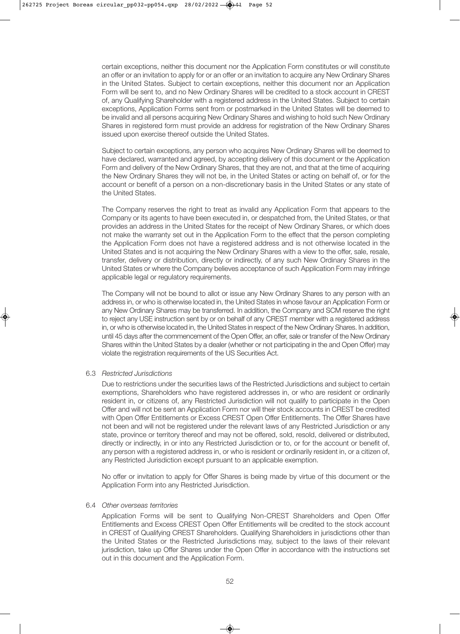certain exceptions, neither this document nor the Application Form constitutes or will constitute an offer or an invitation to apply for or an offer or an invitation to acquire any New Ordinary Shares in the United States. Subject to certain exceptions, neither this document nor an Application Form will be sent to, and no New Ordinary Shares will be credited to a stock account in CREST of, any Qualifying Shareholder with a registered address in the United States. Subject to certain exceptions, Application Forms sent from or postmarked in the United States will be deemed to be invalid and all persons acquiring New Ordinary Shares and wishing to hold such New Ordinary Shares in registered form must provide an address for registration of the New Ordinary Shares issued upon exercise thereof outside the United States.

 Subject to certain exceptions, any person who acquires New Ordinary Shares will be deemed to have declared, warranted and agreed, by accepting delivery of this document or the Application Form and delivery of the New Ordinary Shares, that they are not, and that at the time of acquiring the New Ordinary Shares they will not be, in the United States or acting on behalf of, or for the account or benefit of a person on a non-discretionary basis in the United States or any state of the United States.

 The Company reserves the right to treat as invalid any Application Form that appears to the Company or its agents to have been executed in, or despatched from, the United States, or that provides an address in the United States for the receipt of New Ordinary Shares, or which does not make the warranty set out in the Application Form to the effect that the person completing the Application Form does not have a registered address and is not otherwise located in the United States and is not acquiring the New Ordinary Shares with a view to the offer, sale, resale, transfer, delivery or distribution, directly or indirectly, of any such New Ordinary Shares in the United States or where the Company believes acceptance of such Application Form may infringe applicable legal or regulatory requirements.

 The Company will not be bound to allot or issue any New Ordinary Shares to any person with an address in, or who is otherwise located in, the United States in whose favour an Application Form or any New Ordinary Shares may be transferred. In addition, the Company and SCM reserve the right to reject any USE instruction sent by or on behalf of any CREST member with a registered address in, or who is otherwise located in, the United States in respect of the New Ordinary Shares. In addition, until 45 days after the commencement of the Open Offer, an offer, sale or transfer of the New Ordinary Shares within the United States by a dealer (whether or not participating in the and Open Offer) may violate the registration requirements of the US Securities Act.

#### 6.3 *Restricted Jurisdictions*

 Due to restrictions under the securities laws of the Restricted Jurisdictions and subject to certain exemptions, Shareholders who have registered addresses in, or who are resident or ordinarily resident in, or citizens of, any Restricted Jurisdiction will not qualify to participate in the Open Offer and will not be sent an Application Form nor will their stock accounts in CREST be credited with Open Offer Entitlements or Excess CREST Open Offer Entitlements. The Offer Shares have not been and will not be registered under the relevant laws of any Restricted Jurisdiction or any state, province or territory thereof and may not be offered, sold, resold, delivered or distributed, directly or indirectly, in or into any Restricted Jurisdiction or to, or for the account or benefit of, any person with a registered address in, or who is resident or ordinarily resident in, or a citizen of, any Restricted Jurisdiction except pursuant to an applicable exemption.

 No offer or invitation to apply for Offer Shares is being made by virtue of this document or the Application Form into any Restricted Jurisdiction.

#### 6.4 *Other overseas territories*

 Application Forms will be sent to Qualifying Non-CREST Shareholders and Open Offer Entitlements and Excess CREST Open Offer Entitlements will be credited to the stock account in CREST of Qualifying CREST Shareholders. Qualifying Shareholders in jurisdictions other than the United States or the Restricted Jurisdictions may, subject to the laws of their relevant jurisdiction, take up Offer Shares under the Open Offer in accordance with the instructions set out in this document and the Application Form.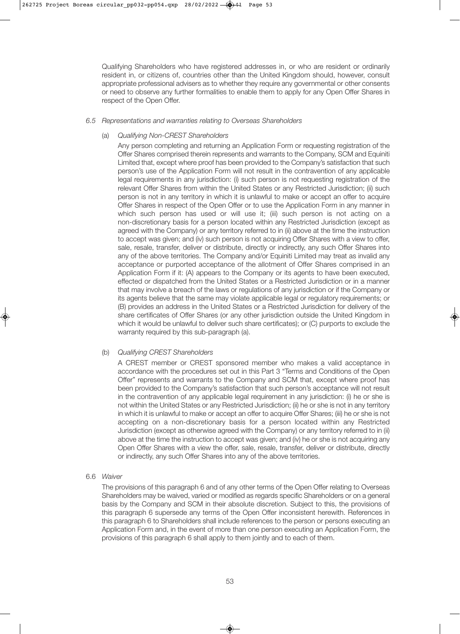Qualifying Shareholders who have registered addresses in, or who are resident or ordinarily resident in, or citizens of, countries other than the United Kingdom should, however, consult appropriate professional advisers as to whether they require any governmental or other consents or need to observe any further formalities to enable them to apply for any Open Offer Shares in respect of the Open Offer.

#### *6.5 Representations and warranties relating to Overseas Shareholders*

#### (a) *Qualifying Non-CREST Shareholders*

 Any person completing and returning an Application Form or requesting registration of the Offer Shares comprised therein represents and warrants to the Company, SCM and Equiniti Limited that, except where proof has been provided to the Company's satisfaction that such person's use of the Application Form will not result in the contravention of any applicable legal requirements in any jurisdiction: (i) such person is not requesting registration of the relevant Offer Shares from within the United States or any Restricted Jurisdiction; (ii) such person is not in any territory in which it is unlawful to make or accept an offer to acquire Offer Shares in respect of the Open Offer or to use the Application Form in any manner in which such person has used or will use it; (iii) such person is not acting on a non-discretionary basis for a person located within any Restricted Jurisdiction (except as agreed with the Company) or any territory referred to in (ii) above at the time the instruction to accept was given; and (iv) such person is not acquiring Offer Shares with a view to offer, sale, resale, transfer, deliver or distribute, directly or indirectly, any such Offer Shares into any of the above territories. The Company and/or Equiniti Limited may treat as invalid any acceptance or purported acceptance of the allotment of Offer Shares comprised in an Application Form if it: (A) appears to the Company or its agents to have been executed, effected or dispatched from the United States or a Restricted Jurisdiction or in a manner that may involve a breach of the laws or regulations of any jurisdiction or if the Company or its agents believe that the same may violate applicable legal or regulatory requirements; or (B) provides an address in the United States or a Restricted Jurisdiction for delivery of the share certificates of Offer Shares (or any other jurisdiction outside the United Kingdom in which it would be unlawful to deliver such share certificates); or (C) purports to exclude the warranty required by this sub-paragraph (a).

#### (b) *Qualifying CREST Shareholders*

 A CREST member or CREST sponsored member who makes a valid acceptance in accordance with the procedures set out in this Part 3 "Terms and Conditions of the Open Offer" represents and warrants to the Company and SCM that, except where proof has been provided to the Company's satisfaction that such person's acceptance will not result in the contravention of any applicable legal requirement in any jurisdiction: (i) he or she is not within the United States or any Restricted Jurisdiction; (ii) he or she is not in any territory in which it is unlawful to make or accept an offer to acquire Offer Shares; (iii) he or she is not accepting on a non-discretionary basis for a person located within any Restricted Jurisdiction (except as otherwise agreed with the Company) or any territory referred to in (ii) above at the time the instruction to accept was given; and (iv) he or she is not acquiring any Open Offer Shares with a view the offer, sale, resale, transfer, deliver or distribute, directly or indirectly, any such Offer Shares into any of the above territories.

#### 6.6 *Waiver*

 The provisions of this paragraph 6 and of any other terms of the Open Offer relating to Overseas Shareholders may be waived, varied or modified as regards specific Shareholders or on a general basis by the Company and SCM in their absolute discretion. Subject to this, the provisions of this paragraph 6 supersede any terms of the Open Offer inconsistent herewith. References in this paragraph 6 to Shareholders shall include references to the person or persons executing an Application Form and, in the event of more than one person executing an Application Form, the provisions of this paragraph 6 shall apply to them jointly and to each of them.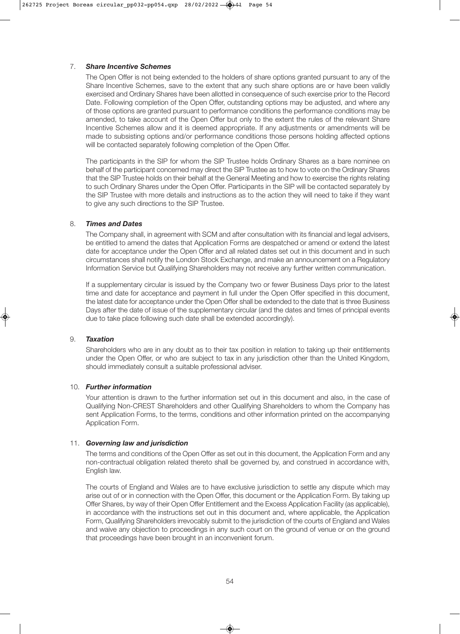#### 7. *Share Incentive Schemes*

 The Open Offer is not being extended to the holders of share options granted pursuant to any of the Share Incentive Schemes, save to the extent that any such share options are or have been validly exercised and Ordinary Shares have been allotted in consequence of such exercise prior to the Record Date. Following completion of the Open Offer, outstanding options may be adjusted, and where any of those options are granted pursuant to performance conditions the performance conditions may be amended, to take account of the Open Offer but only to the extent the rules of the relevant Share Incentive Schemes allow and it is deemed appropriate. If any adjustments or amendments will be made to subsisting options and/or performance conditions those persons holding affected options will be contacted separately following completion of the Open Offer.

 The participants in the SIP for whom the SIP Trustee holds Ordinary Shares as a bare nominee on behalf of the participant concerned may direct the SIP Trustee as to how to vote on the Ordinary Shares that the SIP Trustee holds on their behalf at the General Meeting and how to exercise the rights relating to such Ordinary Shares under the Open Offer. Participants in the SIP will be contacted separately by the SIP Trustee with more details and instructions as to the action they will need to take if they want to give any such directions to the SIP Trustee.

#### 8. *Times and Dates*

 The Company shall, in agreement with SCM and after consultation with its financial and legal advisers, be entitled to amend the dates that Application Forms are despatched or amend or extend the latest date for acceptance under the Open Offer and all related dates set out in this document and in such circumstances shall notify the London Stock Exchange, and make an announcement on a Regulatory Information Service but Qualifying Shareholders may not receive any further written communication.

 If a supplementary circular is issued by the Company two or fewer Business Days prior to the latest time and date for acceptance and payment in full under the Open Offer specified in this document, the latest date for acceptance under the Open Offer shall be extended to the date that is three Business Days after the date of issue of the supplementary circular (and the dates and times of principal events due to take place following such date shall be extended accordingly).

#### 9. *Taxation*

 Shareholders who are in any doubt as to their tax position in relation to taking up their entitlements under the Open Offer, or who are subject to tax in any jurisdiction other than the United Kingdom, should immediately consult a suitable professional adviser.

#### 10. *Further information*

 Your attention is drawn to the further information set out in this document and also, in the case of Qualifying Non-CREST Shareholders and other Qualifying Shareholders to whom the Company has sent Application Forms, to the terms, conditions and other information printed on the accompanying Application Form.

#### 11. *Governing law and jurisdiction*

 The terms and conditions of the Open Offer as set out in this document, the Application Form and any non-contractual obligation related thereto shall be governed by, and construed in accordance with, English law.

 The courts of England and Wales are to have exclusive jurisdiction to settle any dispute which may arise out of or in connection with the Open Offer, this document or the Application Form. By taking up Offer Shares, by way of their Open Offer Entitlement and the Excess Application Facility (as applicable), in accordance with the instructions set out in this document and, where applicable, the Application Form, Qualifying Shareholders irrevocably submit to the jurisdiction of the courts of England and Wales and waive any objection to proceedings in any such court on the ground of venue or on the ground that proceedings have been brought in an inconvenient forum.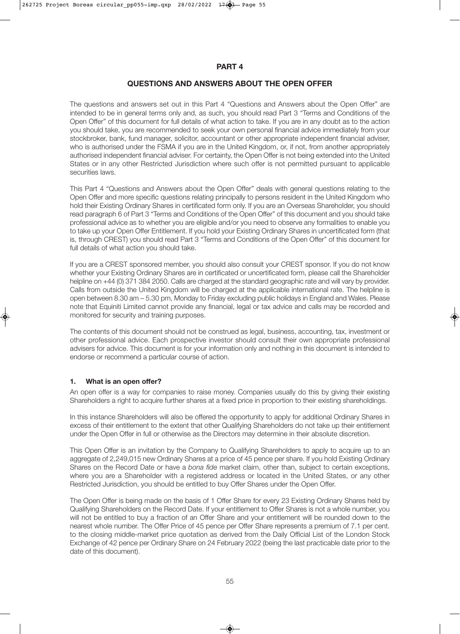#### **PART 4**

#### **QUESTIONS AND ANSWERS ABOUT THE OPEN OFFER**

The questions and answers set out in this Part 4 "Questions and Answers about the Open Offer" are intended to be in general terms only and, as such, you should read Part 3 "Terms and Conditions of the Open Offer" of this document for full details of what action to take. If you are in any doubt as to the action you should take, you are recommended to seek your own personal financial advice immediately from your stockbroker, bank, fund manager, solicitor, accountant or other appropriate independent financial adviser, who is authorised under the FSMA if you are in the United Kingdom, or, if not, from another appropriately authorised independent financial adviser. For certainty, the Open Offer is not being extended into the United States or in any other Restricted Jurisdiction where such offer is not permitted pursuant to applicable securities laws.

This Part 4 "Questions and Answers about the Open Offer" deals with general questions relating to the Open Offer and more specific questions relating principally to persons resident in the United Kingdom who hold their Existing Ordinary Shares in certificated form only. If you are an Overseas Shareholder, you should read paragraph 6 of Part 3 "Terms and Conditions of the Open Offer" of this document and you should take professional advice as to whether you are eligible and/or you need to observe any formalities to enable you to take up your Open Offer Entitlement. If you hold your Existing Ordinary Shares in uncertificated form (that is, through CREST) you should read Part 3 "Terms and Conditions of the Open Offer" of this document for full details of what action you should take.

If you are a CREST sponsored member, you should also consult your CREST sponsor. If you do not know whether your Existing Ordinary Shares are in certificated or uncertificated form, please call the Shareholder helpline on +44 (0) 371 384 2050. Calls are charged at the standard geographic rate and will vary by provider. Calls from outside the United Kingdom will be charged at the applicable international rate. The helpline is open between 8.30 am – 5.30 pm, Monday to Friday excluding public holidays in England and Wales. Please note that Equiniti Limited cannot provide any financial, legal or tax advice and calls may be recorded and monitored for security and training purposes.

The contents of this document should not be construed as legal, business, accounting, tax, investment or other professional advice. Each prospective investor should consult their own appropriate professional advisers for advice. This document is for your information only and nothing in this document is intended to endorse or recommend a particular course of action.

#### **1. What is an open offer?**

An open offer is a way for companies to raise money. Companies usually do this by giving their existing Shareholders a right to acquire further shares at a fixed price in proportion to their existing shareholdings.

In this instance Shareholders will also be offered the opportunity to apply for additional Ordinary Shares in excess of their entitlement to the extent that other Qualifying Shareholders do not take up their entitlement under the Open Offer in full or otherwise as the Directors may determine in their absolute discretion.

This Open Offer is an invitation by the Company to Qualifying Shareholders to apply to acquire up to an aggregate of 2,249,015 new Ordinary Shares at a price of 45 pence per share. If you hold Existing Ordinary Shares on the Record Date or have a *bona fide* market claim, other than, subject to certain exceptions, where you are a Shareholder with a registered address or located in the United States, or any other Restricted Jurisdiction, you should be entitled to buy Offer Shares under the Open Offer.

The Open Offer is being made on the basis of 1 Offer Share for every 23 Existing Ordinary Shares held by Qualifying Shareholders on the Record Date. If your entitlement to Offer Shares is not a whole number, you will not be entitled to buy a fraction of an Offer Share and your entitlement will be rounded down to the nearest whole number. The Offer Price of 45 pence per Offer Share represents a premium of 7.1 per cent. to the closing middle-market price quotation as derived from the Daily Official List of the London Stock Exchange of 42 pence per Ordinary Share on 24 February 2022 (being the last practicable date prior to the date of this document).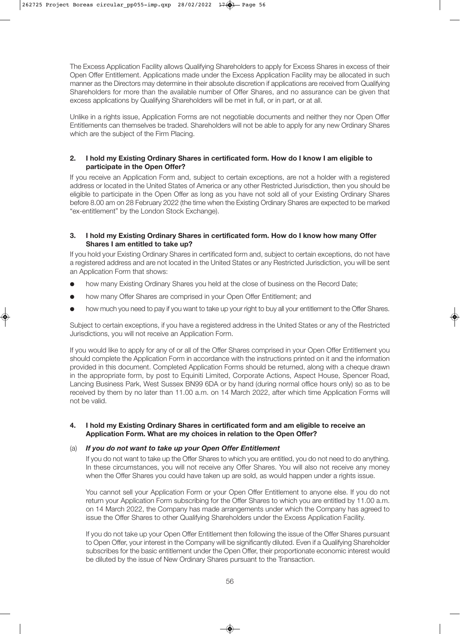The Excess Application Facility allows Qualifying Shareholders to apply for Excess Shares in excess of their Open Offer Entitlement. Applications made under the Excess Application Facility may be allocated in such manner as the Directors may determine in their absolute discretion if applications are received from Qualifying Shareholders for more than the available number of Offer Shares, and no assurance can be given that excess applications by Qualifying Shareholders will be met in full, or in part, or at all.

Unlike in a rights issue, Application Forms are not negotiable documents and neither they nor Open Offer Entitlements can themselves be traded. Shareholders will not be able to apply for any new Ordinary Shares which are the subject of the Firm Placing.

#### **2. I hold my Existing Ordinary Shares in certificated form. How do I know I am eligible to participate in the Open Offer?**

If you receive an Application Form and, subject to certain exceptions, are not a holder with a registered address or located in the United States of America or any other Restricted Jurisdiction, then you should be eligible to participate in the Open Offer as long as you have not sold all of your Existing Ordinary Shares before 8.00 am on 28 February 2022 (the time when the Existing Ordinary Shares are expected to be marked "ex-entitlement" by the London Stock Exchange).

#### **3. I hold my Existing Ordinary Shares in certificated form. How do I know how many Offer Shares I am entitled to take up?**

If you hold your Existing Ordinary Shares in certificated form and, subject to certain exceptions, do not have a registered address and are not located in the United States or any Restricted Jurisdiction, you will be sent an Application Form that shows:

- how many Existing Ordinary Shares you held at the close of business on the Record Date;
- how many Offer Shares are comprised in your Open Offer Entitlement; and
- how much you need to pay if you want to take up your right to buy all your entitlement to the Offer Shares.

Subject to certain exceptions, if you have a registered address in the United States or any of the Restricted Jurisdictions, you will not receive an Application Form.

If you would like to apply for any of or all of the Offer Shares comprised in your Open Offer Entitlement you should complete the Application Form in accordance with the instructions printed on it and the information provided in this document. Completed Application Forms should be returned, along with a cheque drawn in the appropriate form, by post to Equiniti Limited, Corporate Actions, Aspect House, Spencer Road, Lancing Business Park, West Sussex BN99 6DA or by hand (during normal office hours only) so as to be received by them by no later than 11.00 a.m. on 14 March 2022, after which time Application Forms will not be valid.

#### **4. I hold my Existing Ordinary Shares in certificated form and am eligible to receive an Application Form. What are my choices in relation to the Open Offer?**

#### (a) *If you do not want to take up your Open Offer Entitlement*

 If you do not want to take up the Offer Shares to which you are entitled, you do not need to do anything. In these circumstances, you will not receive any Offer Shares. You will also not receive any money when the Offer Shares you could have taken up are sold, as would happen under a rights issue.

 You cannot sell your Application Form or your Open Offer Entitlement to anyone else. If you do not return your Application Form subscribing for the Offer Shares to which you are entitled by 11.00 a.m. on 14 March 2022, the Company has made arrangements under which the Company has agreed to issue the Offer Shares to other Qualifying Shareholders under the Excess Application Facility.

 If you do not take up your Open Offer Entitlement then following the issue of the Offer Shares pursuant to Open Offer, your interest in the Company will be significantly diluted. Even if a Qualifying Shareholder subscribes for the basic entitlement under the Open Offer, their proportionate economic interest would be diluted by the issue of New Ordinary Shares pursuant to the Transaction.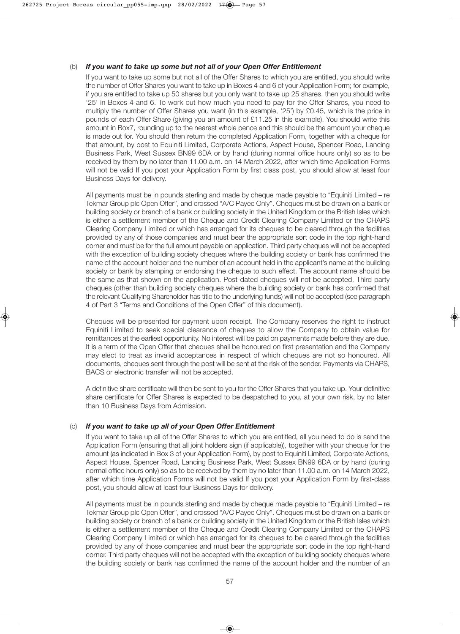#### (b) *If you want to take up some but not all of your Open Offer Entitlement*

 If you want to take up some but not all of the Offer Shares to which you are entitled, you should write the number of Offer Shares you want to take up in Boxes 4 and 6 of your Application Form; for example, if you are entitled to take up 50 shares but you only want to take up 25 shares, then you should write '25' in Boxes 4 and 6. To work out how much you need to pay for the Offer Shares, you need to multiply the number of Offer Shares you want (in this example, '25') by £0.45, which is the price in pounds of each Offer Share (giving you an amount of £11.25 in this example). You should write this amount in Box7, rounding up to the nearest whole pence and this should be the amount your cheque is made out for. You should then return the completed Application Form, together with a cheque for that amount, by post to Equiniti Limited, Corporate Actions, Aspect House, Spencer Road, Lancing Business Park, West Sussex BN99 6DA or by hand (during normal office hours only) so as to be received by them by no later than 11.00 a.m. on 14 March 2022, after which time Application Forms will not be valid If you post your Application Form by first class post, you should allow at least four Business Days for delivery.

 All payments must be in pounds sterling and made by cheque made payable to "Equiniti Limited – re Tekmar Group plc Open Offer", and crossed "A/C Payee Only". Cheques must be drawn on a bank or building society or branch of a bank or building society in the United Kingdom or the British Isles which is either a settlement member of the Cheque and Credit Clearing Company Limited or the CHAPS Clearing Company Limited or which has arranged for its cheques to be cleared through the facilities provided by any of those companies and must bear the appropriate sort code in the top right-hand corner and must be for the full amount payable on application. Third party cheques will not be accepted with the exception of building society cheques where the building society or bank has confirmed the name of the account holder and the number of an account held in the applicant's name at the building society or bank by stamping or endorsing the cheque to such effect. The account name should be the same as that shown on the application. Post-dated cheques will not be accepted. Third party cheques (other than building society cheques where the building society or bank has confirmed that the relevant Qualifying Shareholder has title to the underlying funds) will not be accepted (see paragraph 4 of Part 3 "Terms and Conditions of the Open Offer" of this document).

 Cheques will be presented for payment upon receipt. The Company reserves the right to instruct Equiniti Limited to seek special clearance of cheques to allow the Company to obtain value for remittances at the earliest opportunity. No interest will be paid on payments made before they are due. It is a term of the Open Offer that cheques shall be honoured on first presentation and the Company may elect to treat as invalid acceptances in respect of which cheques are not so honoured. All documents, cheques sent through the post will be sent at the risk of the sender. Payments via CHAPS, BACS or electronic transfer will not be accepted.

 A definitive share certificate will then be sent to you for the Offer Shares that you take up. Your definitive share certificate for Offer Shares is expected to be despatched to you, at your own risk, by no later than 10 Business Days from Admission.

#### (c) *If you want to take up all of your Open Offer Entitlement*

 If you want to take up all of the Offer Shares to which you are entitled, all you need to do is send the Application Form (ensuring that all joint holders sign (if applicable)), together with your cheque for the amount (as indicated in Box 3 of your Application Form), by post to Equiniti Limited, Corporate Actions, Aspect House, Spencer Road, Lancing Business Park, West Sussex BN99 6DA or by hand (during normal office hours only) so as to be received by them by no later than 11.00 a.m. on 14 March 2022, after which time Application Forms will not be valid If you post your Application Form by first-class post, you should allow at least four Business Days for delivery.

 All payments must be in pounds sterling and made by cheque made payable to "Equiniti Limited – re Tekmar Group plc Open Offer", and crossed "A/C Payee Only". Cheques must be drawn on a bank or building society or branch of a bank or building society in the United Kingdom or the British Isles which is either a settlement member of the Cheque and Credit Clearing Company Limited or the CHAPS Clearing Company Limited or which has arranged for its cheques to be cleared through the facilities provided by any of those companies and must bear the appropriate sort code in the top right-hand corner. Third party cheques will not be accepted with the exception of building society cheques where the building society or bank has confirmed the name of the account holder and the number of an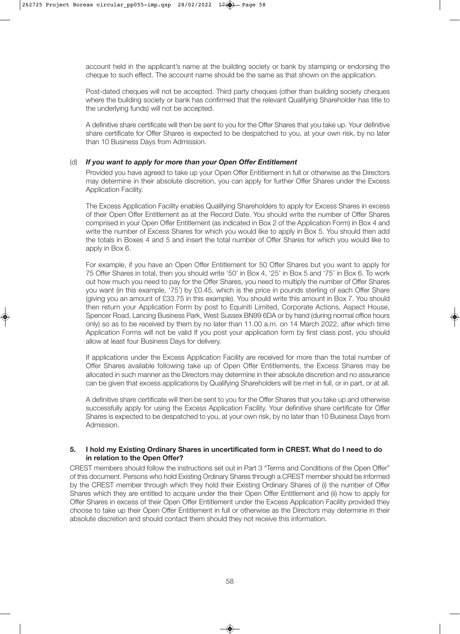account held in the applicant's name at the building society or bank by stamping or endorsing the cheque to such effect. The account name should be the same as that shown on the application.

 Post-dated cheques will not be accepted. Third party cheques (other than building society cheques where the building society or bank has confirmed that the relevant Qualifying Shareholder has title to the underlying funds) will not be accepted.

 A definitive share certificate will then be sent to you for the Offer Shares that you take up. Your definitive share certificate for Offer Shares is expected to be despatched to you, at your own risk, by no later than 10 Business Days from Admission.

#### (d) *If you want to apply for more than your Open Offer Entitlement*

 Provided you have agreed to take up your Open Offer Entitlement in full or otherwise as the Directors may determine in their absolute discretion, you can apply for further Offer Shares under the Excess Application Facility.

 The Excess Application Facility enables Qualifying Shareholders to apply for Excess Shares in excess of their Open Offer Entitlement as at the Record Date. You should write the number of Offer Shares comprised in your Open Offer Entitlement (as indicated in Box 2 of the Application Form) in Box 4 and write the number of Excess Shares for which you would like to apply in Box 5. You should then add the totals in Boxes 4 and 5 and insert the total number of Offer Shares for which you would like to apply in Box 6.

 For example, if you have an Open Offer Entitlement for 50 Offer Shares but you want to apply for 75 Offer Shares in total, then you should write '50' in Box 4, '25' in Box 5 and '75' in Box 6. To work out how much you need to pay for the Offer Shares, you need to multiply the number of Offer Shares you want (in this example, '75') by £0.45, which is the price in pounds sterling of each Offer Share (giving you an amount of £33.75 in this example). You should write this amount in Box 7. You should then return your Application Form by post to Equiniti Limited, Corporate Actions, Aspect House, Spencer Road, Lancing Business Park, West Sussex BN99 6DA or by hand (during normal office hours only) so as to be received by them by no later than 11.00 a.m. on 14 March 2022, after which time Application Forms will not be valid If you post your application form by first class post, you should allow at least four Business Days for delivery.

 If applications under the Excess Application Facility are received for more than the total number of Offer Shares available following take up of Open Offer Entitlements, the Excess Shares may be allocated in such manner as the Directors may determine in their absolute discretion and no assurance can be given that excess applications by Qualifying Shareholders will be met in full, or in part, or at all.

 A definitive share certificate will then be sent to you for the Offer Shares that you take up and otherwise successfully apply for using the Excess Application Facility. Your definitive share certificate for Offer Shares is expected to be despatched to you, at your own risk, by no later than 10 Business Days from Admission.

#### **5. I hold my Existing Ordinary Shares in uncertificated form in CREST. What do I need to do in relation to the Open Offer?**

CREST members should follow the instructions set out in Part 3 "Terms and Conditions of the Open Offer" of this document. Persons who hold Existing Ordinary Shares through a CREST member should be informed by the CREST member through which they hold their Existing Ordinary Shares of (i) the number of Offer Shares which they are entitled to acquire under the their Open Offer Entitlement and (ii) how to apply for Offer Shares in excess of their Open Offer Entitlement under the Excess Application Facility provided they choose to take up their Open Offer Entitlement in full or otherwise as the Directors may determine in their absolute discretion and should contact them should they not receive this information.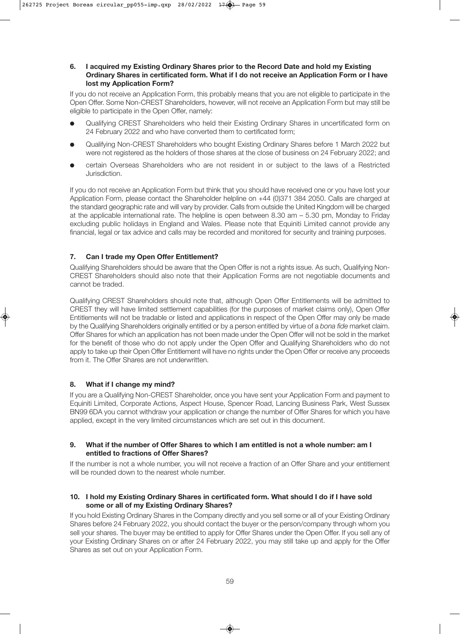#### **6. I acquired my Existing Ordinary Shares prior to the Record Date and hold my Existing Ordinary Shares in certificated form. What if I do not receive an Application Form or I have lost my Application Form?**

If you do not receive an Application Form, this probably means that you are not eligible to participate in the Open Offer. Some Non-CREST Shareholders, however, will not receive an Application Form but may still be eligible to participate in the Open Offer, namely:

- l Qualifying CREST Shareholders who held their Existing Ordinary Shares in uncertificated form on 24 February 2022 and who have converted them to certificated form;
- l Qualifying Non-CREST Shareholders who bought Existing Ordinary Shares before 1 March 2022 but were not registered as the holders of those shares at the close of business on 24 February 2022; and
- l certain Overseas Shareholders who are not resident in or subject to the laws of a Restricted Jurisdiction.

If you do not receive an Application Form but think that you should have received one or you have lost your Application Form, please contact the Shareholder helpline on +44 (0)371 384 2050. Calls are charged at the standard geographic rate and will vary by provider. Calls from outside the United Kingdom will be charged at the applicable international rate. The helpline is open between 8.30 am – 5.30 pm, Monday to Friday excluding public holidays in England and Wales. Please note that Equiniti Limited cannot provide any financial, legal or tax advice and calls may be recorded and monitored for security and training purposes.

#### **7. Can I trade my Open Offer Entitlement?**

Qualifying Shareholders should be aware that the Open Offer is not a rights issue. As such, Qualifying Non-CREST Shareholders should also note that their Application Forms are not negotiable documents and cannot be traded.

Qualifying CREST Shareholders should note that, although Open Offer Entitlements will be admitted to CREST they will have limited settlement capabilities (for the purposes of market claims only), Open Offer Entitlements will not be tradable or listed and applications in respect of the Open Offer may only be made by the Qualifying Shareholders originally entitled or by a person entitled by virtue of a *bona fide* market claim. Offer Shares for which an application has not been made under the Open Offer will not be sold in the market for the benefit of those who do not apply under the Open Offer and Qualifying Shareholders who do not apply to take up their Open Offer Entitlement will have no rights under the Open Offer or receive any proceeds from it. The Offer Shares are not underwritten.

#### **8. What if I change my mind?**

If you are a Qualifying Non-CREST Shareholder, once you have sent your Application Form and payment to Equiniti Limited, Corporate Actions, Aspect House, Spencer Road, Lancing Business Park, West Sussex BN99 6DA you cannot withdraw your application or change the number of Offer Shares for which you have applied, except in the very limited circumstances which are set out in this document.

#### **9. What if the number of Offer Shares to which I am entitled is not a whole number: am I entitled to fractions of Offer Shares?**

If the number is not a whole number, you will not receive a fraction of an Offer Share and your entitlement will be rounded down to the nearest whole number.

#### **10. I hold my Existing Ordinary Shares in certificated form. What should I do if I have sold some or all of my Existing Ordinary Shares?**

If you hold Existing Ordinary Shares in the Company directly and you sell some or all of your Existing Ordinary Shares before 24 February 2022, you should contact the buyer or the person/company through whom you sell your shares. The buyer may be entitled to apply for Offer Shares under the Open Offer. If you sell any of your Existing Ordinary Shares on or after 24 February 2022, you may still take up and apply for the Offer Shares as set out on your Application Form.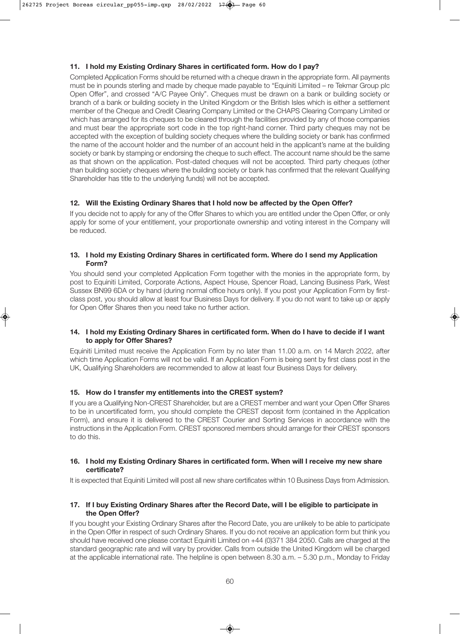#### **11. I hold my Existing Ordinary Shares in certificated form. How do I pay?**

Completed Application Forms should be returned with a cheque drawn in the appropriate form. All payments must be in pounds sterling and made by cheque made payable to "Equiniti Limited – re Tekmar Group plc Open Offer", and crossed "A/C Payee Only". Cheques must be drawn on a bank or building society or branch of a bank or building society in the United Kingdom or the British Isles which is either a settlement member of the Cheque and Credit Clearing Company Limited or the CHAPS Clearing Company Limited or which has arranged for its cheques to be cleared through the facilities provided by any of those companies and must bear the appropriate sort code in the top right-hand corner. Third party cheques may not be accepted with the exception of building society cheques where the building society or bank has confirmed the name of the account holder and the number of an account held in the applicant's name at the building society or bank by stamping or endorsing the cheque to such effect. The account name should be the same as that shown on the application. Post-dated cheques will not be accepted. Third party cheques (other than building society cheques where the building society or bank has confirmed that the relevant Qualifying Shareholder has title to the underlying funds) will not be accepted.

#### **12. Will the Existing Ordinary Shares that I hold now be affected by the Open Offer?**

If you decide not to apply for any of the Offer Shares to which you are entitled under the Open Offer, or only apply for some of your entitlement, your proportionate ownership and voting interest in the Company will be reduced.

#### **13. I hold my Existing Ordinary Shares in certificated form. Where do I send my Application Form?**

You should send your completed Application Form together with the monies in the appropriate form, by post to Equiniti Limited, Corporate Actions, Aspect House, Spencer Road, Lancing Business Park, West Sussex BN99 6DA or by hand (during normal office hours only). If you post your Application Form by firstclass post, you should allow at least four Business Days for delivery. If you do not want to take up or apply for Open Offer Shares then you need take no further action.

#### **14. I hold my Existing Ordinary Shares in certificated form. When do I have to decide if I want to apply for Offer Shares?**

Equiniti Limited must receive the Application Form by no later than 11.00 a.m. on 14 March 2022, after which time Application Forms will not be valid. If an Application Form is being sent by first class post in the UK, Qualifying Shareholders are recommended to allow at least four Business Days for delivery.

#### **15. How do I transfer my entitlements into the CREST system?**

If you are a Qualifying Non-CREST Shareholder, but are a CREST member and want your Open Offer Shares to be in uncertificated form, you should complete the CREST deposit form (contained in the Application Form), and ensure it is delivered to the CREST Courier and Sorting Services in accordance with the instructions in the Application Form. CREST sponsored members should arrange for their CREST sponsors to do this.

#### **16. I hold my Existing Ordinary Shares in certificated form. When will I receive my new share certificate?**

It is expected that Equiniti Limited will post all new share certificates within 10 Business Days from Admission.

#### **17. If I buy Existing Ordinary Shares after the Record Date, will I be eligible to participate in the Open Offer?**

If you bought your Existing Ordinary Shares after the Record Date, you are unlikely to be able to participate in the Open Offer in respect of such Ordinary Shares. If you do not receive an application form but think you should have received one please contact Equiniti Limited on +44 (0)371 384 2050. Calls are charged at the standard geographic rate and will vary by provider. Calls from outside the United Kingdom will be charged at the applicable international rate. The helpline is open between 8.30 a.m. – 5.30 p.m., Monday to Friday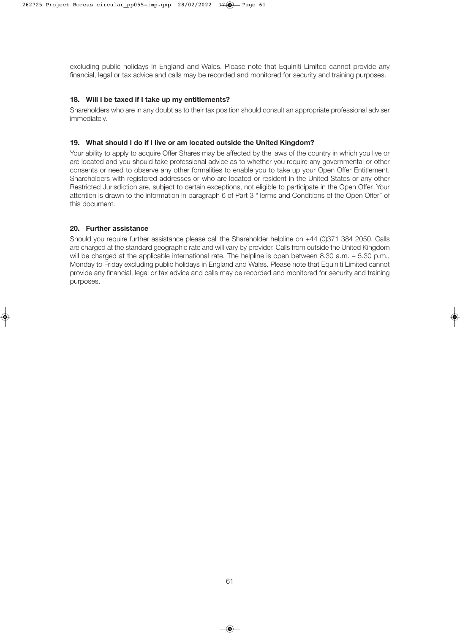excluding public holidays in England and Wales. Please note that Equiniti Limited cannot provide any financial, legal or tax advice and calls may be recorded and monitored for security and training purposes.

#### **18. Will I be taxed if I take up my entitlements?**

Shareholders who are in any doubt as to their tax position should consult an appropriate professional adviser immediately.

#### **19. What should I do if I live or am located outside the United Kingdom?**

Your ability to apply to acquire Offer Shares may be affected by the laws of the country in which you live or are located and you should take professional advice as to whether you require any governmental or other consents or need to observe any other formalities to enable you to take up your Open Offer Entitlement. Shareholders with registered addresses or who are located or resident in the United States or any other Restricted Jurisdiction are, subject to certain exceptions, not eligible to participate in the Open Offer. Your attention is drawn to the information in paragraph 6 of Part 3 "Terms and Conditions of the Open Offer" of this document.

#### **20. Further assistance**

Should you require further assistance please call the Shareholder helpline on +44 (0)371 384 2050. Calls are charged at the standard geographic rate and will vary by provider. Calls from outside the United Kingdom will be charged at the applicable international rate. The helpline is open between 8.30 a.m. – 5.30 p.m., Monday to Friday excluding public holidays in England and Wales. Please note that Equiniti Limited cannot provide any financial, legal or tax advice and calls may be recorded and monitored for security and training purposes.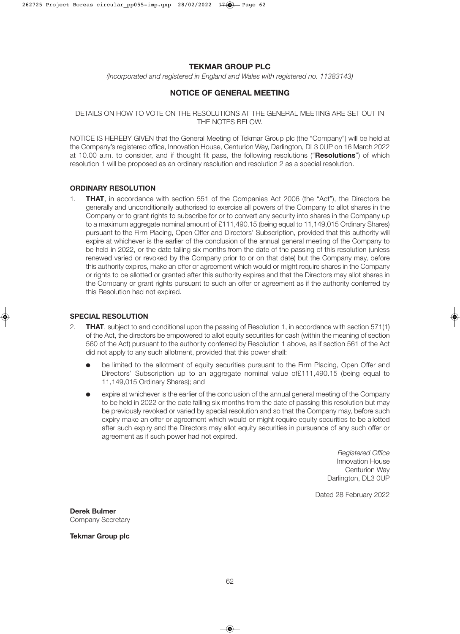#### **TEKMAR GROUP PLC**

*(Incorporated and registered in England and Wales with registered no. 11383143)*

#### **NOTICE OF GENERAL MEETING**

#### DETAILS ON HOW TO VOTE ON THE RESOLUTIONS AT THE GENERAL MEETING ARE SET OUT IN THE NOTES BELOW.

NOTICE IS HEREBY GIVEN that the General Meeting of Tekmar Group plc (the "Company") will be held at the Company's registered office, Innovation House, Centurion Way, Darlington, DL3 0UP on 16 March 2022 at 10.00 a.m. to consider, and if thought fit pass, the following resolutions ("**Resolutions**") of which resolution 1 will be proposed as an ordinary resolution and resolution 2 as a special resolution.

#### **ORDINARY RESOLUTION**

1. **THAT**, in accordance with section 551 of the Companies Act 2006 (the "Act"), the Directors be generally and unconditionally authorised to exercise all powers of the Company to allot shares in the Company or to grant rights to subscribe for or to convert any security into shares in the Company up to a maximum aggregate nominal amount of £111,490.15 (being equal to 11,149,015 Ordinary Shares) pursuant to the Firm Placing, Open Offer and Directors' Subscription, provided that this authority will expire at whichever is the earlier of the conclusion of the annual general meeting of the Company to be held in 2022, or the date falling six months from the date of the passing of this resolution (unless renewed varied or revoked by the Company prior to or on that date) but the Company may, before this authority expires, make an offer or agreement which would or might require shares in the Company or rights to be allotted or granted after this authority expires and that the Directors may allot shares in the Company or grant rights pursuant to such an offer or agreement as if the authority conferred by this Resolution had not expired.

#### **SPECIAL RESOLUTION**

- 2. **THAT**, subject to and conditional upon the passing of Resolution 1, in accordance with section 571(1) of the Act, the directors be empowered to allot equity securities for cash (within the meaning of section 560 of the Act) pursuant to the authority conferred by Resolution 1 above, as if section 561 of the Act did not apply to any such allotment, provided that this power shall:
	- be limited to the allotment of equity securities pursuant to the Firm Placing, Open Offer and Directors' Subscription up to an aggregate nominal value of£111,490.15 (being equal to 11,149,015 Ordinary Shares); and
	- expire at whichever is the earlier of the conclusion of the annual general meeting of the Company to be held in 2022 or the date falling six months from the date of passing this resolution but may be previously revoked or varied by special resolution and so that the Company may, before such expiry make an offer or agreement which would or might require equity securities to be allotted after such expiry and the Directors may allot equity securities in pursuance of any such offer or agreement as if such power had not expired.

*Registered Office* Innovation House Centurion Way Darlington, DL3 0UP

Dated 28 February 2022

**Derek Bulmer** Company Secretary

**Tekmar Group plc**